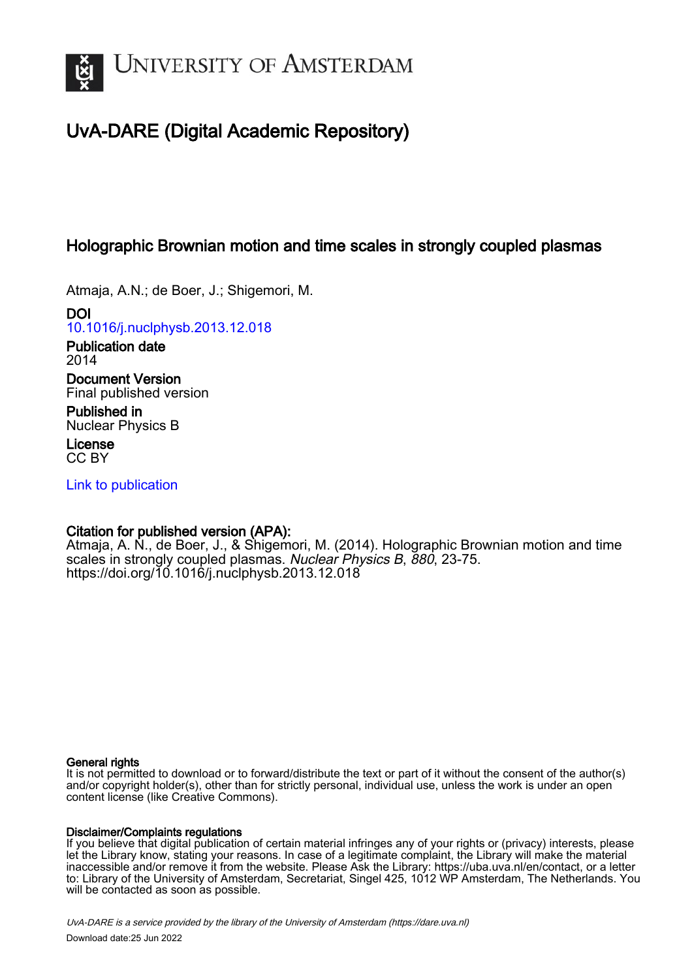

# UvA-DARE (Digital Academic Repository)

# Holographic Brownian motion and time scales in strongly coupled plasmas

Atmaja, A.N.; de Boer, J.; Shigemori, M.

DOI [10.1016/j.nuclphysb.2013.12.018](https://doi.org/10.1016/j.nuclphysb.2013.12.018)

Publication date 2014

Document Version Final published version

Published in Nuclear Physics B

License CC BY

[Link to publication](https://dare.uva.nl/personal/pure/en/publications/holographic-brownian-motion-and-time-scales-in-strongly-coupled-plasmas(dc16a475-efb2-4374-bc8b-57f42ef43211).html)

# Citation for published version (APA):

Atmaja, A. N., de Boer, J., & Shigemori, M. (2014). Holographic Brownian motion and time scales in strongly coupled plasmas. Nuclear Physics B, 880, 23-75. <https://doi.org/10.1016/j.nuclphysb.2013.12.018>

# General rights

It is not permitted to download or to forward/distribute the text or part of it without the consent of the author(s) and/or copyright holder(s), other than for strictly personal, individual use, unless the work is under an open content license (like Creative Commons).

# Disclaimer/Complaints regulations

If you believe that digital publication of certain material infringes any of your rights or (privacy) interests, please let the Library know, stating your reasons. In case of a legitimate complaint, the Library will make the material inaccessible and/or remove it from the website. Please Ask the Library: https://uba.uva.nl/en/contact, or a letter to: Library of the University of Amsterdam, Secretariat, Singel 425, 1012 WP Amsterdam, The Netherlands. You will be contacted as soon as possible.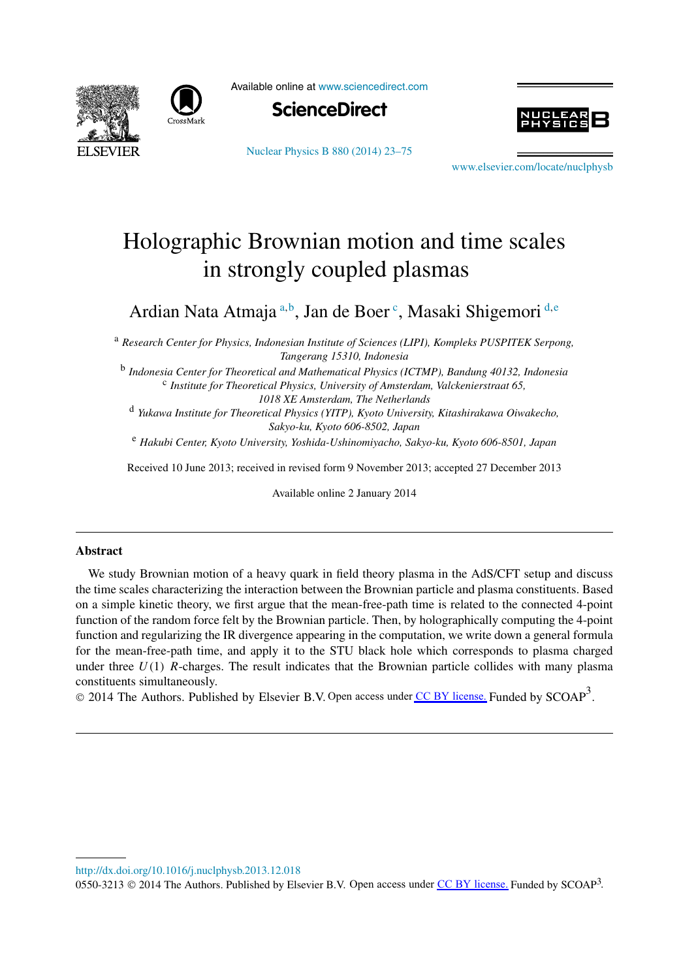



Available online at [www.sciencedirect.com](http://www.sciencedirect.com)





[Nuclear Physics B 880 \(2014\) 23–75](http://dx.doi.org/10.1016/j.nuclphysb.2013.12.018)

[www.elsevier.com/locate/nuclphysb](http://www.elsevier.com/locate/nuclphysb)

# Holographic Brownian motion and time scales in strongly coupled plasmas

Ardian Nata Atmaja <sup>a</sup>*,*<sup>b</sup> , Jan de Boer <sup>c</sup> , Masaki Shigemori <sup>d</sup>*,*<sup>e</sup>

<sup>a</sup> *Research Center for Physics, Indonesian Institute of Sciences (LIPI), Kompleks PUSPITEK Serpong, Tangerang 15310, Indonesia*

<sup>b</sup> *Indonesia Center for Theoretical and Mathematical Physics (ICTMP), Bandung 40132, Indonesia* <sup>c</sup> *Institute for Theoretical Physics, University of Amsterdam, Valckenierstraat 65, 1018 XE Amsterdam, The Netherlands*

<sup>d</sup> *Yukawa Institute for Theoretical Physics (YITP), Kyoto University, Kitashirakawa Oiwakecho, Sakyo-ku, Kyoto 606-8502, Japan*

<sup>e</sup> *Hakubi Center, Kyoto University, Yoshida-Ushinomiyacho, Sakyo-ku, Kyoto 606-8501, Japan*

Received 10 June 2013; received in revised form 9 November 2013; accepted 27 December 2013

Available online 2 January 2014

# **Abstract**

We study Brownian motion of a heavy quark in field theory plasma in the AdS/CFT setup and discuss the time scales characterizing the interaction between the Brownian particle and plasma constituents. Based on a simple kinetic theory, we first argue that the mean-free-path time is related to the connected 4-point function of the random force felt by the Brownian particle. Then, by holographically computing the 4-point function and regularizing the IR divergence appearing in the computation, we write down a general formula for the mean-free-path time, and apply it to the STU black hole which corresponds to plasma charged under three *U(*1*) R*-charges. The result indicates that the Brownian particle collides with many plasma constituents simultaneously.

 $\circledcirc$  2014 The Authors. Published by Elsevier B.V. Open access under [CC BY license.](http://creativecommons.org/licenses/by/3.0/) Funded by SCOAP<sup>3</sup>.

<http://dx.doi.org/10.1016/j.nuclphysb.2013.12.018>

0550-3213  $\odot$  2014 The Authors. Published by Elsevier B.V. Open access under [CC BY license.](http://creativecommons.org/licenses/by/3.0/) Funded by SCOAP<sup>3</sup>.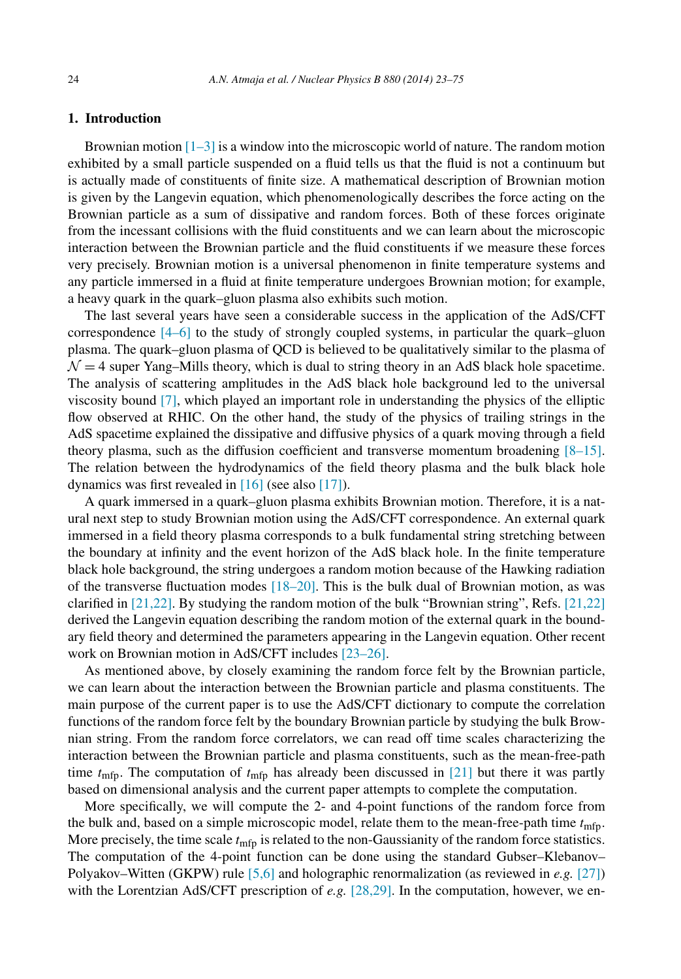# **1. Introduction**

Brownian motion  $[1-3]$  is a window into the microscopic world of nature. The random motion exhibited by a small particle suspended on a fluid tells us that the fluid is not a continuum but is actually made of constituents of finite size. A mathematical description of Brownian motion is given by the Langevin equation, which phenomenologically describes the force acting on the Brownian particle as a sum of dissipative and random forces. Both of these forces originate from the incessant collisions with the fluid constituents and we can learn about the microscopic interaction between the Brownian particle and the fluid constituents if we measure these forces very precisely. Brownian motion is a universal phenomenon in finite temperature systems and any particle immersed in a fluid at finite temperature undergoes Brownian motion; for example, a heavy quark in the quark–gluon plasma also exhibits such motion.

The last several years have seen a considerable success in the application of the AdS/CFT correspondence  $[4–6]$  to the study of strongly coupled systems, in particular the quark–gluon plasma. The quark–gluon plasma of QCD is believed to be qualitatively similar to the plasma of  $\mathcal{N} = 4$  super Yang–Mills theory, which is dual to string theory in an AdS black hole spacetime. The analysis of scattering amplitudes in the AdS black hole background led to the universal viscosity bound [\[7\],](#page-51-0) which played an important role in understanding the physics of the elliptic flow observed at RHIC. On the other hand, the study of the physics of trailing strings in the AdS spacetime explained the dissipative and diffusive physics of a quark moving through a field theory plasma, such as the diffusion coefficient and transverse momentum broadening  $[8-15]$ . The relation between the hydrodynamics of the field theory plasma and the bulk black hole dynamics was first revealed in [\[16\]](#page-51-0) (see also [\[17\]\)](#page-51-0).

A quark immersed in a quark–gluon plasma exhibits Brownian motion. Therefore, it is a natural next step to study Brownian motion using the AdS/CFT correspondence. An external quark immersed in a field theory plasma corresponds to a bulk fundamental string stretching between the boundary at infinity and the event horizon of the AdS black hole. In the finite temperature black hole background, the string undergoes a random motion because of the Hawking radiation of the transverse fluctuation modes  $[18–20]$ . This is the bulk dual of Brownian motion, as was clarified in  $[21,22]$ . By studying the random motion of the bulk "Brownian string", Refs.  $[21,22]$ derived the Langevin equation describing the random motion of the external quark in the boundary field theory and determined the parameters appearing in the Langevin equation. Other recent work on Brownian motion in AdS/CFT includes [\[23–26\].](#page-52-0)

As mentioned above, by closely examining the random force felt by the Brownian particle, we can learn about the interaction between the Brownian particle and plasma constituents. The main purpose of the current paper is to use the AdS/CFT dictionary to compute the correlation functions of the random force felt by the boundary Brownian particle by studying the bulk Brownian string. From the random force correlators, we can read off time scales characterizing the interaction between the Brownian particle and plasma constituents, such as the mean-free-path time  $t_{\text{mfp}}$ . The computation of  $t_{\text{mfp}}$  has already been discussed in [\[21\]](#page-52-0) but there it was partly based on dimensional analysis and the current paper attempts to complete the computation.

More specifically, we will compute the 2- and 4-point functions of the random force from the bulk and, based on a simple microscopic model, relate them to the mean-free-path time  $t_{\text{mfp}}$ . More precisely, the time scale  $t_{\text{mfp}}$  is related to the non-Gaussianity of the random force statistics. The computation of the 4-point function can be done using the standard Gubser–Klebanov– Polyakov–Witten (GKPW) rule [\[5,6\]](#page-51-0) and holographic renormalization (as reviewed in *e.g.* [\[27\]\)](#page-52-0) with the Lorentzian AdS/CFT prescription of *e.g.* [\[28,29\].](#page-52-0) In the computation, however, we en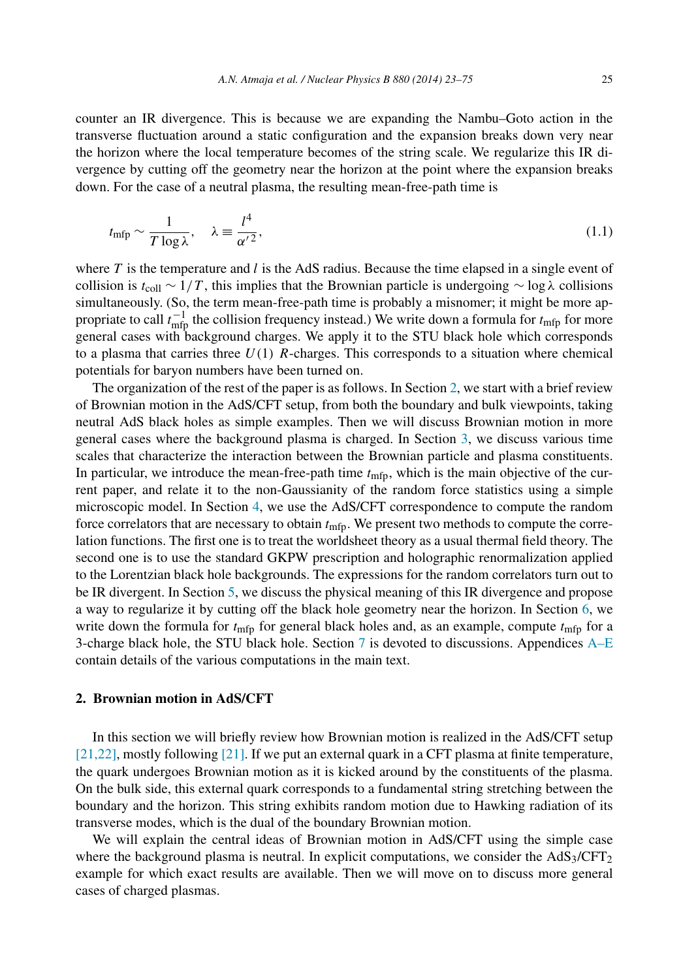counter an IR divergence. This is because we are expanding the Nambu–Goto action in the transverse fluctuation around a static configuration and the expansion breaks down very near the horizon where the local temperature becomes of the string scale. We regularize this IR divergence by cutting off the geometry near the horizon at the point where the expansion breaks down. For the case of a neutral plasma, the resulting mean-free-path time is

$$
t_{\rm mfp} \sim \frac{1}{T \log \lambda}, \quad \lambda \equiv \frac{l^4}{\alpha'^2},\tag{1.1}
$$

where *T* is the temperature and *l* is the AdS radius. Because the time elapsed in a single event of collision is *t*coll ∼ 1*/T* , this implies that the Brownian particle is undergoing ∼ log *λ* collisions simultaneously. (So, the term mean-free-path time is probably a misnomer; it might be more appropriate to call  $t_{\text{mfp}}^{-1}$  the collision frequency instead.) We write down a formula for  $t_{\text{mfp}}$  for more general cases with background charges. We apply it to the STU black hole which corresponds to a plasma that carries three  $U(1)$  R-charges. This corresponds to a situation where chemical potentials for baryon numbers have been turned on.

The organization of the rest of the paper is as follows. In Section 2, we start with a brief review of Brownian motion in the AdS/CFT setup, from both the boundary and bulk viewpoints, taking neutral AdS black holes as simple examples. Then we will discuss Brownian motion in more general cases where the background plasma is charged. In Section [3,](#page-12-0) we discuss various time scales that characterize the interaction between the Brownian particle and plasma constituents. In particular, we introduce the mean-free-path time  $t_{\text{mfp}}$ , which is the main objective of the current paper, and relate it to the non-Gaussianity of the random force statistics using a simple microscopic model. In Section [4,](#page-17-0) we use the AdS/CFT correspondence to compute the random force correlators that are necessary to obtain *t*mfp. We present two methods to compute the correlation functions. The first one is to treat the worldsheet theory as a usual thermal field theory. The second one is to use the standard GKPW prescription and holographic renormalization applied to the Lorentzian black hole backgrounds. The expressions for the random correlators turn out to be IR divergent. In Section [5,](#page-22-0) we discuss the physical meaning of this IR divergence and propose a way to regularize it by cutting off the black hole geometry near the horizon. In Section [6,](#page-25-0) we write down the formula for  $t_{\text{mfp}}$  for general black holes and, as an example, compute  $t_{\text{mfp}}$  for a 3-charge black hole, the STU black hole. Section [7](#page-32-0) is devoted to discussions. Appendices [A–E](#page-34-0) contain details of the various computations in the main text.

# **2. Brownian motion in AdS/CFT**

In this section we will briefly review how Brownian motion is realized in the AdS/CFT setup [\[21,22\],](#page-52-0) mostly following [\[21\].](#page-52-0) If we put an external quark in a CFT plasma at finite temperature, the quark undergoes Brownian motion as it is kicked around by the constituents of the plasma. On the bulk side, this external quark corresponds to a fundamental string stretching between the boundary and the horizon. This string exhibits random motion due to Hawking radiation of its transverse modes, which is the dual of the boundary Brownian motion.

We will explain the central ideas of Brownian motion in AdS/CFT using the simple case where the background plasma is neutral. In explicit computations, we consider the  $AdS_3/CFT_2$ example for which exact results are available. Then we will move on to discuss more general cases of charged plasmas.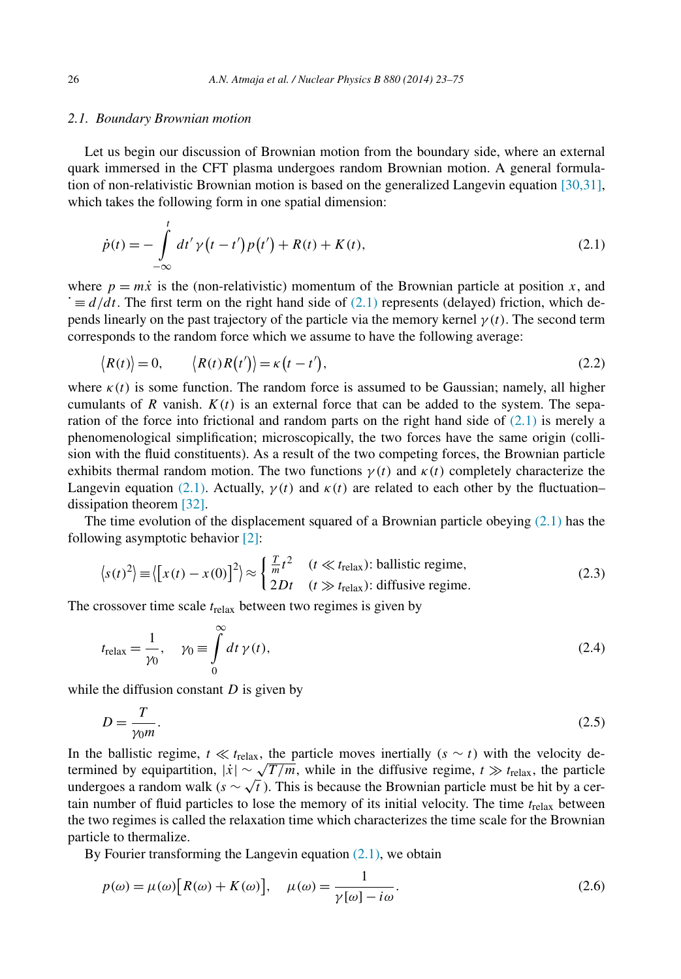#### <span id="page-4-0"></span>*2.1. Boundary Brownian motion*

Let us begin our discussion of Brownian motion from the boundary side, where an external quark immersed in the CFT plasma undergoes random Brownian motion. A general formulation of non-relativistic Brownian motion is based on the generalized Langevin equation [\[30,31\],](#page-52-0) which takes the following form in one spatial dimension:

$$
\dot{p}(t) = -\int_{-\infty}^{t} dt' \gamma(t - t')p(t') + R(t) + K(t),
$$
\n(2.1)

where  $p = m\dot{x}$  is the (non-relativistic) momentum of the Brownian particle at position *x*, and  $\dot{\mathbf{r}} \equiv d/dt$ . The first term on the right hand side of (2.1) represents (delayed) friction, which depends linearly on the past trajectory of the particle via the memory kernel  $\gamma(t)$ . The second term corresponds to the random force which we assume to have the following average:

$$
\langle R(t) \rangle = 0, \qquad \langle R(t)R(t') \rangle = \kappa(t - t'), \tag{2.2}
$$

where  $\kappa(t)$  is some function. The random force is assumed to be Gaussian; namely, all higher cumulants of  $R$  vanish.  $K(t)$  is an external force that can be added to the system. The separation of the force into frictional and random parts on the right hand side of  $(2.1)$  is merely a phenomenological simplification; microscopically, the two forces have the same origin (collision with the fluid constituents). As a result of the two competing forces, the Brownian particle exhibits thermal random motion. The two functions  $\gamma(t)$  and  $\kappa(t)$  completely characterize the Langevin equation (2.1). Actually,  $\gamma(t)$  and  $\kappa(t)$  are related to each other by the fluctuation– dissipation theorem [\[32\].](#page-52-0)

The time evolution of the displacement squared of a Brownian particle obeying  $(2.1)$  has the following asymptotic behavior [\[2\]:](#page-51-0)

$$
\langle s(t)^2 \rangle = \langle [x(t) - x(0)]^2 \rangle \approx \begin{cases} \frac{T}{m} t^2 & (t \ll t_{\text{relax}}) \text{: ballistic regime,} \\ 2Dt & (t \gg t_{\text{relax}}) \text{: diffusive regime.} \end{cases} \tag{2.3}
$$

The crossover time scale *t*relax between two regimes is given by

$$
t_{\text{relax}} = \frac{1}{\gamma_0}, \quad \gamma_0 \equiv \int\limits_0^\infty dt \, \gamma(t), \tag{2.4}
$$

while the diffusion constant *D* is given by

$$
D = \frac{T}{\gamma_0 m}.\tag{2.5}
$$

In the ballistic regime,  $t \ll t_{\text{relax}}$ , the particle moves inertially  $(s \sim t)$  with the velocity determined by equipartition,  $|\dot{x}| \sim \sqrt{T/m}$ , while in the diffusive regime,  $t \gg t_{\text{relax}}$ , the particle undergoes a random walk ( $s \sim \sqrt{t}$ ). This is because the Brownian particle must be hit by a certain number of fluid particles to lose the memory of its initial velocity. The time *t*relax between the two regimes is called the relaxation time which characterizes the time scale for the Brownian particle to thermalize.

By Fourier transforming the Langevin equation  $(2.1)$ , we obtain

$$
p(\omega) = \mu(\omega) \left[ R(\omega) + K(\omega) \right], \quad \mu(\omega) = \frac{1}{\gamma[\omega] - i\omega}.
$$
\n(2.6)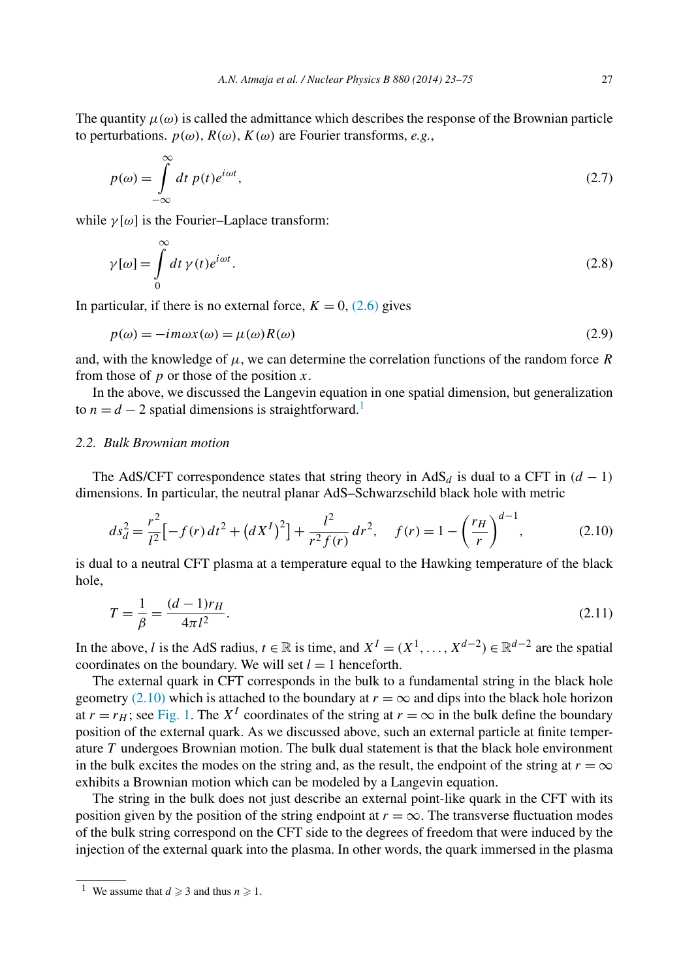<span id="page-5-0"></span>The quantity  $\mu(\omega)$  is called the admittance which describes the response of the Brownian particle to perturbations.  $p(\omega)$ ,  $R(\omega)$ ,  $K(\omega)$  are Fourier transforms, *e.g.*,

$$
p(\omega) = \int_{-\infty}^{\infty} dt \, p(t)e^{i\omega t},\tag{2.7}
$$

while  $\gamma[\omega]$  is the Fourier–Laplace transform:

$$
\gamma[\omega] = \int_{0}^{\infty} dt \,\gamma(t)e^{i\omega t}.\tag{2.8}
$$

In particular, if there is no external force,  $K = 0$ , [\(2.6\)](#page-4-0) gives

$$
p(\omega) = -im\omega x(\omega) = \mu(\omega)R(\omega)
$$
\n(2.9)

and, with the knowledge of  $\mu$ , we can determine the correlation functions of the random force *R* from those of *p* or those of the position *x*.

In the above, we discussed the Langevin equation in one spatial dimension, but generalization to  $n = d - 2$  spatial dimensions is straightforward.<sup>1</sup>

# *2.2. Bulk Brownian motion*

The AdS/CFT correspondence states that string theory in AdS<sub>d</sub> is dual to a CFT in  $(d - 1)$ dimensions. In particular, the neutral planar AdS–Schwarzschild black hole with metric

$$
ds_d^2 = \frac{r^2}{l^2} \left[ -f(r) \, dt^2 + \left( dX^I \right)^2 \right] + \frac{l^2}{r^2 f(r)} \, dr^2, \quad f(r) = 1 - \left( \frac{r_H}{r} \right)^{d-1},\tag{2.10}
$$

is dual to a neutral CFT plasma at a temperature equal to the Hawking temperature of the black hole,

$$
T = \frac{1}{\beta} = \frac{(d-1)r_H}{4\pi l^2}.
$$
\n(2.11)

In the above, *l* is the AdS radius, *t* ∈ ℝ is time, and  $X^I = (X^1, \ldots, X^{d-2}) \in \mathbb{R}^{d-2}$  are the spatial coordinates on the boundary. We will set  $l = 1$  henceforth.

The external quark in CFT corresponds in the bulk to a fundamental string in the black hole geometry (2.10) which is attached to the boundary at  $r = \infty$  and dips into the black hole horizon at  $r = r_H$ ; see [Fig. 1.](#page-6-0) The  $X^I$  coordinates of the string at  $r = \infty$  in the bulk define the boundary position of the external quark. As we discussed above, such an external particle at finite temperature *T* undergoes Brownian motion. The bulk dual statement is that the black hole environment in the bulk excites the modes on the string and, as the result, the endpoint of the string at  $r = \infty$ exhibits a Brownian motion which can be modeled by a Langevin equation.

The string in the bulk does not just describe an external point-like quark in the CFT with its position given by the position of the string endpoint at  $r = \infty$ . The transverse fluctuation modes of the bulk string correspond on the CFT side to the degrees of freedom that were induced by the injection of the external quark into the plasma. In other words, the quark immersed in the plasma

<sup>&</sup>lt;sup>1</sup> We assume that  $d \ge 3$  and thus  $n \ge 1$ .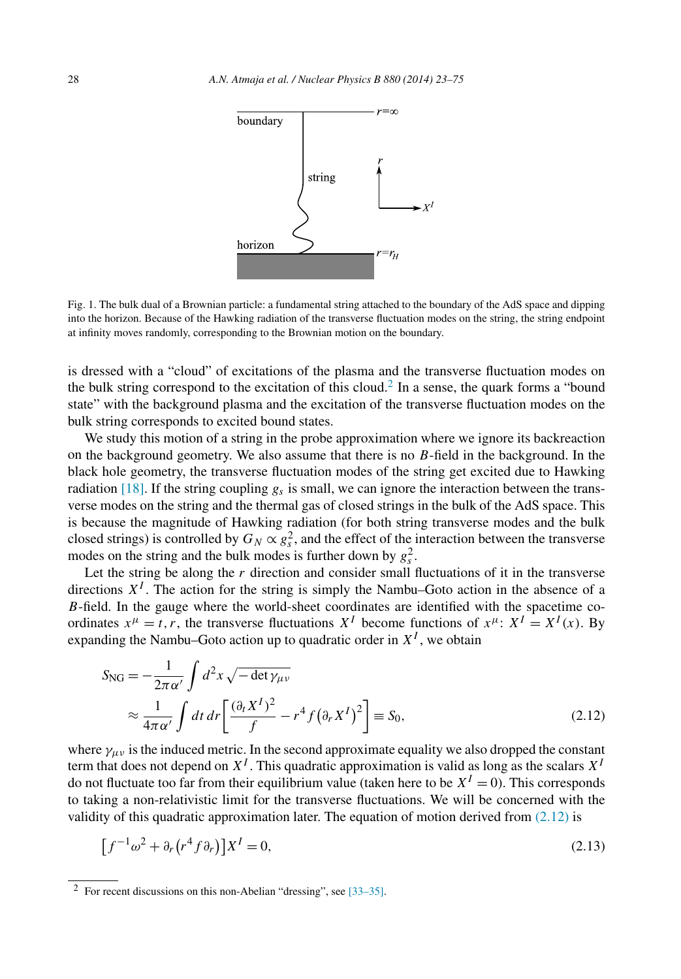<span id="page-6-0"></span>

Fig. 1. The bulk dual of a Brownian particle: a fundamental string attached to the boundary of the AdS space and dipping into the horizon. Because of the Hawking radiation of the transverse fluctuation modes on the string, the string endpoint at infinity moves randomly, corresponding to the Brownian motion on the boundary.

is dressed with a "cloud" of excitations of the plasma and the transverse fluctuation modes on the bulk string correspond to the excitation of this cloud.<sup>2</sup> In a sense, the quark forms a "bound" state" with the background plasma and the excitation of the transverse fluctuation modes on the bulk string corresponds to excited bound states.

We study this motion of a string in the probe approximation where we ignore its backreaction on the background geometry. We also assume that there is no *B*-field in the background. In the black hole geometry, the transverse fluctuation modes of the string get excited due to Hawking radiation [\[18\].](#page-52-0) If the string coupling  $g<sub>s</sub>$  is small, we can ignore the interaction between the transverse modes on the string and the thermal gas of closed strings in the bulk of the AdS space. This is because the magnitude of Hawking radiation (for both string transverse modes and the bulk closed strings) is controlled by  $G_N \propto g_s^2$ , and the effect of the interaction between the transverse modes on the string and the bulk modes is further down by  $g_s^2$ .

Let the string be along the  $r$  direction and consider small fluctuations of it in the transverse directions  $X<sup>I</sup>$ . The action for the string is simply the Nambu–Goto action in the absence of a *B*-field. In the gauge where the world-sheet coordinates are identified with the spacetime coordinates  $x^{\mu} = t$ , *r*, the transverse fluctuations  $X^{I}$  become functions of  $x^{\mu}$ :  $X^{I} = X^{I}(x)$ . By expanding the Nambu–Goto action up to quadratic order in  $X<sup>I</sup>$ , we obtain

$$
S_{\rm NG} = -\frac{1}{2\pi\alpha'} \int d^2x \sqrt{-\det \gamma_{\mu\nu}}
$$
  
\n
$$
\approx \frac{1}{4\pi\alpha'} \int dt \, dr \left[ \frac{(\partial_t X^I)^2}{f} - r^4 f (\partial_r X^I)^2 \right] \equiv S_0,
$$
\n(2.12)

where  $\gamma_{\mu\nu}$  is the induced metric. In the second approximate equality we also dropped the constant term that does not depend on  $X^I$ . This quadratic approximation is valid as long as the scalars  $X^I$ do not fluctuate too far from their equilibrium value (taken here to be  $X^I = 0$ ). This corresponds to taking a non-relativistic limit for the transverse fluctuations. We will be concerned with the validity of this quadratic approximation later. The equation of motion derived from  $(2.12)$  is

$$
\[f^{-1}\omega^2 + \partial_r (r^4 f \partial_r)\]X^I = 0,\tag{2.13}
$$

<sup>2</sup> For recent discussions on this non-Abelian "dressing", see [\[33–35\].](#page-52-0)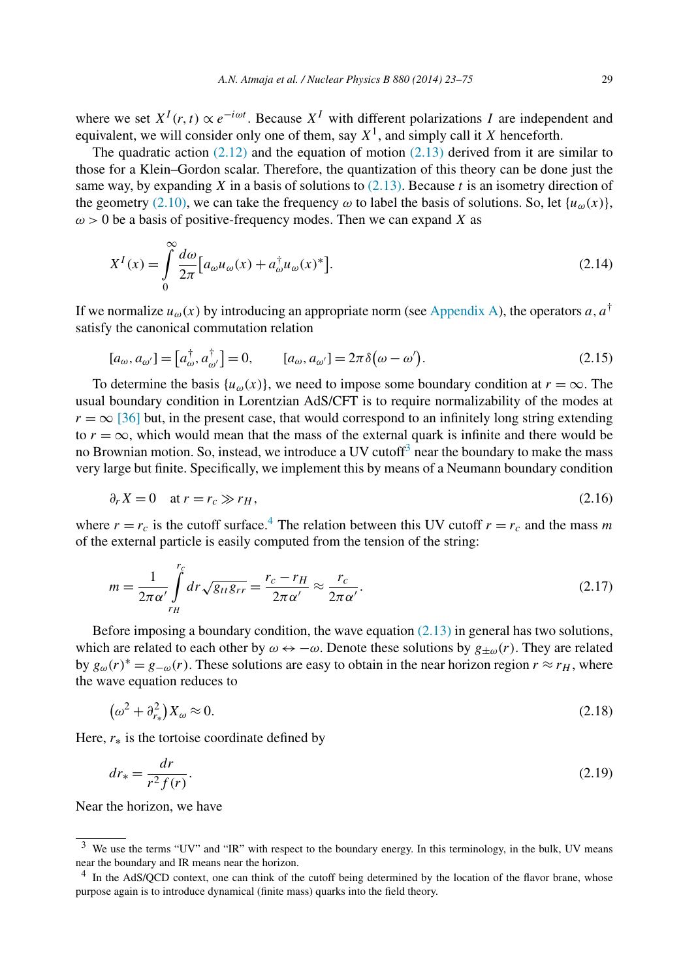<span id="page-7-0"></span>where we set  $X^I(r, t) \propto e^{-i\omega t}$ . Because  $X^I$  with different polarizations *I* are independent and equivalent, we will consider only one of them, say  $X^1$ , and simply call it *X* henceforth.

The quadratic action  $(2.12)$  and the equation of motion  $(2.13)$  derived from it are similar to those for a Klein–Gordon scalar. Therefore, the quantization of this theory can be done just the same way, by expanding *X* in a basis of solutions to [\(2.13\).](#page-6-0) Because *t* is an isometry direction of the geometry [\(2.10\),](#page-5-0) we can take the frequency  $\omega$  to label the basis of solutions. So, let  $\{u_{\omega}(x)\}\$ ,  $\omega$  > 0 be a basis of positive-frequency modes. Then we can expand *X* as

$$
X^{I}(x) = \int_{0}^{\infty} \frac{d\omega}{2\pi} \left[ a_{\omega} u_{\omega}(x) + a_{\omega}^{\dagger} u_{\omega}(x)^{*} \right].
$$
 (2.14)

If we normalize  $u_{\omega}(x)$  by introducing an appropriate norm (see [Appendix A\)](#page-34-0), the operators *a*, *a*<sup>†</sup> satisfy the canonical commutation relation

$$
[a_{\omega}, a_{\omega'}] = [a_{\omega}^{\dagger}, a_{\omega'}^{\dagger}] = 0, \qquad [a_{\omega}, a_{\omega'}] = 2\pi \delta(\omega - \omega'). \tag{2.15}
$$

To determine the basis  $\{u_{\omega}(x)\}\)$ , we need to impose some boundary condition at  $r = \infty$ . The usual boundary condition in Lorentzian AdS/CFT is to require normalizability of the modes at  $r = \infty$  [\[36\]](#page-52-0) but, in the present case, that would correspond to an infinitely long string extending to  $r = \infty$ , which would mean that the mass of the external quark is infinite and there would be no Brownian motion. So, instead, we introduce a UV cutoff<sup>3</sup> near the boundary to make the mass very large but finite. Specifically, we implement this by means of a Neumann boundary condition

$$
\partial_r X = 0 \quad \text{at } r = r_c \gg r_H,\tag{2.16}
$$

where  $r = r_c$  is the cutoff surface.<sup>4</sup> The relation between this UV cutoff  $r = r_c$  and the mass *m* of the external particle is easily computed from the tension of the string:

$$
m = \frac{1}{2\pi\alpha'} \int_{r_H}^{r_c} dr \sqrt{g_{tt}g_{rr}} = \frac{r_c - r_H}{2\pi\alpha'} \approx \frac{r_c}{2\pi\alpha'}.
$$
\n(2.17)

Before imposing a boundary condition, the wave equation  $(2.13)$  in general has two solutions, which are related to each other by  $\omega \leftrightarrow -\omega$ . Denote these solutions by  $g_{\pm\omega}(r)$ . They are related by  $g_{\omega}(r)^* = g_{-\omega}(r)$ . These solutions are easy to obtain in the near horizon region  $r \approx r_H$ , where the wave equation reduces to

$$
\left(\omega^2 + \partial_{r_*}^2\right)X_\omega \approx 0. \tag{2.18}
$$

Here,  $r_*$  is the tortoise coordinate defined by

$$
dr_* = \frac{dr}{r^2 f(r)}.\tag{2.19}
$$

Near the horizon, we have

<sup>&</sup>lt;sup>3</sup> We use the terms "UV" and "IR" with respect to the boundary energy. In this terminology, in the bulk, UV means near the boundary and IR means near the horizon.

<sup>&</sup>lt;sup>4</sup> In the AdS/QCD context, one can think of the cutoff being determined by the location of the flavor brane, whose purpose again is to introduce dynamical (finite mass) quarks into the field theory.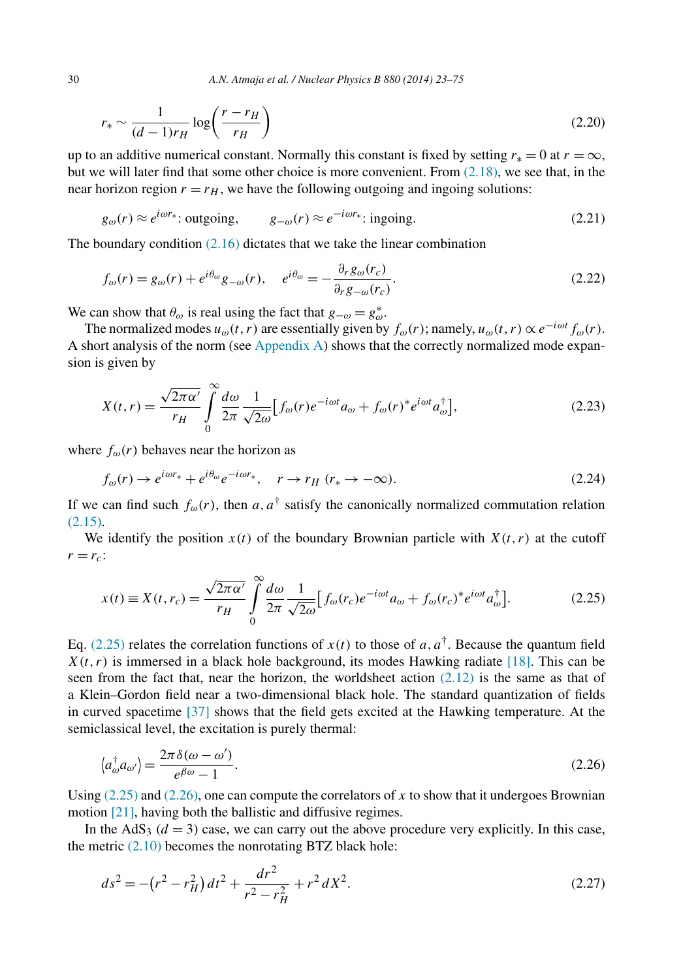$$
r_* \sim \frac{1}{(d-1)r_H} \log\left(\frac{r-r_H}{r_H}\right) \tag{2.20}
$$

up to an additive numerical constant. Normally this constant is fixed by setting  $r_* = 0$  at  $r = \infty$ , but we will later find that some other choice is more convenient. From  $(2.18)$ , we see that, in the near horizon region  $r = r_H$ , we have the following outgoing and ingoing solutions:

$$
g_{\omega}(r) \approx e^{i\omega r_*}
$$
: outgoing,  $g_{-\omega}(r) \approx e^{-i\omega r_*}$ : ingoing. (2.21)

The boundary condition  $(2.16)$  dictates that we take the linear combination

$$
f_{\omega}(r) = g_{\omega}(r) + e^{i\theta_{\omega}}g_{-\omega}(r), \quad e^{i\theta_{\omega}} = -\frac{\partial_{r}g_{\omega}(r_{c})}{\partial_{r}g_{-\omega}(r_{c})}.
$$
\n(2.22)

We can show that  $\theta_{\omega}$  is real using the fact that  $g_{-\omega} = g_{\omega}^*$ .

The normalized modes  $u_{\omega}(t, r)$  are essentially given by  $f_{\omega}(r)$ ; namely,  $u_{\omega}(t, r) \propto e^{-i\omega t} f_{\omega}(r)$ . A short analysis of the norm (see [Appendix A\)](#page-34-0) shows that the correctly normalized mode expansion is given by

$$
X(t,r) = \frac{\sqrt{2\pi\alpha'}}{r_H} \int_0^\infty \frac{d\omega}{2\pi} \frac{1}{\sqrt{2\omega}} \Big[ f_\omega(r) e^{-i\omega t} a_\omega + f_\omega(r)^* e^{i\omega t} a_\omega^\dagger \Big],\tag{2.23}
$$

where  $f_{\omega}(r)$  behaves near the horizon as

$$
f_{\omega}(r) \to e^{i\omega r_*} + e^{i\theta_{\omega}} e^{-i\omega r_*}, \quad r \to r_H \ (r_* \to -\infty).
$$
 (2.24)

If we can find such  $f_{\omega}(r)$ , then *a*,  $a^{\dagger}$  satisfy the canonically normalized commutation relation [\(2.15\).](#page-7-0)

We identify the position  $x(t)$  of the boundary Brownian particle with  $X(t, r)$  at the cutoff  $r = r_c$ :

$$
x(t) \equiv X(t, r_c) = \frac{\sqrt{2\pi\alpha'}}{r_H} \int_0^\infty \frac{d\omega}{2\pi} \frac{1}{\sqrt{2\omega}} \Big[ f_\omega(r_c) e^{-i\omega t} a_\omega + f_\omega(r_c)^* e^{i\omega t} a_\omega^\dagger \Big]. \tag{2.25}
$$

Eq. (2.25) relates the correlation functions of  $x(t)$  to those of *a*,  $a^{\dagger}$ . Because the quantum field  $X(t, r)$  is immersed in a black hole background, its modes Hawking radiate [\[18\].](#page-52-0) This can be seen from the fact that, near the horizon, the worldsheet action  $(2.12)$  is the same as that of a Klein–Gordon field near a two-dimensional black hole. The standard quantization of fields in curved spacetime [\[37\]](#page-52-0) shows that the field gets excited at the Hawking temperature. At the semiclassical level, the excitation is purely thermal:

$$
\langle a_{\omega}^{\dagger} a_{\omega'} \rangle = \frac{2\pi \delta(\omega - \omega')}{e^{\beta \omega} - 1}.
$$
\n(2.26)

Using  $(2.25)$  and  $(2.26)$ , one can compute the correlators of x to show that it undergoes Brownian motion [\[21\],](#page-52-0) having both the ballistic and diffusive regimes.

In the  $AdS<sub>3</sub>$  ( $d = 3$ ) case, we can carry out the above procedure very explicitly. In this case, the metric  $(2.10)$  becomes the nonrotating BTZ black hole:

$$
ds^{2} = -(r^{2} - r_{H}^{2}) dt^{2} + \frac{dr^{2}}{r^{2} - r_{H}^{2}} + r^{2} dX^{2}.
$$
 (2.27)

<span id="page-8-0"></span>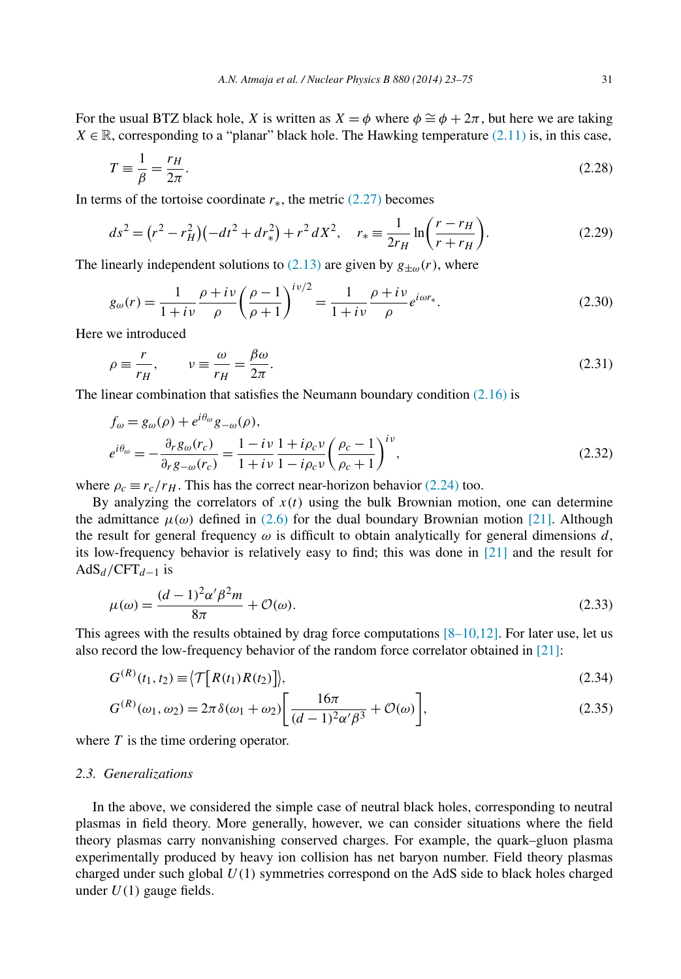<span id="page-9-0"></span>For the usual BTZ black hole, *X* is written as  $X = \phi$  where  $\phi \cong \phi + 2\pi$ , but here we are taking  $X \in \mathbb{R}$ , corresponding to a "planar" black hole. The Hawking temperature [\(2.11\)](#page-5-0) is, in this case,

$$
T \equiv \frac{1}{\beta} = \frac{r_H}{2\pi}.\tag{2.28}
$$

In terms of the tortoise coordinate  $r_*,$  the metric [\(2.27\)](#page-8-0) becomes

$$
ds^{2} = (r^{2} - r_{H}^{2})(-dt^{2} + dr_{*}^{2}) + r^{2} dX^{2}, \quad r_{*} \equiv \frac{1}{2r_{H}} \ln\left(\frac{r - r_{H}}{r + r_{H}}\right).
$$
 (2.29)

The linearly independent solutions to  $(2.13)$  are given by  $g_{\pm\omega}(r)$ , where

$$
g_{\omega}(r) = \frac{1}{1 + i\nu} \frac{\rho + i\nu}{\rho} \left(\frac{\rho - 1}{\rho + 1}\right)^{i\nu/2} = \frac{1}{1 + i\nu} \frac{\rho + i\nu}{\rho} e^{i\omega r_*}.
$$
 (2.30)

Here we introduced

$$
\rho \equiv \frac{r}{r_H}, \qquad \nu \equiv \frac{\omega}{r_H} = \frac{\beta \omega}{2\pi}.
$$
\n(2.31)

The linear combination that satisfies the Neumann boundary condition  $(2.16)$  is

$$
f_{\omega} = g_{\omega}(\rho) + e^{i\theta_{\omega}} g_{-\omega}(\rho),
$$
  
\n
$$
e^{i\theta_{\omega}} = -\frac{\partial_r g_{\omega}(r_c)}{\partial_r g_{-\omega}(r_c)} = \frac{1 - i\nu}{1 + i\nu} \frac{1 + i\rho_c \nu}{1 - i\rho_c \nu} \left(\frac{\rho_c - 1}{\rho_c + 1}\right)^{i\nu},
$$
\n(2.32)

where  $\rho_c \equiv r_c/r_H$ . This has the correct near-horizon behavior [\(2.24\)](#page-8-0) too.

By analyzing the correlators of  $x(t)$  using the bulk Brownian motion, one can determine the admittance  $\mu(\omega)$  defined in [\(2.6\)](#page-4-0) for the dual boundary Brownian motion [\[21\].](#page-52-0) Although the result for general frequency  $\omega$  is difficult to obtain analytically for general dimensions d, its low-frequency behavior is relatively easy to find; this was done in [\[21\]](#page-52-0) and the result for  $AdS_d / CFT_{d-1}$  is

$$
\mu(\omega) = \frac{(d-1)^2 \alpha' \beta^2 m}{8\pi} + \mathcal{O}(\omega). \tag{2.33}
$$

This agrees with the results obtained by drag force computations  $[8-10,12]$ . For later use, let us also record the low-frequency behavior of the random force correlator obtained in [\[21\]:](#page-52-0)

$$
G^{(R)}(t_1, t_2) \equiv \langle \mathcal{T}[R(t_1)R(t_2)] \rangle, \tag{2.34}
$$

$$
G^{(R)}(\omega_1, \omega_2) = 2\pi \delta(\omega_1 + \omega_2) \left[ \frac{16\pi}{(d-1)^2 \alpha' \beta^3} + \mathcal{O}(\omega) \right],\tag{2.35}
$$

where *T* is the time ordering operator.

# *2.3. Generalizations*

In the above, we considered the simple case of neutral black holes, corresponding to neutral plasmas in field theory. More generally, however, we can consider situations where the field theory plasmas carry nonvanishing conserved charges. For example, the quark–gluon plasma experimentally produced by heavy ion collision has net baryon number. Field theory plasmas charged under such global *U(*1*)* symmetries correspond on the AdS side to black holes charged under *U(*1*)* gauge fields.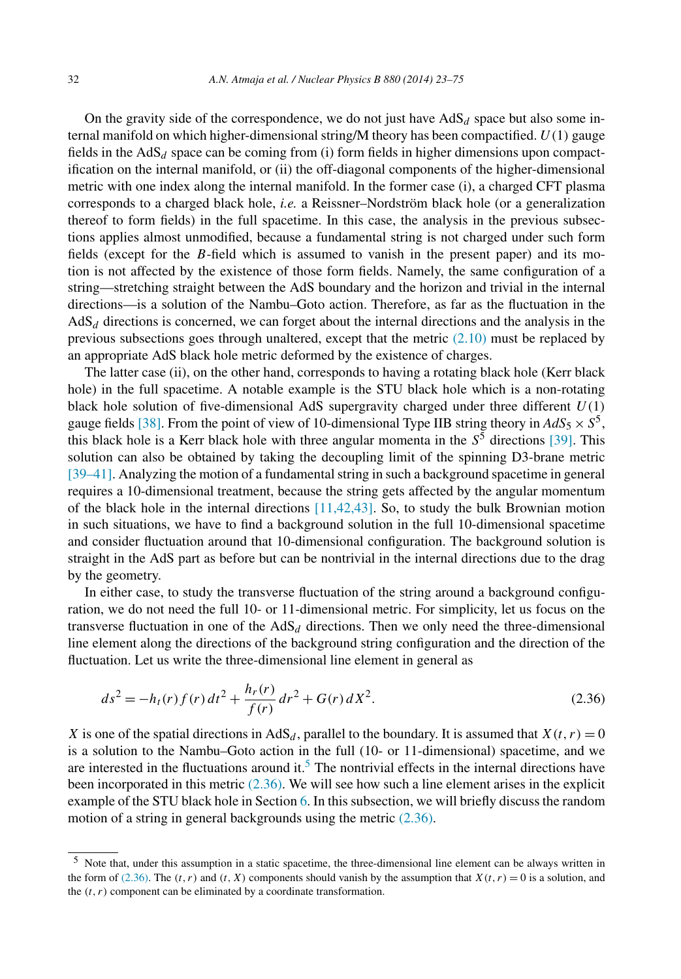<span id="page-10-0"></span>On the gravity side of the correspondence, we do not just have  $AdS_d$  space but also some internal manifold on which higher-dimensional string/M theory has been compactified. *U(*1*)* gauge fields in the  $AdS<sub>d</sub>$  space can be coming from (i) form fields in higher dimensions upon compactification on the internal manifold, or (ii) the off-diagonal components of the higher-dimensional metric with one index along the internal manifold. In the former case (i), a charged CFT plasma corresponds to a charged black hole, *i.e.* a Reissner–Nordström black hole (or a generalization thereof to form fields) in the full spacetime. In this case, the analysis in the previous subsections applies almost unmodified, because a fundamental string is not charged under such form fields (except for the *B*-field which is assumed to vanish in the present paper) and its motion is not affected by the existence of those form fields. Namely, the same configuration of a string—stretching straight between the AdS boundary and the horizon and trivial in the internal directions—is a solution of the Nambu–Goto action. Therefore, as far as the fluctuation in the  $AdS<sub>d</sub>$  directions is concerned, we can forget about the internal directions and the analysis in the previous subsections goes through unaltered, except that the metric [\(2.10\)](#page-5-0) must be replaced by an appropriate AdS black hole metric deformed by the existence of charges.

The latter case (ii), on the other hand, corresponds to having a rotating black hole (Kerr black hole) in the full spacetime. A notable example is the STU black hole which is a non-rotating black hole solution of five-dimensional AdS supergravity charged under three different *U(*1*)* gauge fields [\[38\].](#page-52-0) From the point of view of 10-dimensional Type IIB string theory in  $AdS_5 \times S^5$ , this black hole is a Kerr black hole with three angular momenta in the  $S<sup>5</sup>$  directions [\[39\].](#page-52-0) This solution can also be obtained by taking the decoupling limit of the spinning D3-brane metric [\[39–41\].](#page-52-0) Analyzing the motion of a fundamental string in such a background spacetime in general requires a 10-dimensional treatment, because the string gets affected by the angular momentum of the black hole in the internal directions [\[11,42,43\].](#page-51-0) So, to study the bulk Brownian motion in such situations, we have to find a background solution in the full 10-dimensional spacetime and consider fluctuation around that 10-dimensional configuration. The background solution is straight in the AdS part as before but can be nontrivial in the internal directions due to the drag by the geometry.

In either case, to study the transverse fluctuation of the string around a background configuration, we do not need the full 10- or 11-dimensional metric. For simplicity, let us focus on the transverse fluctuation in one of the  $AdS_d$  directions. Then we only need the three-dimensional line element along the directions of the background string configuration and the direction of the fluctuation. Let us write the three-dimensional line element in general as

$$
ds^{2} = -h_{t}(r) f(r) dt^{2} + \frac{h_{r}(r)}{f(r)} dr^{2} + G(r) dX^{2}.
$$
 (2.36)

*X* is one of the spatial directions in  $AdS_d$ , parallel to the boundary. It is assumed that  $X(t, r) = 0$ is a solution to the Nambu–Goto action in the full (10- or 11-dimensional) spacetime, and we are interested in the fluctuations around it.<sup>5</sup> The nontrivial effects in the internal directions have been incorporated in this metric (2.36). We will see how such a line element arises in the explicit example of the STU black hole in Section [6.](#page-25-0) In this subsection, we will briefly discuss the random motion of a string in general backgrounds using the metric (2.36).

<sup>5</sup> Note that, under this assumption in a static spacetime, the three-dimensional line element can be always written in the form of (2.36). The  $(t, r)$  and  $(t, X)$  components should vanish by the assumption that  $X(t, r) = 0$  is a solution, and the  $(t, r)$  component can be eliminated by a coordinate transformation.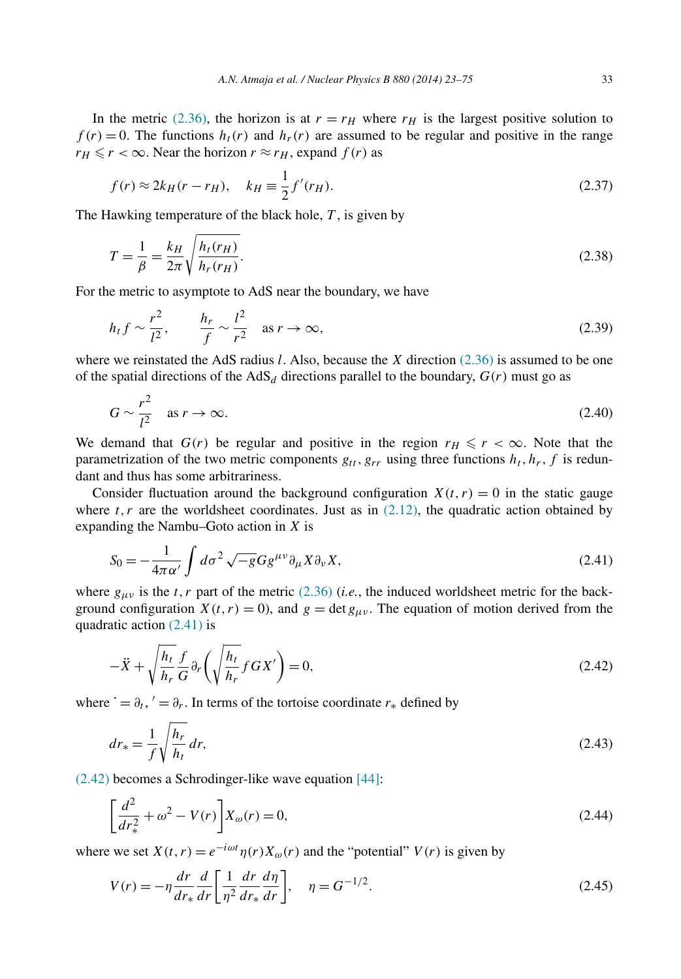<span id="page-11-0"></span>In the metric [\(2.36\),](#page-10-0) the horizon is at  $r = r_H$  where  $r_H$  is the largest positive solution to  $f(r) = 0$ . The functions  $h_t(r)$  and  $h_r(r)$  are assumed to be regular and positive in the range  $r_H \le r < \infty$ . Near the horizon  $r \approx r_H$ , expand  $f(r)$  as

$$
f(r) \approx 2k_H(r - r_H), \quad k_H \equiv \frac{1}{2} f'(r_H).
$$
 (2.37)

The Hawking temperature of the black hole, *T* , is given by

$$
T = \frac{1}{\beta} = \frac{k_H}{2\pi} \sqrt{\frac{h_t(r_H)}{h_r(r_H)}}.
$$
\n(2.38)

For the metric to asymptote to AdS near the boundary, we have

$$
h_t f \sim \frac{r^2}{l^2}, \qquad \frac{h_r}{f} \sim \frac{l^2}{r^2} \quad \text{as } r \to \infty,
$$
 (2.39)

where we reinstated the AdS radius *l*. Also, because the *X* direction [\(2.36\)](#page-10-0) is assumed to be one of the spatial directions of the AdS<sub>d</sub> directions parallel to the boundary,  $G(r)$  must go as

$$
G \sim \frac{r^2}{l^2} \quad \text{as } r \to \infty. \tag{2.40}
$$

We demand that  $G(r)$  be regular and positive in the region  $r_H \leq r < \infty$ . Note that the parametrization of the two metric components  $g_{tt}, g_{rr}$  using three functions  $h_t, h_r, f$  is redundant and thus has some arbitrariness.

Consider fluctuation around the background configuration  $X(t, r) = 0$  in the static gauge where  $t, r$  are the worldsheet coordinates. Just as in  $(2.12)$ , the quadratic action obtained by expanding the Nambu–Goto action in *X* is

$$
S_0 = -\frac{1}{4\pi\alpha'} \int d\sigma^2 \sqrt{-g} G g^{\mu\nu} \partial_\mu X \partial_\nu X,\tag{2.41}
$$

where  $g_{\mu\nu}$  is the *t*, *r* part of the metric [\(2.36\)](#page-10-0) (*i.e.*, the induced worldsheet metric for the background configuration  $X(t, r) = 0$ ), and  $g = \det g_{\mu\nu}$ . The equation of motion derived from the quadratic action (2.41) is

$$
-\ddot{X} + \sqrt{\frac{h_t}{h_r}} \frac{f}{G} \partial_r \left( \sqrt{\frac{h_t}{h_r}} f G X' \right) = 0,
$$
\n(2.42)

where  $\dot{ } = \partial_t, \dot{ } = \partial_r$ . In terms of the tortoise coordinate  $r_*$  defined by

$$
dr_* = \frac{1}{f} \sqrt{\frac{h_r}{h_t}} dr,\tag{2.43}
$$

(2.42) becomes a Schrodinger-like wave equation [\[44\]:](#page-52-0)

$$
\left[\frac{d^2}{dr_*^2} + \omega^2 - V(r)\right] X_\omega(r) = 0,
$$
\n(2.44)

where we set  $X(t, r) = e^{-i\omega t} \eta(r) X_{\omega}(r)$  and the "potential"  $V(r)$  is given by

$$
V(r) = -\eta \frac{dr}{dr_*} \frac{d}{dr} \left[ \frac{1}{\eta^2} \frac{dr}{dr_*} \frac{d\eta}{dr} \right], \quad \eta = G^{-1/2}.
$$
 (2.45)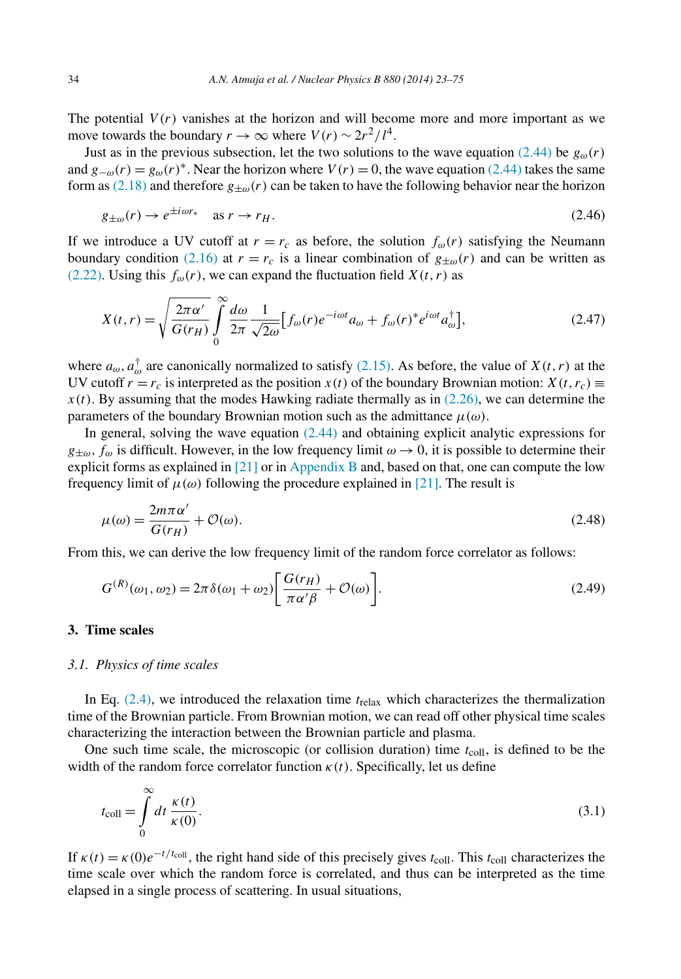<span id="page-12-0"></span>The potential  $V(r)$  vanishes at the horizon and will become more and more important as we move towards the boundary  $r \to \infty$  where  $V(r) \sim 2r^2/l^4$ .

Just as in the previous subsection, let the two solutions to the wave equation [\(2.44\)](#page-11-0) be  $g_{\omega}(r)$ and  $g_{-\omega}(r) = g_{\omega}(r)^*$ . Near the horizon where  $V(r) = 0$ , the wave equation [\(2.44\)](#page-11-0) takes the same form as [\(2.18\)](#page-7-0) and therefore  $g_{\pm\omega}(r)$  can be taken to have the following behavior near the horizon

$$
g_{\pm\omega}(r) \to e^{\pm i\omega r_*} \quad \text{as } r \to r_H. \tag{2.46}
$$

If we introduce a UV cutoff at  $r = r_c$  as before, the solution  $f_{\omega}(r)$  satisfying the Neumann boundary condition [\(2.16\)](#page-7-0) at  $r = r_c$  is a linear combination of  $g_{\pm\omega}(r)$  and can be written as [\(2.22\).](#page-8-0) Using this  $f_{\omega}(r)$ , we can expand the fluctuation field  $X(t, r)$  as

$$
X(t,r) = \sqrt{\frac{2\pi\alpha'}{G(r_H)}} \int_{0}^{\infty} \frac{d\omega}{2\pi} \frac{1}{\sqrt{2\omega}} \Big[ f_{\omega}(r) e^{-i\omega t} a_{\omega} + f_{\omega}(r)^* e^{i\omega t} a_{\omega}^{\dagger} \Big],
$$
 (2.47)

where  $a_{\omega}$ ,  $a_{\omega}^{\dagger}$  are canonically normalized to satisfy [\(2.15\).](#page-7-0) As before, the value of *X(t, r)* at the UV cutoff  $r = r_c$  is interpreted as the position  $x(t)$  of the boundary Brownian motion:  $X(t, r_c) \equiv$  $x(t)$ . By assuming that the modes Hawking radiate thermally as in  $(2.26)$ , we can determine the parameters of the boundary Brownian motion such as the admittance  $\mu(\omega)$ .

In general, solving the wave equation  $(2.44)$  and obtaining explicit analytic expressions for  $g_{\pm\omega}$ ,  $f_{\omega}$  is difficult. However, in the low frequency limit  $\omega \to 0$ , it is possible to determine their explicit forms as explained in  $[21]$  or in [Appendix B](#page-35-0) and, based on that, one can compute the low frequency limit of  $\mu(\omega)$  following the procedure explained in [\[21\].](#page-52-0) The result is

$$
\mu(\omega) = \frac{2m\pi\alpha'}{G(r_H)} + \mathcal{O}(\omega). \tag{2.48}
$$

From this, we can derive the low frequency limit of the random force correlator as follows:

$$
G^{(R)}(\omega_1, \omega_2) = 2\pi \delta(\omega_1 + \omega_2) \left[ \frac{G(r_H)}{\pi \alpha' \beta} + \mathcal{O}(\omega) \right].
$$
 (2.49)

# **3. Time scales**

# *3.1. Physics of time scales*

In Eq. [\(2.4\),](#page-4-0) we introduced the relaxation time *t*relax which characterizes the thermalization time of the Brownian particle. From Brownian motion, we can read off other physical time scales characterizing the interaction between the Brownian particle and plasma.

One such time scale, the microscopic (or collision duration) time *t*coll, is defined to be the width of the random force correlator function  $\kappa(t)$ . Specifically, let us define

$$
t_{\text{coll}} = \int_{0}^{\infty} dt \, \frac{\kappa(t)}{\kappa(0)}.
$$
\n(3.1)

If  $\kappa(t) = \kappa(0)e^{-t/t_{\text{coll}}}$ , the right hand side of this precisely gives  $t_{\text{coll}}$ . This  $t_{\text{coll}}$  characterizes the time scale over which the random force is correlated, and thus can be interpreted as the time elapsed in a single process of scattering. In usual situations,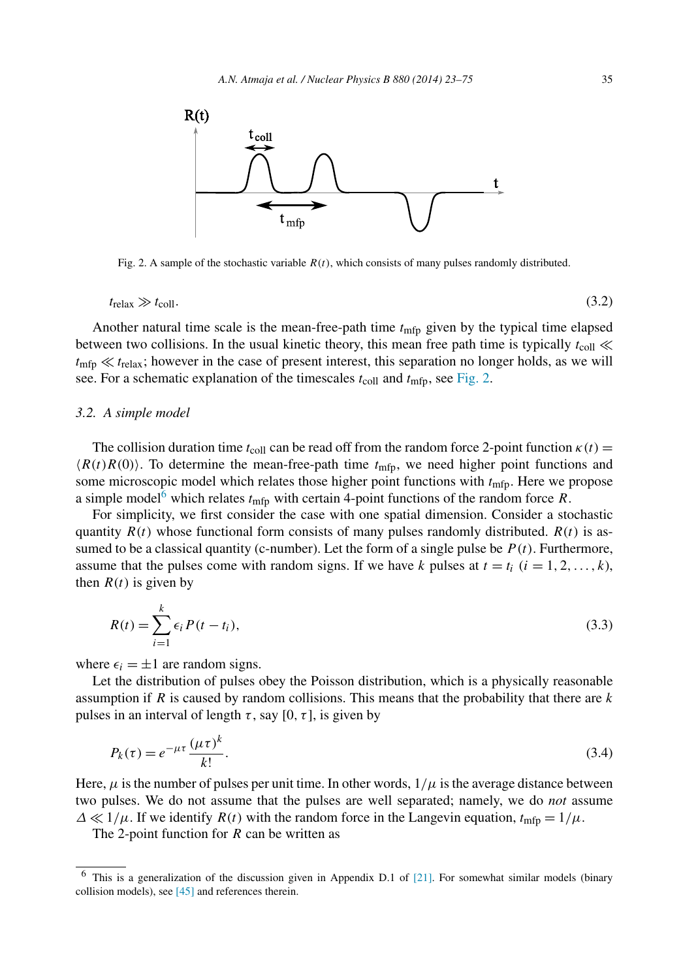<span id="page-13-0"></span>

Fig. 2. A sample of the stochastic variable *R(t)*, which consists of many pulses randomly distributed.

 $t_{\text{relax}} \gg t_{\text{coll}}.$  (3.2)

Another natural time scale is the mean-free-path time *t*mfp given by the typical time elapsed between two collisions. In the usual kinetic theory, this mean free path time is typically  $t_{\text{coll}} \ll$  $t_{\text{mfp}} \ll t_{\text{relax}}$ ; however in the case of present interest, this separation no longer holds, as we will see. For a schematic explanation of the timescales  $t_{\text{coll}}$  and  $t_{\text{mfp}}$ , see Fig. 2.

#### *3.2. A simple model*

The collision duration time  $t_{\text{coll}}$  can be read off from the random force 2-point function  $\kappa(t)$  =  $\langle R(t)R(0)\rangle$ . To determine the mean-free-path time  $t_{\text{mfp}}$ , we need higher point functions and some microscopic model which relates those higher point functions with  $t_{\text{mfp}}$ . Here we propose a simple model<sup>6</sup> which relates  $t_{\text{mfp}}$  with certain 4-point functions of the random force *R*.

For simplicity, we first consider the case with one spatial dimension. Consider a stochastic quantity  $R(t)$  whose functional form consists of many pulses randomly distributed.  $R(t)$  is assumed to be a classical quantity (c-number). Let the form of a single pulse be  $P(t)$ . Furthermore, assume that the pulses come with random signs. If we have *k* pulses at  $t = t_i$   $(i = 1, 2, \ldots, k)$ , then  $R(t)$  is given by

$$
R(t) = \sum_{i=1}^{k} \epsilon_i P(t - t_i),
$$
\n(3.3)

where  $\epsilon_i = \pm 1$  are random signs.

Let the distribution of pulses obey the Poisson distribution, which is a physically reasonable assumption if *R* is caused by random collisions. This means that the probability that there are *k* pulses in an interval of length  $\tau$ , say [0,  $\tau$ ], is given by

$$
P_k(\tau) = e^{-\mu \tau} \frac{(\mu \tau)^k}{k!}.
$$
\n(3.4)

Here,  $\mu$  is the number of pulses per unit time. In other words,  $1/\mu$  is the average distance between two pulses. We do not assume that the pulses are well separated; namely, we do *not* assume  $\Delta \ll 1/\mu$ . If we identify *R(t)* with the random force in the Langevin equation,  $t_{\text{mfp}} = 1/\mu$ .

The 2-point function for *R* can be written as

 $6$  This is a generalization of the discussion given in Appendix D.1 of [\[21\].](#page-52-0) For somewhat similar models (binary collision models), see [\[45\]](#page-52-0) and references therein.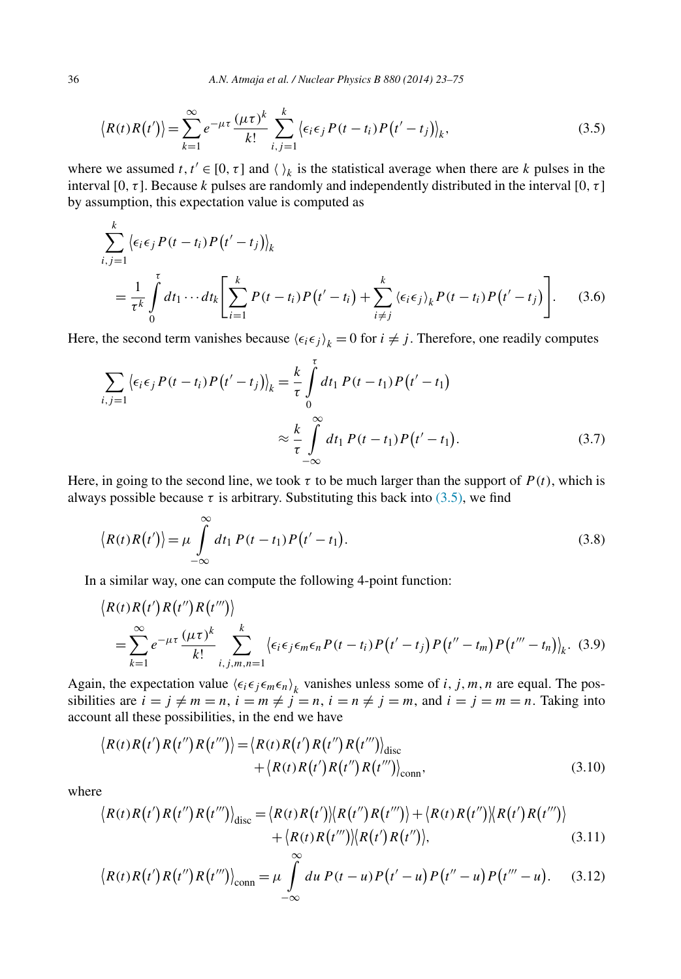<span id="page-14-0"></span>
$$
\langle R(t)R(t')\rangle = \sum_{k=1}^{\infty} e^{-\mu\tau} \frac{(\mu\tau)^k}{k!} \sum_{i,j=1}^k \langle \epsilon_i \epsilon_j P(t-t_i)P(t'-t_j)\rangle_k,
$$
\n(3.5)

where we assumed *t*,  $t' \in [0, \tau]$  and  $\langle \rangle_k$  is the statistical average when there are *k* pulses in the interval [0*,τ* ]. Because *k* pulses are randomly and independently distributed in the interval [0*,τ* ] by assumption, this expectation value is computed as

$$
\sum_{i,j=1}^{k} \left\langle \epsilon_i \epsilon_j P(t - t_i) P(t' - t_j) \right\rangle_k
$$
\n
$$
= \frac{1}{\tau^k} \int_0^{\tau} dt_1 \cdots dt_k \left[ \sum_{i=1}^{k} P(t - t_i) P(t' - t_i) + \sum_{i \neq j}^{k} \left\langle \epsilon_i \epsilon_j \right\rangle_k P(t - t_i) P(t' - t_j) \right]. \tag{3.6}
$$

Here, the second term vanishes because  $\langle \epsilon_i \epsilon_j \rangle_k = 0$  for  $i \neq j$ . Therefore, one readily computes

$$
\sum_{i,j=1} {\langle \epsilon_i \epsilon_j P(t - t_i) P(t' - t_j) \rangle}_k = \frac{k}{\tau} \int_0^{\tau} dt_1 P(t - t_1) P(t' - t_1)
$$
  

$$
\approx \frac{k}{\tau} \int_{-\infty}^{\infty} dt_1 P(t - t_1) P(t' - t_1).
$$
 (3.7)

Here, in going to the second line, we took  $\tau$  to be much larger than the support of  $P(t)$ , which is always possible because  $\tau$  is arbitrary. Substituting this back into (3.5), we find

$$
\langle R(t)R(t')\rangle = \mu \int\limits_{-\infty}^{\infty} dt_1 P(t-t_1)P(t'-t_1).
$$
\n(3.8)

In a similar way, one can compute the following 4-point function:

$$
\langle R(t)R(t')R(t'')R(t'')\rangle
$$
  
=
$$
\sum_{k=1}^{\infty}e^{-\mu\tau}\frac{(\mu\tau)^k}{k!}\sum_{i,j,m,n=1}^k\langle\epsilon_i\epsilon_j\epsilon_m\epsilon_nP(t-t_i)P(t'-t_j)P(t''-t_m)P(t'''-t_n)\rangle_k.
$$
 (3.9)

Again, the expectation value  $\langle \epsilon_i \epsilon_j \epsilon_m \epsilon_n \rangle_k$  vanishes unless some of *i*, *j*, *m*, *n* are equal. The possibilities are  $i = j \neq m = n$ ,  $i = m \neq j = n$ ,  $i = n \neq j = m$ , and  $i = j = m = n$ . Taking into account all these possibilities, in the end we have

$$
\langle R(t)R(t')R(t'')R(t'')\rangle = \langle R(t)R(t')R(t'')R(t'')\rangle_{\text{disc}}
$$
  
 
$$
+ \langle R(t)R(t')R(t'')R(t'')\rangle_{\text{conn}},
$$
 (3.10)

where

$$
\langle R(t)R(t')R(t'')R(t'')\rangle_{\text{disc}} = \langle R(t)R(t')\rangle\langle R(t'')R(t'')\rangle + \langle R(t)R(t'')\rangle\langle R(t')R(t'')\rangle
$$
  
+ 
$$
\langle R(t)R(t'')\rangle\langle R(t')R(t'')\rangle, \tag{3.11}
$$

$$
\langle R(t)R(t')R(t'')R(t''')\rangle_{\text{conn}} = \mu \int_{-\infty}^{\infty} du \, P(t-u)P(t'-u)P(t''-u)P(t'''-u). \quad (3.12)
$$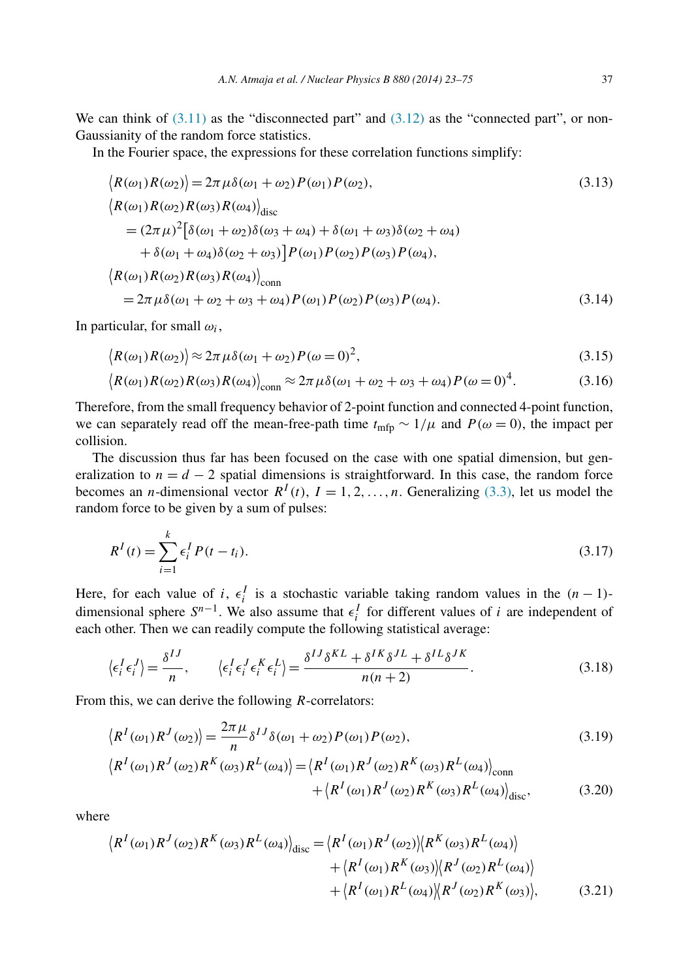<span id="page-15-0"></span>We can think of  $(3.11)$  as the "disconnected part" and  $(3.12)$  as the "connected part", or non-Gaussianity of the random force statistics.

In the Fourier space, the expressions for these correlation functions simplify:

$$
\langle R(\omega_1)R(\omega_2) \rangle = 2\pi \mu \delta(\omega_1 + \omega_2) P(\omega_1) P(\omega_2),
$$
\n
$$
\langle R(\omega_1)R(\omega_2)R(\omega_3)R(\omega_4) \rangle_{\text{disc}}
$$
\n
$$
= (2\pi \mu)^2 [\delta(\omega_1 + \omega_2)\delta(\omega_3 + \omega_4) + \delta(\omega_1 + \omega_3)\delta(\omega_2 + \omega_4)
$$
\n
$$
+ \delta(\omega_1 + \omega_4)\delta(\omega_2 + \omega_3) P(\omega_1) P(\omega_2) P(\omega_3) P(\omega_4),
$$
\n
$$
\langle R(\omega_1)R(\omega_2)R(\omega_3)R(\omega_4) \rangle_{\text{conn}}
$$
\n
$$
= 2\pi \mu \delta(\omega_1 + \omega_2 + \omega_3 + \omega_4) P(\omega_1) P(\omega_2) P(\omega_3) P(\omega_4).
$$
\n(3.14)

In particular, for small *ωi*,

$$
\langle R(\omega_1)R(\omega_2) \rangle \approx 2\pi \mu \delta(\omega_1 + \omega_2) P(\omega = 0)^2,
$$
\n(3.15)

$$
\langle R(\omega_1)R(\omega_2)R(\omega_3)R(\omega_4)\rangle_{\text{conn}} \approx 2\pi\,\mu\delta(\omega_1+\omega_2+\omega_3+\omega_4)P(\omega=0)^4. \tag{3.16}
$$

Therefore, from the small frequency behavior of 2-point function and connected 4-point function, we can separately read off the mean-free-path time  $t_{\text{mfp}} \sim 1/\mu$  and  $P(\omega = 0)$ , the impact per collision.

The discussion thus far has been focused on the case with one spatial dimension, but generalization to  $n = d - 2$  spatial dimensions is straightforward. In this case, the random force becomes an *n*-dimensional vector  $R^I(t)$ ,  $I = 1, 2, ..., n$ . Generalizing [\(3.3\),](#page-13-0) let us model the random force to be given by a sum of pulses:

$$
R^{I}(t) = \sum_{i=1}^{k} \epsilon_{i}^{I} P(t - t_{i}).
$$
\n(3.17)

Here, for each value of *i*,  $\epsilon_i^I$  is a stochastic variable taking random values in the  $(n-1)$ dimensional sphere  $S^{n-1}$ . We also assume that  $\epsilon_i^I$  for different values of *i* are independent of each other. Then we can readily compute the following statistical average:

$$
\langle \epsilon_i^I \epsilon_i^J \rangle = \frac{\delta^{IJ}}{n}, \qquad \langle \epsilon_i^I \epsilon_i^J \epsilon_i^K \epsilon_i^L \rangle = \frac{\delta^{IJ} \delta^{KL} + \delta^{IK} \delta^{J} + \delta^{IL} \delta^{JK}}{n(n+2)}.
$$
\n(3.18)

From this, we can derive the following *R*-correlators:

$$
\langle R^{I}(\omega_1)R^{J}(\omega_2)\rangle = \frac{2\pi\mu}{n}\delta^{IJ}\delta(\omega_1+\omega_2)P(\omega_1)P(\omega_2),\tag{3.19}
$$

$$
\langle R^{I}(\omega_{1})R^{J}(\omega_{2})R^{K}(\omega_{3})R^{L}(\omega_{4})\rangle = \langle R^{I}(\omega_{1})R^{J}(\omega_{2})R^{K}(\omega_{3})R^{L}(\omega_{4})\rangle_{\text{conn}}
$$

$$
+ \langle R^{I}(\omega_{1})R^{J}(\omega_{2})R^{K}(\omega_{3})R^{L}(\omega_{4})\rangle_{\text{disc}}, \tag{3.20}
$$

where

$$
\langle R^{I}(\omega_{1})R^{J}(\omega_{2})R^{K}(\omega_{3})R^{L}(\omega_{4})\rangle_{\text{disc}} = \langle R^{I}(\omega_{1})R^{J}(\omega_{2})\rangle\langle R^{K}(\omega_{3})R^{L}(\omega_{4})\rangle
$$
  
 
$$
+ \langle R^{I}(\omega_{1})R^{K}(\omega_{3})\rangle\langle R^{J}(\omega_{2})R^{L}(\omega_{4})\rangle
$$
  
 
$$
+ \langle R^{I}(\omega_{1})R^{L}(\omega_{4})\rangle\langle R^{J}(\omega_{2})R^{K}(\omega_{3})\rangle, \qquad (3.21)
$$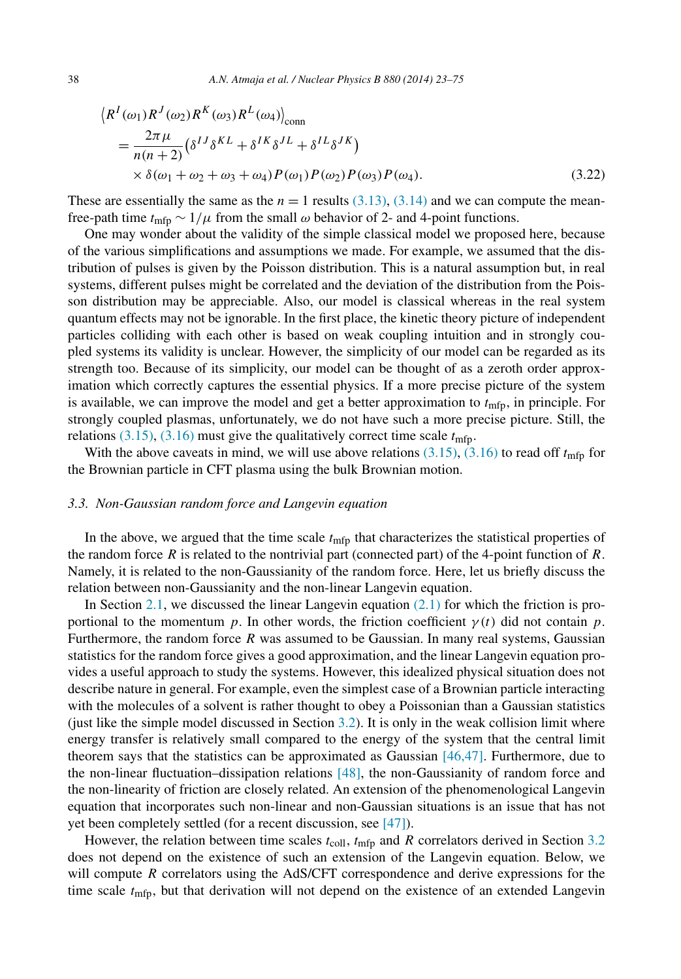<span id="page-16-0"></span>
$$
\langle R^{I}(\omega_{1})R^{J}(\omega_{2})R^{K}(\omega_{3})R^{L}(\omega_{4})\rangle_{\text{conn}}
$$
  
= 
$$
\frac{2\pi\mu}{n(n+2)}(\delta^{IJ}\delta^{KL} + \delta^{IK}\delta^{JL} + \delta^{IL}\delta^{JK})
$$
  

$$
\times \delta(\omega_{1} + \omega_{2} + \omega_{3} + \omega_{4})P(\omega_{1})P(\omega_{2})P(\omega_{3})P(\omega_{4}).
$$
 (3.22)

These are essentially the same as the  $n = 1$  results [\(3.13\),](#page-15-0) [\(3.14\)](#page-15-0) and we can compute the meanfree-path time  $t_{\text{mfp}} \sim 1/\mu$  from the small  $\omega$  behavior of 2- and 4-point functions.

One may wonder about the validity of the simple classical model we proposed here, because of the various simplifications and assumptions we made. For example, we assumed that the distribution of pulses is given by the Poisson distribution. This is a natural assumption but, in real systems, different pulses might be correlated and the deviation of the distribution from the Poisson distribution may be appreciable. Also, our model is classical whereas in the real system quantum effects may not be ignorable. In the first place, the kinetic theory picture of independent particles colliding with each other is based on weak coupling intuition and in strongly coupled systems its validity is unclear. However, the simplicity of our model can be regarded as its strength too. Because of its simplicity, our model can be thought of as a zeroth order approximation which correctly captures the essential physics. If a more precise picture of the system is available, we can improve the model and get a better approximation to *t*mfp, in principle. For strongly coupled plasmas, unfortunately, we do not have such a more precise picture. Still, the relations  $(3.15)$ ,  $(3.16)$  must give the qualitatively correct time scale  $t_{\text{mfp}}$ .

With the above caveats in mind, we will use above relations  $(3.15)$ ,  $(3.16)$  to read off  $t<sub>min</sub>$  for the Brownian particle in CFT plasma using the bulk Brownian motion.

#### *3.3. Non-Gaussian random force and Langevin equation*

In the above, we argued that the time scale  $t_{\text{mfp}}$  that characterizes the statistical properties of the random force  $R$  is related to the nontrivial part (connected part) of the 4-point function of  $R$ . Namely, it is related to the non-Gaussianity of the random force. Here, let us briefly discuss the relation between non-Gaussianity and the non-linear Langevin equation.

In Section [2.1,](#page-4-0) we discussed the linear Langevin equation  $(2.1)$  for which the friction is proportional to the momentum *p*. In other words, the friction coefficient  $\gamma(t)$  did not contain *p*. Furthermore, the random force *R* was assumed to be Gaussian. In many real systems, Gaussian statistics for the random force gives a good approximation, and the linear Langevin equation provides a useful approach to study the systems. However, this idealized physical situation does not describe nature in general. For example, even the simplest case of a Brownian particle interacting with the molecules of a solvent is rather thought to obey a Poissonian than a Gaussian statistics (just like the simple model discussed in Section [3.2\)](#page-13-0). It is only in the weak collision limit where energy transfer is relatively small compared to the energy of the system that the central limit theorem says that the statistics can be approximated as Gaussian  $[46,47]$ . Furthermore, due to the non-linear fluctuation–dissipation relations [\[48\],](#page-52-0) the non-Gaussianity of random force and the non-linearity of friction are closely related. An extension of the phenomenological Langevin equation that incorporates such non-linear and non-Gaussian situations is an issue that has not yet been completely settled (for a recent discussion, see [\[47\]\)](#page-52-0).

However, the relation between time scales  $t_{\text{coll}}$ ,  $t_{\text{mfp}}$  and *R* correlators derived in Section [3.2](#page-13-0) does not depend on the existence of such an extension of the Langevin equation. Below, we will compute *R* correlators using the AdS/CFT correspondence and derive expressions for the time scale *t*mfp, but that derivation will not depend on the existence of an extended Langevin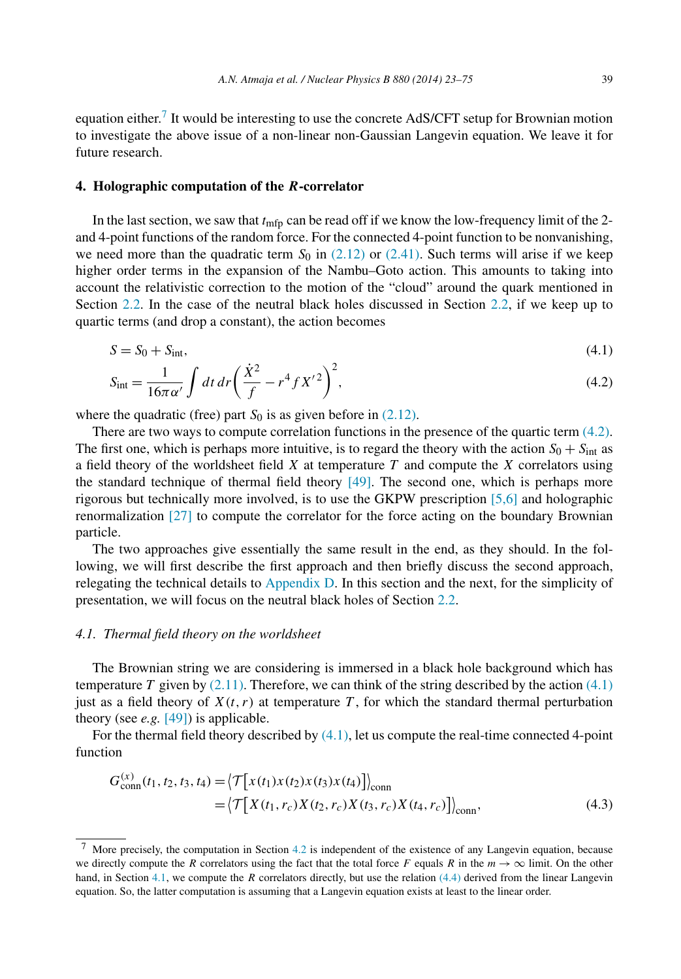<span id="page-17-0"></span>equation either.<sup>7</sup> It would be interesting to use the concrete AdS/CFT setup for Brownian motion to investigate the above issue of a non-linear non-Gaussian Langevin equation. We leave it for future research.

#### **4. Holographic computation of the** *R***-correlator**

In the last section, we saw that  $t_{\text{mfp}}$  can be read off if we know the low-frequency limit of the 2and 4-point functions of the random force. For the connected 4-point function to be nonvanishing, we need more than the quadratic term  $S_0$  in [\(2.12\)](#page-6-0) or [\(2.41\).](#page-11-0) Such terms will arise if we keep higher order terms in the expansion of the Nambu–Goto action. This amounts to taking into account the relativistic correction to the motion of the "cloud" around the quark mentioned in Section [2.2.](#page-5-0) In the case of the neutral black holes discussed in Section [2.2,](#page-5-0) if we keep up to quartic terms (and drop a constant), the action becomes

$$
S = S_0 + S_{\text{int}},\tag{4.1}
$$

$$
S_{\rm int} = \frac{1}{16\pi\alpha'} \int dt \, dr \left(\frac{\dot{X}^2}{f} - r^4 f X'^2\right)^2,\tag{4.2}
$$

where the quadratic (free) part  $S_0$  is as given before in  $(2.12)$ .

There are two ways to compute correlation functions in the presence of the quartic term (4.2). The first one, which is perhaps more intuitive, is to regard the theory with the action  $S_0 + S_{\text{int}}$  as a field theory of the worldsheet field *X* at temperature *T* and compute the *X* correlators using the standard technique of thermal field theory  $[49]$ . The second one, which is perhaps more rigorous but technically more involved, is to use the GKPW prescription [\[5,6\]](#page-51-0) and holographic renormalization [\[27\]](#page-52-0) to compute the correlator for the force acting on the boundary Brownian particle.

The two approaches give essentially the same result in the end, as they should. In the following, we will first describe the first approach and then briefly discuss the second approach, relegating the technical details to [Appendix D.](#page-40-0) In this section and the next, for the simplicity of presentation, we will focus on the neutral black holes of Section [2.2.](#page-5-0)

#### *4.1. Thermal field theory on the worldsheet*

The Brownian string we are considering is immersed in a black hole background which has temperature *T* given by  $(2.11)$ . Therefore, we can think of the string described by the action  $(4.1)$ just as a field theory of  $X(t, r)$  at temperature T, for which the standard thermal perturbation theory (see *e.g.* [\[49\]\)](#page-53-0) is applicable.

For the thermal field theory described by (4.1), let us compute the real-time connected 4-point function

$$
G_{\text{conn}}^{(x)}(t_1, t_2, t_3, t_4) = \left\langle \mathcal{T} \left[ x(t_1) x(t_2) x(t_3) x(t_4) \right] \right\rangle_{\text{conn}}
$$
  
=\left\langle \mathcal{T} \left[ X(t\_1, r\_c) X(t\_2, r\_c) X(t\_3, r\_c) X(t\_4, r\_c) \right] \right\rangle\_{\text{conn}}, (4.3)

More precisely, the computation in Section [4.2](#page-20-0) is independent of the existence of any Langevin equation, because we directly compute the *R* correlators using the fact that the total force *F* equals *R* in the  $m \to \infty$  limit. On the other hand, in Section 4.1, we compute the *R* correlators directly, but use the relation [\(4.4\)](#page-18-0) derived from the linear Langevin equation. So, the latter computation is assuming that a Langevin equation exists at least to the linear order.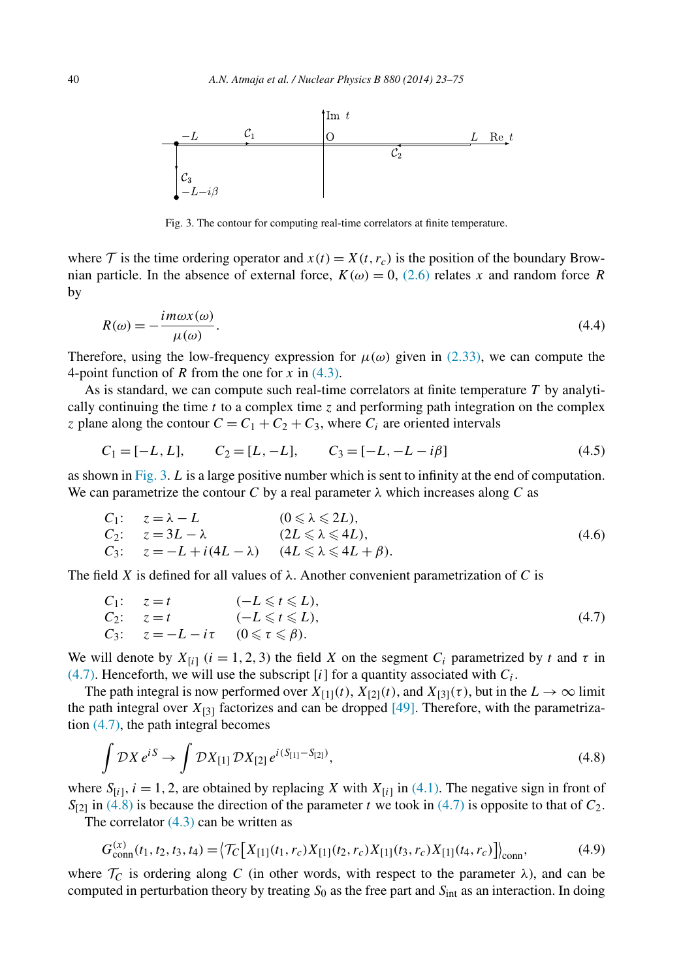<span id="page-18-0"></span>

Fig. 3. The contour for computing real-time correlators at finite temperature.

where  $\mathcal T$  is the time ordering operator and  $x(t) = X(t, r_c)$  is the position of the boundary Brownian particle. In the absence of external force,  $K(\omega) = 0$ , [\(2.6\)](#page-4-0) relates *x* and random force *R* by

$$
R(\omega) = -\frac{im\omega x(\omega)}{\mu(\omega)}.\tag{4.4}
$$

Therefore, using the low-frequency expression for  $\mu(\omega)$  given in [\(2.33\),](#page-9-0) we can compute the 4-point function of *R* from the one for *x* in [\(4.3\).](#page-17-0)

As is standard, we can compute such real-time correlators at finite temperature *T* by analytically continuing the time *t* to a complex time *z* and performing path integration on the complex *z* plane along the contour  $C = C_1 + C_2 + C_3$ , where  $C_i$  are oriented intervals

$$
C_1 = [-L, L], \qquad C_2 = [L, -L], \qquad C_3 = [-L, -L - i\beta]
$$
\n
$$
(4.5)
$$

as shown in Fig. 3. *L* is a large positive number which is sent to infinity at the end of computation. We can parametrize the contour *C* by a real parameter  $\lambda$  which increases along *C* as

$$
C_1: \t z = \lambda - L \t (0 \le \lambda \le 2L),
$$
  
\n
$$
C_2: \t z = 3L - \lambda \t (2L \le \lambda \le 4L),
$$
  
\n
$$
C_3: \t z = -L + i(4L - \lambda) \t (4L \le \lambda \le 4L + \beta).
$$
  
\n(4.6)

The field *X* is defined for all values of  $\lambda$ . Another convenient parametrization of *C* is

$$
C_1: \t z = t \t (-L \leq t \leq L),
$$
  
\n
$$
C_2: \t z = t \t (-L \leq t \leq L),
$$
  
\n
$$
C_3: \t z = -L - i\tau \t (0 \leq \tau \leq \beta).
$$
\n
$$
(4.7)
$$

We will denote by  $X_{[i]}$  ( $i = 1, 2, 3$ ) the field X on the segment  $C_i$  parametrized by t and  $\tau$  in  $(4.7)$ . Henceforth, we will use the subscript [*i*] for a quantity associated with  $C_i$ .

The path integral is now performed over  $X_{[1]}(t)$ ,  $X_{[2]}(t)$ , and  $X_{[3]}(\tau)$ , but in the  $L \to \infty$  limit the path integral over  $X_{[3]}$  factorizes and can be dropped [\[49\].](#page-53-0) Therefore, with the parametrization (4.7), the path integral becomes

$$
\int \mathcal{D}X \, e^{iS} \to \int \mathcal{D}X_{[1]} \, \mathcal{D}X_{[2]} \, e^{i(S_{[1]} - S_{[2]})},\tag{4.8}
$$

where  $S_{[i]}$ ,  $i = 1, 2$ , are obtained by replacing *X* with  $X_{[i]}$  in [\(4.1\).](#page-17-0) The negative sign in front of  $S_{[2]}$  in (4.8) is because the direction of the parameter *t* we took in (4.7) is opposite to that of  $C_2$ .

The correlator  $(4.3)$  can be written as

$$
G_{\text{conn}}^{(x)}(t_1, t_2, t_3, t_4) = \left\langle \mathcal{T}_C \left[ X_{[1]}(t_1, r_c) X_{[1]}(t_2, r_c) X_{[1]}(t_3, r_c) X_{[1]}(t_4, r_c) \right] \right\rangle_{\text{conn}},\tag{4.9}
$$

where  $\mathcal{T}_C$  is ordering along C (in other words, with respect to the parameter  $\lambda$ ), and can be computed in perturbation theory by treating *S*<sup>0</sup> as the free part and *S*int as an interaction. In doing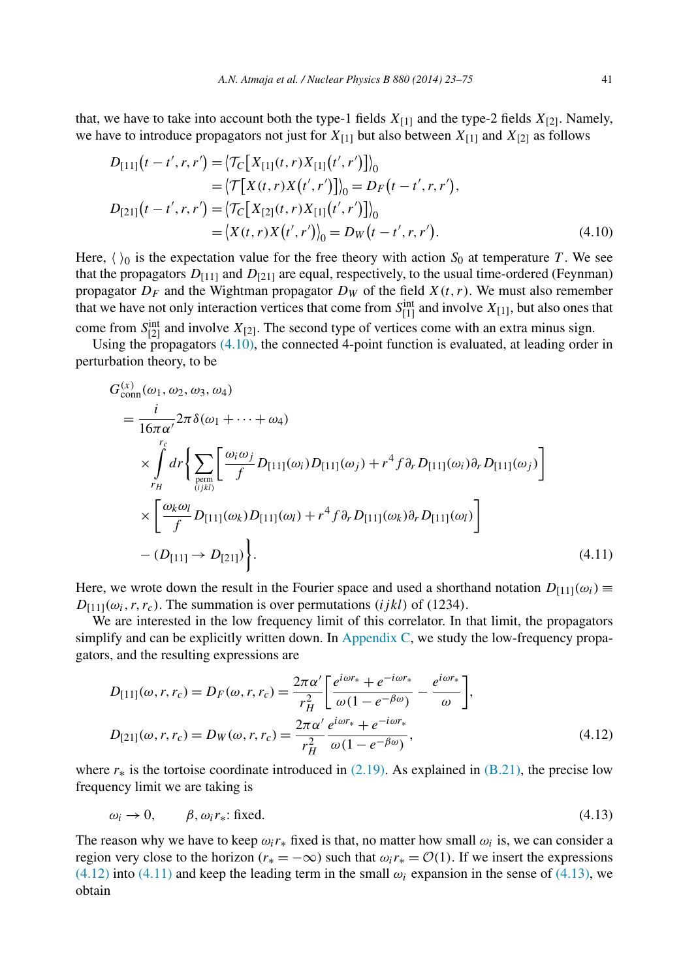<span id="page-19-0"></span>that, we have to take into account both the type-1 fields  $X_{[1]}$  and the type-2 fields  $X_{[2]}$ . Namely, we have to introduce propagators not just for  $X_{[1]}$  but also between  $X_{[1]}$  and  $X_{[2]}$  as follows

$$
D_{[11]}(t - t', r, r') = \langle \mathcal{T}_C[X_{[1]}(t, r)X_{[1]}(t', r')] \rangle_0
$$
  
\n
$$
= \langle \mathcal{T}[X(t, r)X(t', r')] \rangle_0 = D_F(t - t', r, r'),
$$
  
\n
$$
D_{[21]}(t - t', r, r') = \langle \mathcal{T}_C[X_{[2]}(t, r)X_{[1]}(t', r')] \rangle_0
$$
  
\n
$$
= \langle X(t, r)X(t', r') \rangle_0 = D_W(t - t', r, r').
$$
\n(4.10)

Here,  $\langle \rangle_0$  is the expectation value for the free theory with action *S*<sub>0</sub> at temperature *T*. We see that the propagators  $D_{[11]}$  and  $D_{[21]}$  are equal, respectively, to the usual time-ordered (Feynman) propagator  $D_F$  and the Wightman propagator  $D_W$  of the field  $X(t, r)$ . We must also remember that we have not only interaction vertices that come from  $S_{[1]}^{\text{int}}$  and involve  $X_{[1]}$ , but also ones that

come from  $S_{[2]}^{\text{int}}$  and involve  $X_{[2]}$ . The second type of vertices come with an extra minus sign.

Using the propagators  $(4.10)$ , the connected 4-point function is evaluated, at leading order in perturbation theory, to be

$$
G_{\text{conn}}^{(x)}(\omega_1, \omega_2, \omega_3, \omega_4)
$$
\n
$$
= \frac{i}{16\pi\alpha'} 2\pi \delta(\omega_1 + \dots + \omega_4)
$$
\n
$$
\times \int_{r_H}^{r_c} dr \Biggl\{ \sum_{\text{perm}} \Biggl[ \frac{\omega_i \omega_j}{f} D_{[11]}(\omega_i) D_{[11]}(\omega_j) + r^4 f \partial_r D_{[11]}(\omega_i) \partial_r D_{[11]}(\omega_j) \Biggr]
$$
\n
$$
\times \Biggl[ \frac{\omega_k \omega_l}{f} D_{[11]}(\omega_k) D_{[11]}(\omega_l) + r^4 f \partial_r D_{[11]}(\omega_k) \partial_r D_{[11]}(\omega_l) \Biggr]
$$
\n
$$
- (D_{[11]} \to D_{[21]}) \Biggr\}.
$$
\n(4.11)

Here, we wrote down the result in the Fourier space and used a shorthand notation  $D_{[11]}(\omega_i) \equiv$  $D_{[11]}(\omega_i, r, r_c)$ . The summation is over permutations *(ijkl)* of *(1234)*.

We are interested in the low frequency limit of this correlator. In that limit, the propagators simplify and can be explicitly written down. In [Appendix C,](#page-37-0) we study the low-frequency propagators, and the resulting expressions are

$$
D_{[11]}(\omega, r, r_c) = D_F(\omega, r, r_c) = \frac{2\pi\alpha'}{r_H^2} \left[ \frac{e^{i\omega r_*} + e^{-i\omega r_*}}{\omega(1 - e^{-\beta\omega})} - \frac{e^{i\omega r_*}}{\omega} \right],
$$
  
\n
$$
D_{[21]}(\omega, r, r_c) = D_W(\omega, r, r_c) = \frac{2\pi\alpha'}{r_H^2} \frac{e^{i\omega r_*} + e^{-i\omega r_*}}{\omega(1 - e^{-\beta\omega})},
$$
\n(4.12)

where  $r_*$  is the tortoise coordinate introduced in  $(2.19)$ . As explained in  $(B.21)$ , the precise low frequency limit we are taking is

$$
\omega_i \to 0, \qquad \beta, \omega_i r_* \text{: fixed.} \tag{4.13}
$$

The reason why we have to keep  $\omega_i r_*$  fixed is that, no matter how small  $\omega_i$  is, we can consider a region very close to the horizon  $(r_* = -\infty)$  such that  $\omega_i r_* = \mathcal{O}(1)$ . If we insert the expressions  $(4.12)$  into  $(4.11)$  and keep the leading term in the small  $\omega_i$  expansion in the sense of  $(4.13)$ , we obtain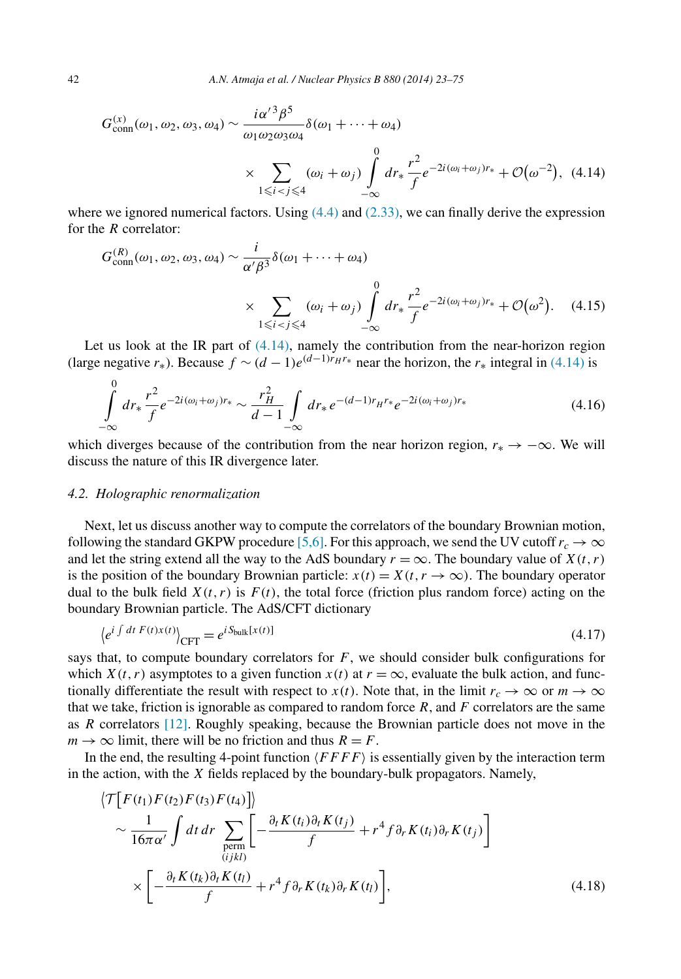<span id="page-20-0"></span>
$$
G_{\text{conn}}^{(x)}(\omega_1, \omega_2, \omega_3, \omega_4) \sim \frac{i\alpha'^3 \beta^5}{\omega_1 \omega_2 \omega_3 \omega_4} \delta(\omega_1 + \dots + \omega_4)
$$
  
 
$$
\times \sum_{1 \leq i < j \leq 4} (\omega_i + \omega_j) \int_{-\infty}^0 dr_* \frac{r^2}{f} e^{-2i(\omega_i + \omega_j)r_*} + \mathcal{O}(\omega^{-2}), \tag{4.14}
$$

where we ignored numerical factors. Using  $(4.4)$  and  $(2.33)$ , we can finally derive the expression for the *R* correlator:

$$
G_{\text{conn}}^{(R)}(\omega_1, \omega_2, \omega_3, \omega_4) \sim \frac{i}{\alpha'\beta^3} \delta(\omega_1 + \dots + \omega_4)
$$
  
 
$$
\times \sum_{1 \leq i < j \leq 4} (\omega_i + \omega_j) \int_{-\infty}^0 dr_* \frac{r^2}{f} e^{-2i(\omega_i + \omega_j)r_*} + \mathcal{O}(\omega^2). \tag{4.15}
$$

Let us look at the IR part of  $(4.14)$ , namely the contribution from the near-horizon region (large negative  $r_*$ ). Because  $f \sim (d-1)e^{(d-1)r_Hr_*}$  near the horizon, the  $r_*$  integral in (4.14) is

$$
\int_{-\infty}^{0} dr_{*} \frac{r^{2}}{f} e^{-2i(\omega_{i}+\omega_{j})r_{*}} \sim \frac{r_{H}^{2}}{d-1} \int_{-\infty}^{1} dr_{*} e^{-(d-1)r_{H}r_{*}} e^{-2i(\omega_{i}+\omega_{j})r_{*}}
$$
(4.16)

which diverges because of the contribution from the near horizon region,  $r_* \to -\infty$ . We will discuss the nature of this IR divergence later.

# *4.2. Holographic renormalization*

Next, let us discuss another way to compute the correlators of the boundary Brownian motion, following the standard GKPW procedure [\[5,6\].](#page-51-0) For this approach, we send the UV cutoff  $r_c \to \infty$ and let the string extend all the way to the AdS boundary  $r = \infty$ . The boundary value of  $X(t, r)$ is the position of the boundary Brownian particle:  $x(t) = X(t, r \rightarrow \infty)$ . The boundary operator dual to the bulk field  $X(t, r)$  is  $F(t)$ , the total force (friction plus random force) acting on the boundary Brownian particle. The AdS/CFT dictionary

$$
\left\langle e^{i \int dt \ F(t)x(t)} \right\rangle_{\text{CFT}} = e^{i S_{\text{bulk}}[x(t)]} \tag{4.17}
$$

says that, to compute boundary correlators for  $F$ , we should consider bulk configurations for which  $X(t, r)$  asymptotes to a given function  $x(t)$  at  $r = \infty$ , evaluate the bulk action, and functionally differentiate the result with respect to *x(t)*. Note that, in the limit  $r_c \to \infty$  or  $m \to \infty$ that we take, friction is ignorable as compared to random force  $R$ , and  $F$  correlators are the same as *R* correlators [\[12\].](#page-51-0) Roughly speaking, because the Brownian particle does not move in the  $m \rightarrow \infty$  limit, there will be no friction and thus  $R = F$ .

In the end, the resulting 4-point function  $\langle FFFF \rangle$  is essentially given by the interaction term in the action, with the *X* fields replaced by the boundary-bulk propagators. Namely,

$$
\langle \mathcal{T}\big[F(t_1)F(t_2)F(t_3)F(t_4)\big]\rangle
$$
  
\n
$$
\sim \frac{1}{16\pi\alpha'} \int dt \, dr \sum_{\substack{\text{perm} \\ (i j k l)}} \left[ -\frac{\partial_t K(t_i)\partial_t K(t_j)}{f} + r^4 f \partial_r K(t_i)\partial_r K(t_j) \right]
$$
  
\n
$$
\times \left[ -\frac{\partial_t K(t_k)\partial_t K(t_l)}{f} + r^4 f \partial_r K(t_k)\partial_r K(t_l) \right],
$$
\n(4.18)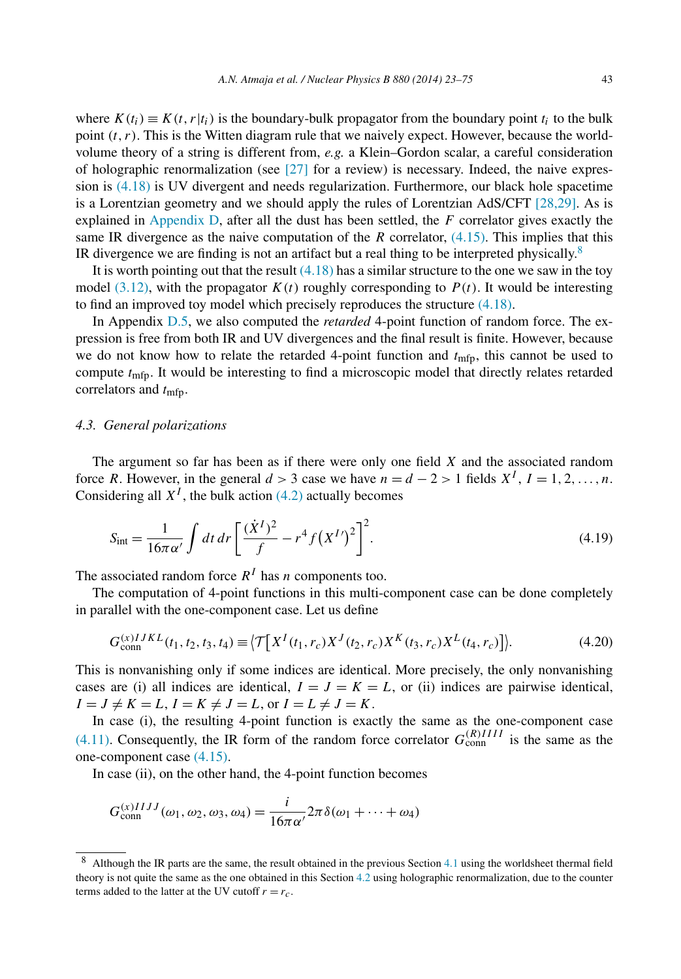where  $K(t_i) \equiv K(t, r|t_i)$  is the boundary-bulk propagator from the boundary point  $t_i$  to the bulk point *(t,r)*. This is the Witten diagram rule that we naively expect. However, because the worldvolume theory of a string is different from, *e.g.* a Klein–Gordon scalar, a careful consideration of holographic renormalization (see  $[27]$  for a review) is necessary. Indeed, the naive expression is [\(4.18\)](#page-20-0) is UV divergent and needs regularization. Furthermore, our black hole spacetime is a Lorentzian geometry and we should apply the rules of Lorentzian AdS/CFT [\[28,29\].](#page-52-0) As is explained in [Appendix D,](#page-40-0) after all the dust has been settled, the *F* correlator gives exactly the same IR divergence as the naive computation of the *R* correlator, [\(4.15\).](#page-20-0) This implies that this IR divergence we are finding is not an artifact but a real thing to be interpreted physically. $8$ 

It is worth pointing out that the result  $(4.18)$  has a similar structure to the one we saw in the toy model [\(3.12\),](#page-14-0) with the propagator  $K(t)$  roughly corresponding to  $P(t)$ . It would be interesting to find an improved toy model which precisely reproduces the structure [\(4.18\).](#page-20-0)

In Appendix [D.5,](#page-49-0) we also computed the *retarded* 4-point function of random force. The expression is free from both IR and UV divergences and the final result is finite. However, because we do not know how to relate the retarded 4-point function and  $t_{\text{mfp}}$ , this cannot be used to compute *t*mfp. It would be interesting to find a microscopic model that directly relates retarded correlators and  $t_{\text{mfp}}$ .

# *4.3. General polarizations*

The argument so far has been as if there were only one field *X* and the associated random force *R*. However, in the general  $d > 3$  case we have  $n = d - 2 > 1$  fields  $X^I$ ,  $I = 1, 2, ..., n$ . Considering all  $X<sup>I</sup>$ , the bulk action [\(4.2\)](#page-17-0) actually becomes

$$
S_{\rm int} = \frac{1}{16\pi\alpha'} \int dt \, dr \left[ \frac{(\dot{X}^I)^2}{f} - r^4 f (X^I)^2 \right]^2.
$$
 (4.19)

The associated random force  $R^I$  has *n* components too.

The computation of 4-point functions in this multi-component case can be done completely in parallel with the one-component case. Let us define

$$
G_{\text{conn}}^{(x)IJKL}(t_1, t_2, t_3, t_4) \equiv \left\langle \mathcal{T} \left[ X^I(t_1, r_c) X^J(t_2, r_c) X^K(t_3, r_c) X^L(t_4, r_c) \right] \right\rangle. \tag{4.20}
$$

This is nonvanishing only if some indices are identical. More precisely, the only nonvanishing cases are (i) all indices are identical,  $I = J = K = L$ , or (ii) indices are pairwise identical,  $I = J \neq K = L, I = K \neq J = L,$  or  $I = L \neq J = K$ .

In case (i), the resulting 4-point function is exactly the same as the one-component case [\(4.11\).](#page-19-0) Consequently, the IR form of the random force correlator  $G_{\text{conn}}^{(R)III}$  is the same as the one-component case [\(4.15\).](#page-20-0)

In case (ii), on the other hand, the 4-point function becomes

$$
G_{\text{conn}}^{(x)IIJJ}(\omega_1, \omega_2, \omega_3, \omega_4) = \frac{i}{16\pi\alpha'} 2\pi \delta(\omega_1 + \dots + \omega_4)
$$

<sup>8</sup> Although the IR parts are the same, the result obtained in the previous Section [4.1](#page-17-0) using the worldsheet thermal field theory is not quite the same as the one obtained in this Section [4.2](#page-20-0) using holographic renormalization, due to the counter terms added to the latter at the UV cutoff  $r = r_c$ .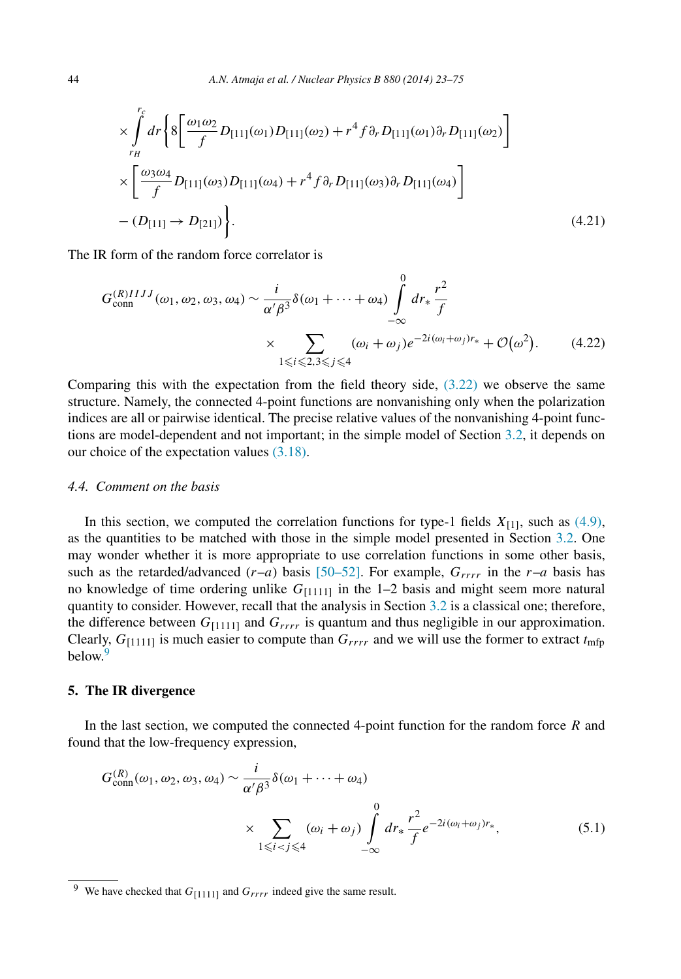<span id="page-22-0"></span>
$$
\times \int_{r_H}^{r_c} dr \Biggl\{ 8 \Biggl[ \frac{\omega_1 \omega_2}{f} D_{[11]}(\omega_1) D_{[11]}(\omega_2) + r^4 f \partial_r D_{[11]}(\omega_1) \partial_r D_{[11]}(\omega_2) \Biggr] \times \Biggl[ \frac{\omega_3 \omega_4}{f} D_{[11]}(\omega_3) D_{[11]}(\omega_4) + r^4 f \partial_r D_{[11]}(\omega_3) \partial_r D_{[11]}(\omega_4) \Biggr] - (D_{[11]} \rightarrow D_{[21]}) \Biggr\} .
$$
\n(4.21)

The IR form of the random force correlator is

$$
G_{\text{conn}}^{(R)IIIJ}(\omega_1, \omega_2, \omega_3, \omega_4) \sim \frac{i}{\alpha' \beta^3} \delta(\omega_1 + \dots + \omega_4) \int_{-\infty}^0 dr_* \frac{r^2}{f}
$$
  
 
$$
\times \sum_{1 \le i \le 2, 3 \le j \le 4} (\omega_i + \omega_j) e^{-2i(\omega_i + \omega_j)r_*} + \mathcal{O}(\omega^2). \tag{4.22}
$$

Comparing this with the expectation from the field theory side,  $(3.22)$  we observe the same structure. Namely, the connected 4-point functions are nonvanishing only when the polarization indices are all or pairwise identical. The precise relative values of the nonvanishing 4-point functions are model-dependent and not important; in the simple model of Section [3.2,](#page-13-0) it depends on our choice of the expectation values [\(3.18\).](#page-15-0)

# *4.4. Comment on the basis*

In this section, we computed the correlation functions for type-1 fields  $X_{[1]}$ , such as [\(4.9\),](#page-18-0) as the quantities to be matched with those in the simple model presented in Section [3.2.](#page-13-0) One may wonder whether it is more appropriate to use correlation functions in some other basis, such as the retarded/advanced  $(r-a)$  basis [\[50–52\].](#page-53-0) For example,  $G_{rrrr}$  in the  $r-a$  basis has no knowledge of time ordering unlike  $G_{[1111]}$  in the 1–2 basis and might seem more natural quantity to consider. However, recall that the analysis in Section [3.2](#page-13-0) is a classical one; therefore, the difference between  $G_{[1111]}$  and  $G_{rrrr}$  is quantum and thus negligible in our approximation. Clearly,  $G_{[1111]}$  is much easier to compute than  $G_{rrrr}$  and we will use the former to extract  $t_{\text{mfp}}$  $\frac{1}{2}$ below

# **5. The IR divergence**

In the last section, we computed the connected 4-point function for the random force *R* and found that the low-frequency expression,

$$
G_{\text{conn}}^{(R)}(\omega_1, \omega_2, \omega_3, \omega_4) \sim \frac{i}{\alpha'\beta^3} \delta(\omega_1 + \dots + \omega_4)
$$
  
 
$$
\times \sum_{1 \leq i < j \leq 4} (\omega_i + \omega_j) \int_{-\infty}^0 dr_* \frac{r^2}{f} e^{-2i(\omega_i + \omega_j)r_*}, \tag{5.1}
$$

<sup>&</sup>lt;sup>9</sup> We have checked that  $G_{[1111]}$  and  $G_{rrrr}$  indeed give the same result.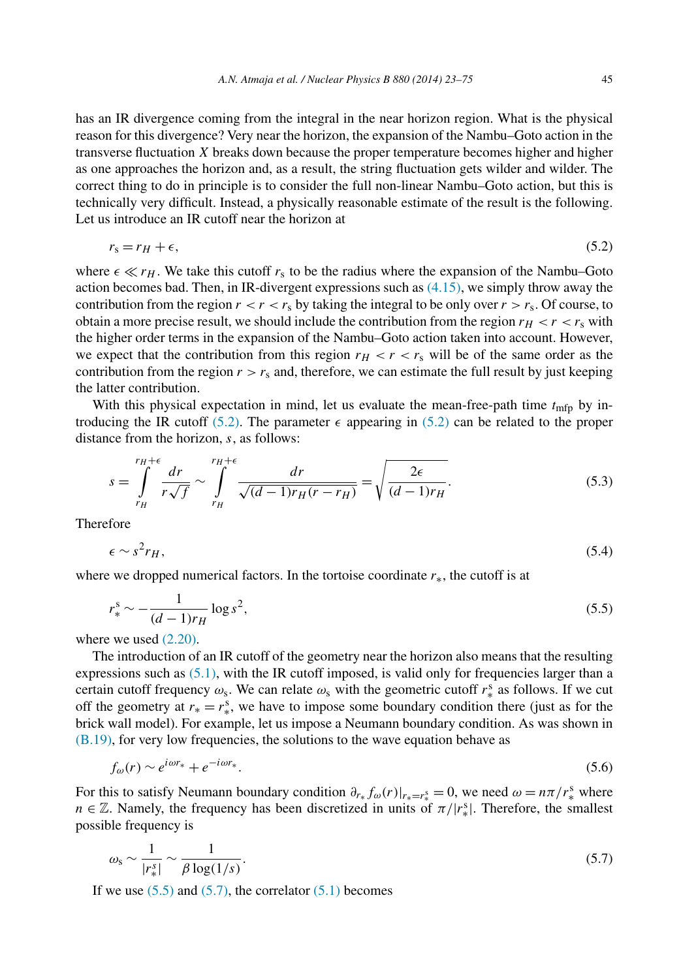has an IR divergence coming from the integral in the near horizon region. What is the physical reason for this divergence? Very near the horizon, the expansion of the Nambu–Goto action in the transverse fluctuation *X* breaks down because the proper temperature becomes higher and higher as one approaches the horizon and, as a result, the string fluctuation gets wilder and wilder. The correct thing to do in principle is to consider the full non-linear Nambu–Goto action, but this is technically very difficult. Instead, a physically reasonable estimate of the result is the following. Let us introduce an IR cutoff near the horizon at

$$
r_s = r_H + \epsilon,\tag{5.2}
$$

where  $\epsilon \ll r_H$ . We take this cutoff  $r_s$  to be the radius where the expansion of the Nambu–Goto action becomes bad. Then, in IR-divergent expressions such as  $(4.15)$ , we simply throw away the contribution from the region  $r < r < r_s$  by taking the integral to be only over  $r > r_s$ . Of course, to obtain a more precise result, we should include the contribution from the region  $r_H < r < r_S$  with the higher order terms in the expansion of the Nambu–Goto action taken into account. However, we expect that the contribution from this region  $r_H < r < r_s$  will be of the same order as the contribution from the region  $r>r_s$  and, therefore, we can estimate the full result by just keeping the latter contribution.

With this physical expectation in mind, let us evaluate the mean-free-path time  $t_{\text{mfp}}$  by introducing the IR cutoff (5.2). The parameter  $\epsilon$  appearing in (5.2) can be related to the proper distance from the horizon, *s*, as follows:

$$
s = \int_{r_H}^{r_H + \epsilon} \frac{dr}{r\sqrt{f}} \sim \int_{r_H}^{r_H + \epsilon} \frac{dr}{\sqrt{(d-1)r_H(r-r_H)}} = \sqrt{\frac{2\epsilon}{(d-1)r_H}}.
$$
(5.3)

Therefore

$$
\epsilon \sim s^2 r_H,\tag{5.4}
$$

where we dropped numerical factors. In the tortoise coordinate *r*∗, the cutoff is at

$$
r_*^s \sim -\frac{1}{(d-1)r_H} \log s^2,\tag{5.5}
$$

where we used  $(2.20)$ .

The introduction of an IR cutoff of the geometry near the horizon also means that the resulting expressions such as [\(5.1\),](#page-22-0) with the IR cutoff imposed, is valid only for frequencies larger than a certain cutoff frequency  $\omega_s$ . We can relate  $\omega_s$  with the geometric cutoff  $r_*^s$  as follows. If we cut off the geometry at  $r_* = r_*^s$ , we have to impose some boundary condition there (just as for the brick wall model). For example, let us impose a Neumann boundary condition. As was shown in [\(B.19\),](#page-37-0) for very low frequencies, the solutions to the wave equation behave as

$$
f_{\omega}(r) \sim e^{i\omega r_*} + e^{-i\omega r_*}.\tag{5.6}
$$

For this to satisfy Neumann boundary condition  $\partial_{r_*} f_\omega(r)|_{r_*=r_*^s} = 0$ , we need  $\omega = n\pi/r_*^s$  where *n*  $\in \mathbb{Z}$ . Namely, the frequency has been discretized in units of  $\pi/|r_*^s|$ . Therefore, the smallest possible frequency is

$$
\omega_s \sim \frac{1}{|r_*^s|} \sim \frac{1}{\beta \log(1/s)}.\tag{5.7}
$$

If we use  $(5.5)$  and  $(5.7)$ , the correlator  $(5.1)$  becomes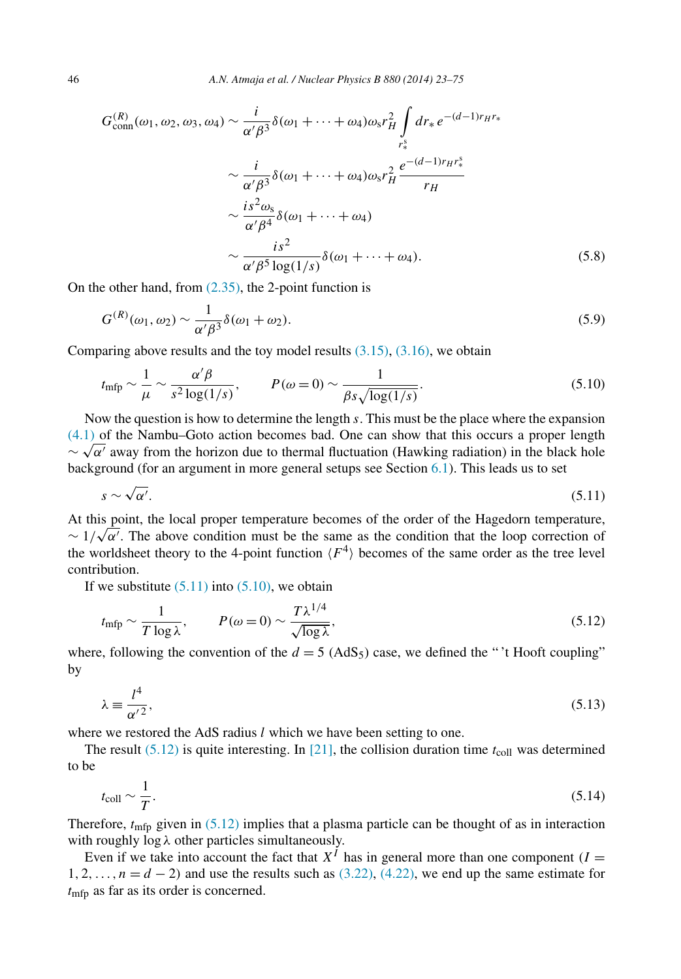<span id="page-24-0"></span>
$$
G_{\text{conn}}^{(R)}(\omega_1, \omega_2, \omega_3, \omega_4) \sim \frac{i}{\alpha' \beta^3} \delta(\omega_1 + \dots + \omega_4) \omega_s r_H^2 \int_{r_*^s} dr_* e^{-(d-1)r_H r_*} \sim \frac{i}{\alpha' \beta^3} \delta(\omega_1 + \dots + \omega_4) \omega_s r_H^2 \frac{e^{-(d-1)r_H r_*^s}}{r_H} \sim \frac{is^2 \omega_s}{\alpha' \beta^4} \delta(\omega_1 + \dots + \omega_4) \sim \frac{is^2}{\alpha' \beta^5 \log(1/s)} \delta(\omega_1 + \dots + \omega_4). \tag{5.8}
$$

On the other hand, from  $(2.35)$ , the 2-point function is

$$
G^{(R)}(\omega_1, \omega_2) \sim \frac{1}{\alpha' \beta^3} \delta(\omega_1 + \omega_2).
$$
\n(5.9)

Comparing above results and the toy model results  $(3.15)$ ,  $(3.16)$ , we obtain

$$
t_{\rm mfp} \sim \frac{1}{\mu} \sim \frac{\alpha' \beta}{s^2 \log(1/s)}, \qquad P(\omega = 0) \sim \frac{1}{\beta s \sqrt{\log(1/s)}}.
$$
\n(5.10)

Now the question is how to determine the length *s*. This must be the place where the expansion [\(4.1\)](#page-17-0) of the Nambu–Goto action becomes bad. One can show that this occurs a proper length  $\sim \sqrt{\alpha'}$  away from the horizon due to thermal fluctuation (Hawking radiation) in the black hole background (for an argument in more general setups see Section [6.1\)](#page-25-0). This leads us to set

$$
s \sim \sqrt{\alpha'}.\tag{5.11}
$$

At this point, the local proper temperature becomes of the order of the Hagedorn temperature, At this point, the local proper temperature becomes or the order or the Hagedorn temperature,<br>  $\sim 1/\sqrt{\alpha'}$ . The above condition must be the same as the condition that the loop correction of the worldsheet theory to the 4-point function  $\langle F^4 \rangle$  becomes of the same order as the tree level contribution.

If we substitute  $(5.11)$  into  $(5.10)$ , we obtain

$$
t_{\rm mfp} \sim \frac{1}{T \log \lambda}, \qquad P(\omega = 0) \sim \frac{T \lambda^{1/4}}{\sqrt{\log \lambda}}, \tag{5.12}
$$

where, following the convention of the  $d = 5$  (AdS<sub>5</sub>) case, we defined the "<sup>\*</sup>t Hooft coupling" by

$$
\lambda \equiv \frac{l^4}{\alpha'^2},\tag{5.13}
$$

where we restored the AdS radius *l* which we have been setting to one.

The result  $(5.12)$  is quite interesting. In [\[21\],](#page-52-0) the collision duration time  $t_{\text{coll}}$  was determined to be

$$
t_{\rm coll} \sim \frac{1}{T}.\tag{5.14}
$$

Therefore,  $t_{\text{mfp}}$  given in (5.12) implies that a plasma particle can be thought of as in interaction with roughly log *λ* other particles simultaneously.

Even if we take into account the fact that  $X<sup>I</sup>$  has in general more than one component  $I =$ 1*,* 2*,...,n* = *d* − 2*)* and use the results such as [\(3.22\),](#page-16-0) [\(4.22\),](#page-22-0) we end up the same estimate for *t*mfp as far as its order is concerned.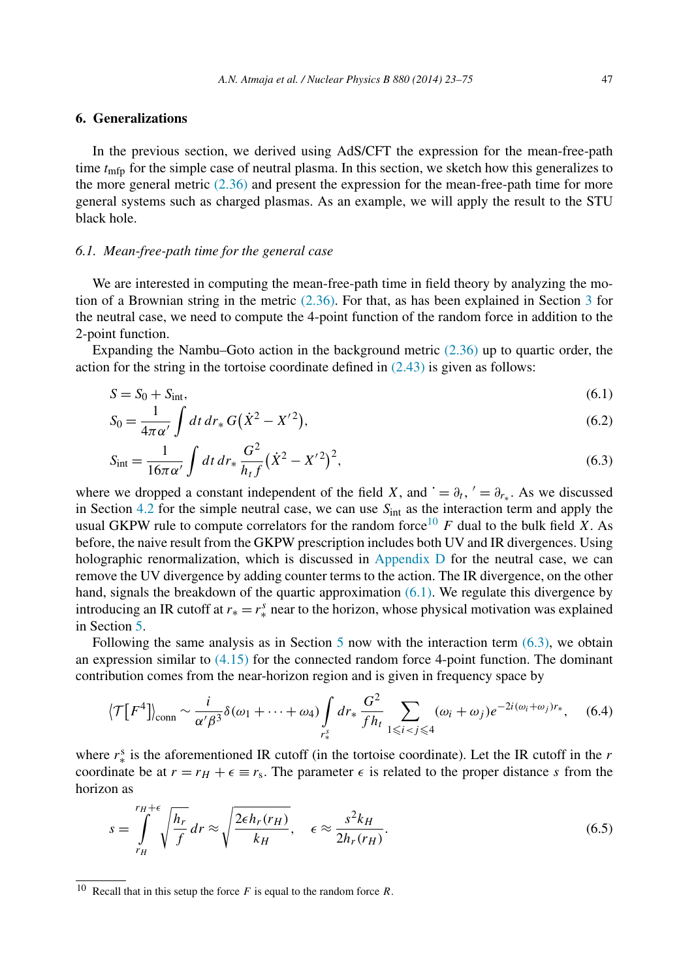# <span id="page-25-0"></span>**6. Generalizations**

In the previous section, we derived using AdS/CFT the expression for the mean-free-path time *t*<sub>mfp</sub> for the simple case of neutral plasma. In this section, we sketch how this generalizes to the more general metric  $(2.36)$  and present the expression for the mean-free-path time for more general systems such as charged plasmas. As an example, we will apply the result to the STU black hole.

#### *6.1. Mean-free-path time for the general case*

We are interested in computing the mean-free-path time in field theory by analyzing the motion of a Brownian string in the metric  $(2.36)$  $(2.36)$  $(2.36)$ . For that, as has been explained in Section 3 for the neutral case, we need to compute the 4-point function of the random force in addition to the 2-point function.

Expanding the Nambu–Goto action in the background metric [\(2.36\)](#page-10-0) up to quartic order, the action for the string in the tortoise coordinate defined in  $(2.43)$  is given as follows:

$$
S = S_0 + S_{\text{int}},\tag{6.1}
$$

$$
S_0 = \frac{1}{4\pi\alpha'} \int dt \, dr_* \, G(\dot{X}^2 - X'^2),\tag{6.2}
$$

$$
S_{\rm int} = \frac{1}{16\pi\alpha'} \int dt \, dr_* \, \frac{G^2}{h_t f} (\dot{X}^2 - X'^2)^2,\tag{6.3}
$$

where we dropped a constant independent of the field *X*, and  $\dot{ } = \partial_t$ ,  $\dot{ } = \partial_{r,*}$ . As we discussed in Section [4.2](#page-20-0) for the simple neutral case, we can use  $S<sub>int</sub>$  as the interaction term and apply the usual GKPW rule to compute correlators for the random force<sup>10</sup> F dual to the bulk field X. As before, the naive result from the GKPW prescription includes both UV and IR divergences. Using holographic renormalization, which is discussed in [Appendix D](#page-40-0) for the neutral case, we can remove the UV divergence by adding counter terms to the action. The IR divergence, on the other hand, signals the breakdown of the quartic approximation (6.1). We regulate this divergence by introducing an IR cutoff at  $r_* = r_*^s$  near to the horizon, whose physical motivation was explained in Section [5.](#page-22-0)

Following the same analysis as in Section [5](#page-22-0) now with the interaction term  $(6.3)$ , we obtain an expression similar to  $(4.15)$  for the connected random force 4-point function. The dominant contribution comes from the near-horizon region and is given in frequency space by

$$
\langle \mathcal{T}[F^4] \rangle_{\text{conn}} \sim \frac{i}{\alpha' \beta^3} \delta(\omega_1 + \dots + \omega_4) \int_{r_*^s} dr_* \frac{G^2}{f h_t} \sum_{1 \le i < j \le 4} (\omega_i + \omega_j) e^{-2i(\omega_i + \omega_j) r_*}, \quad (6.4)
$$

where  $r_*^s$  is the aforementioned IR cutoff (in the tortoise coordinate). Let the IR cutoff in the  $r$ coordinate be at  $r = r_H + \epsilon \equiv r_s$ . The parameter  $\epsilon$  is related to the proper distance *s* from the horizon as

$$
s = \int_{r_H}^{r_H + \epsilon} \sqrt{\frac{h_r}{f}} dr \approx \sqrt{\frac{2\epsilon h_r(r_H)}{k_H}}, \quad \epsilon \approx \frac{s^2 k_H}{2h_r(r_H)}.
$$
 (6.5)

<sup>10</sup> Recall that in this setup the force *F* is equal to the random force *R*.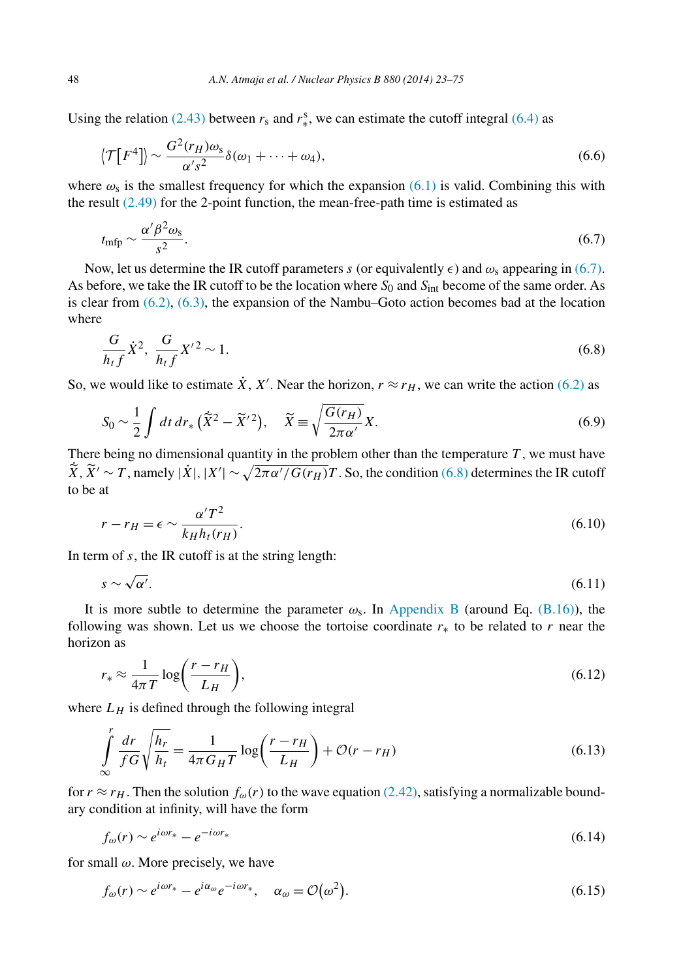<span id="page-26-0"></span>Using the relation [\(2.43\)](#page-11-0) between  $r_s$  and  $r_*^s$ , we can estimate the cutoff integral [\(6.4\)](#page-25-0) as

$$
\langle \mathcal{T}[F^4] \rangle \sim \frac{G^2(r_H)\omega_s}{\alpha's^2} \delta(\omega_1 + \dots + \omega_4),\tag{6.6}
$$

where  $\omega_s$  is the smallest frequency for which the expansion [\(6.1\)](#page-25-0) is valid. Combining this with the result  $(2.49)$  for the 2-point function, the mean-free-path time is estimated as

$$
t_{\rm mfp} \sim \frac{\alpha' \beta^2 \omega_s}{s^2}.\tag{6.7}
$$

Now, let us determine the IR cutoff parameters *s* (or equivalently  $\epsilon$ ) and  $\omega_s$  appearing in (6.7). As before, we take the IR cutoff to be the location where *S*<sup>0</sup> and *S*int become of the same order. As is clear from  $(6.2)$ ,  $(6.3)$ , the expansion of the Nambu–Goto action becomes bad at the location where

$$
\frac{G}{h_t f} \dot{X}^2, \frac{G}{h_t f} X'^2 \sim 1. \tag{6.8}
$$

So, we would like to estimate  $\dot{X}$ ,  $X'$ . Near the horizon,  $r \approx r_H$ , we can write the action [\(6.2\)](#page-25-0) as

$$
S_0 \sim \frac{1}{2} \int dt \, dr_* \left(\tilde{X}^2 - \tilde{X}'^2\right), \quad \tilde{X} \equiv \sqrt{\frac{G(r_H)}{2\pi\alpha'}} X. \tag{6.9}
$$

There being no dimensional quantity in the problem other than the temperature *T* , we must have  $\tilde{X}, \tilde{X}' \sim T$ , namely  $|\dot{X}|, |X'| \sim \sqrt{2\pi \alpha'/G(r_H)}T$ . So, the condition (6.8) determines the IR cutoff to be at

$$
r - r_H = \epsilon \sim \frac{\alpha' T^2}{k_H h_t(r_H)}.\tag{6.10}
$$

In term of *s*, the IR cutoff is at the string length:

$$
s \sim \sqrt{\alpha'}.\tag{6.11}
$$

It is more subtle to determine the parameter  $\omega_s$ . In [Appendix B](#page-35-0) (around Eq. [\(B.16\)\)](#page-37-0), the following was shown. Let us we choose the tortoise coordinate  $r_*$  to be related to  $r$  near the horizon as

$$
r_* \approx \frac{1}{4\pi T} \log \left( \frac{r - r_H}{L_H} \right),\tag{6.12}
$$

where  $L_H$  is defined through the following integral

$$
\int_{\infty}^{r} \frac{dr}{fG} \sqrt{\frac{h_r}{h_t}} = \frac{1}{4\pi G_H T} \log \left( \frac{r - r_H}{L_H} \right) + \mathcal{O}(r - r_H)
$$
\n(6.13)

for  $r \approx r_H$ . Then the solution  $f_{\omega}(r)$  to the wave equation [\(2.42\),](#page-11-0) satisfying a normalizable boundary condition at infinity, will have the form

$$
f_{\omega}(r) \sim e^{i\omega r_*} - e^{-i\omega r_*} \tag{6.14}
$$

for small *ω*. More precisely, we have

*r*

$$
f_{\omega}(r) \sim e^{i\omega r_*} - e^{i\alpha_{\omega}} e^{-i\omega r_*}, \quad \alpha_{\omega} = \mathcal{O}(\omega^2). \tag{6.15}
$$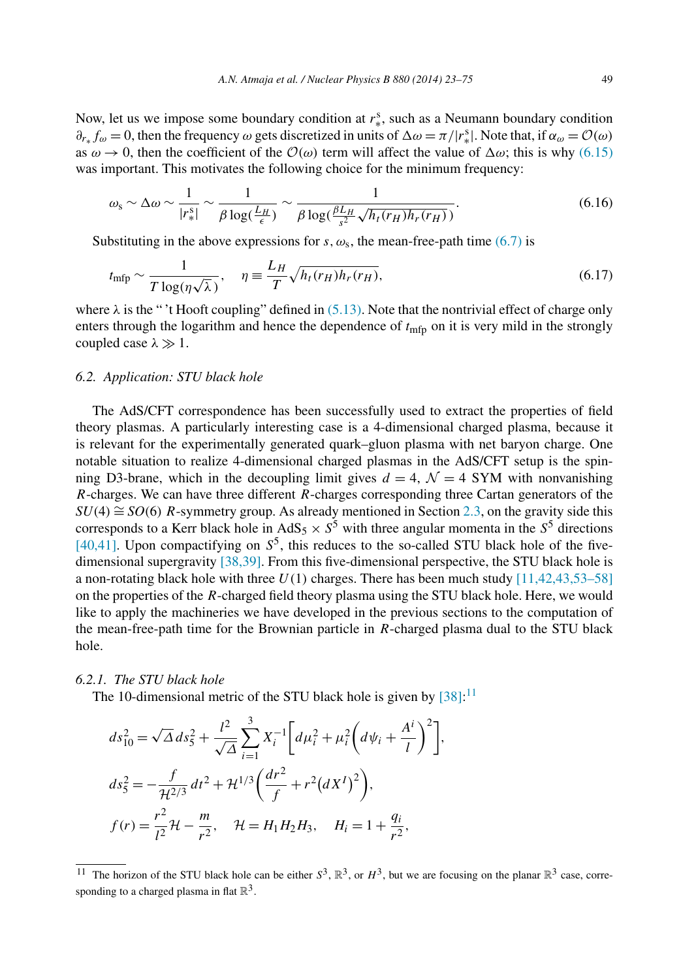<span id="page-27-0"></span>Now, let us we impose some boundary condition at *r*<sup>s</sup><sub>∗</sub>, such as a Neumann boundary condition  $\partial_{r_*} f_\omega = 0$ , then the frequency  $\omega$  gets discretized in units of  $\Delta \omega = \pi / |r_*^s|$ . Note that, if  $\alpha_\omega = \mathcal{O}(\omega)$ as  $\omega \to 0$ , then the coefficient of the  $\mathcal{O}(\omega)$  term will affect the value of  $\Delta \omega$ ; this is why [\(6.15\)](#page-26-0) was important. This motivates the following choice for the minimum frequency:

$$
\omega_{\rm s} \sim \Delta \omega \sim \frac{1}{|r_*^{\rm s}|} \sim \frac{1}{\beta \log(\frac{L_H}{\epsilon})} \sim \frac{1}{\beta \log(\frac{\beta L_H}{s^2} \sqrt{h_t(r_H)h_r(r_H)})}.
$$
(6.16)

Substituting in the above expressions for *s*,  $\omega_s$ , the mean-free-path time [\(6.7\)](#page-26-0) is

$$
t_{\rm mfp} \sim \frac{1}{T \log(\eta \sqrt{\lambda})}, \quad \eta \equiv \frac{L_H}{T} \sqrt{h_t(r_H) h_r(r_H)}, \tag{6.17}
$$

where *λ* is the " 't Hooft coupling" defined in [\(5.13\).](#page-24-0) Note that the nontrivial effect of charge only enters through the logarithm and hence the dependence of  $t_{\text{mfp}}$  on it is very mild in the strongly coupled case  $\lambda \gg 1$ .

#### *6.2. Application: STU black hole*

The AdS/CFT correspondence has been successfully used to extract the properties of field theory plasmas. A particularly interesting case is a 4-dimensional charged plasma, because it is relevant for the experimentally generated quark–gluon plasma with net baryon charge. One notable situation to realize 4-dimensional charged plasmas in the AdS/CFT setup is the spinning D3-brane, which in the decoupling limit gives  $d = 4$ ,  $\mathcal{N} = 4$  SYM with nonvanishing *R*-charges. We can have three different *R*-charges corresponding three Cartan generators of the  $SU(4) \cong SO(6)$  *R*-symmetry group. As already mentioned in Section [2.3,](#page-9-0) on the gravity side this corresponds to a Kerr black hole in AdS<sub>5</sub>  $\times$  *S*<sup>5</sup> with three angular momenta in the *S*<sup>5</sup> directions  $\overline{[40,41]}$ . Upon compactifying on  $S^5$ , this reduces to the so-called STU black hole of the fivedimensional supergravity [\[38,39\].](#page-52-0) From this five-dimensional perspective, the STU black hole is a non-rotating black hole with three *U(*1*)* charges. There has been much study [\[11,42,43,53–58\]](#page-51-0) on the properties of the *R*-charged field theory plasma using the STU black hole. Here, we would like to apply the machineries we have developed in the previous sections to the computation of the mean-free-path time for the Brownian particle in *R*-charged plasma dual to the STU black hole.

# *6.2.1. The STU black hole*

The 10-dimensional metric of the STU black hole is given by  $[38]$ :<sup>11</sup>

$$
ds_{10}^{2} = \sqrt{\Delta} ds_{5}^{2} + \frac{l^{2}}{\sqrt{\Delta}} \sum_{i=1}^{3} X_{i}^{-1} \left[ d\mu_{i}^{2} + \mu_{i}^{2} \left( d\psi_{i} + \frac{A^{i}}{l} \right)^{2} \right],
$$
  
\n
$$
ds_{5}^{2} = -\frac{f}{\mathcal{H}^{2/3}} dt^{2} + \mathcal{H}^{1/3} \left( \frac{dr^{2}}{f} + r^{2} (dX^{I})^{2} \right),
$$
  
\n
$$
f(r) = \frac{r^{2}}{l^{2}} \mathcal{H} - \frac{m}{r^{2}}, \quad \mathcal{H} = H_{1} H_{2} H_{3}, \quad H_{i} = 1 + \frac{q_{i}}{r^{2}},
$$

<sup>&</sup>lt;sup>11</sup> The horizon of the STU black hole can be either  $S^3$ ,  $\mathbb{R}^3$ , or  $H^3$ , but we are focusing on the planar  $\mathbb{R}^3$  case, corresponding to a charged plasma in flat  $\mathbb{R}^3$ .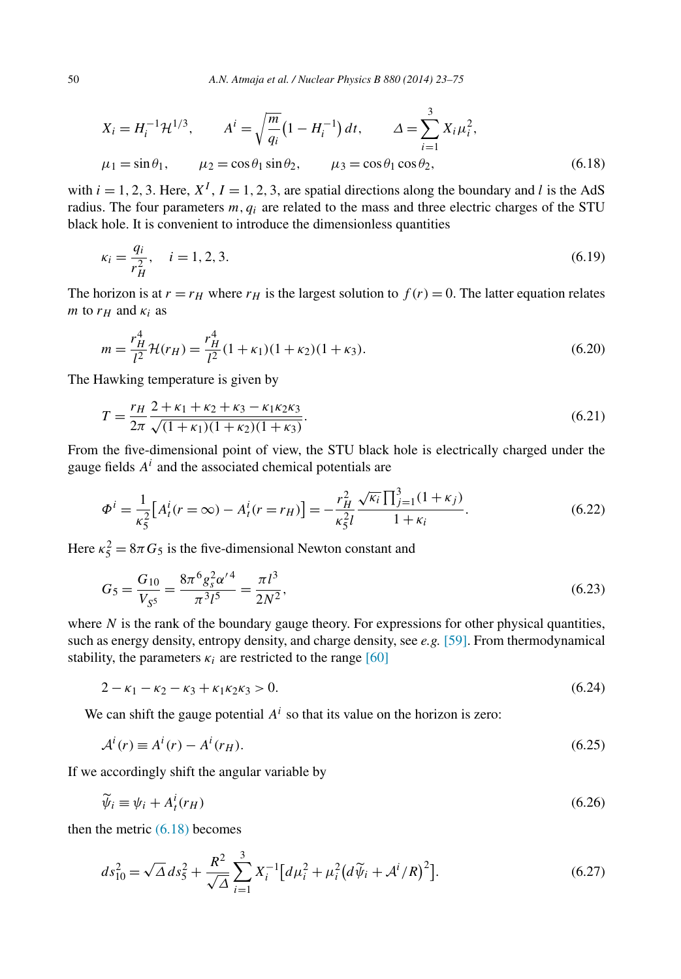<span id="page-28-0"></span>
$$
X_i = H_i^{-1} \mathcal{H}^{1/3}, \qquad A^i = \sqrt{\frac{m}{q_i}} (1 - H_i^{-1}) dt, \qquad \Delta = \sum_{i=1}^3 X_i \mu_i^2,
$$
  

$$
\mu_1 = \sin \theta_1, \qquad \mu_2 = \cos \theta_1 \sin \theta_2, \qquad \mu_3 = \cos \theta_1 \cos \theta_2,
$$
 (6.18)

with  $i = 1, 2, 3$ . Here,  $X^I$ ,  $I = 1, 2, 3$ , are spatial directions along the boundary and *l* is the AdS radius. The four parameters *m,qi* are related to the mass and three electric charges of the STU black hole. It is convenient to introduce the dimensionless quantities

$$
\kappa_i = \frac{q_i}{r_H^2}, \quad i = 1, 2, 3. \tag{6.19}
$$

The horizon is at  $r = r_H$  where  $r_H$  is the largest solution to  $f(r) = 0$ . The latter equation relates *m* to  $r_H$  and  $\kappa_i$  as

$$
m = \frac{r_H^4}{l^2} \mathcal{H}(r_H) = \frac{r_H^4}{l^2} (1 + \kappa_1)(1 + \kappa_2)(1 + \kappa_3).
$$
 (6.20)

The Hawking temperature is given by

$$
T = \frac{r_H}{2\pi} \frac{2 + \kappa_1 + \kappa_2 + \kappa_3 - \kappa_1 \kappa_2 \kappa_3}{\sqrt{(1 + \kappa_1)(1 + \kappa_2)(1 + \kappa_3)}}.
$$
(6.21)

From the five-dimensional point of view, the STU black hole is electrically charged under the gauge fields  $A<sup>i</sup>$  and the associated chemical potentials are

$$
\Phi^{i} = \frac{1}{\kappa_{5}^{2}} \left[ A_{t}^{i}(r = \infty) - A_{t}^{i}(r = r_{H}) \right] = -\frac{r_{H}^{2}}{\kappa_{5}^{2} l} \frac{\sqrt{\kappa_{i}} \prod_{j=1}^{3} (1 + \kappa_{j})}{1 + \kappa_{i}}.
$$
\n(6.22)

Here  $\kappa_5^2 = 8\pi G_5$  is the five-dimensional Newton constant and

$$
G_5 = \frac{G_{10}}{V_{S^5}} = \frac{8\pi^6 g_s^2 \alpha'^4}{\pi^3 l^5} = \frac{\pi l^3}{2N^2},\tag{6.23}
$$

where  $N$  is the rank of the boundary gauge theory. For expressions for other physical quantities, such as energy density, entropy density, and charge density, see *e.g.* [\[59\].](#page-53-0) From thermodynamical stability, the parameters  $\kappa_i$  are restricted to the range [\[60\]](#page-53-0)

$$
2 - \kappa_1 - \kappa_2 - \kappa_3 + \kappa_1 \kappa_2 \kappa_3 > 0. \tag{6.24}
$$

We can shift the gauge potential  $A^i$  so that its value on the horizon is zero:

$$
Ai(r) \equiv Ai(r) - Ai(rH).
$$
\n(6.25)

If we accordingly shift the angular variable by

$$
\widetilde{\psi}_i \equiv \psi_i + A_t^i(r_H) \tag{6.26}
$$

then the metric (6.18) becomes

$$
ds_{10}^2 = \sqrt{\Delta} ds_5^2 + \frac{R^2}{\sqrt{\Delta}} \sum_{i=1}^3 X_i^{-1} \left[ d\mu_i^2 + \mu_i^2 \left( d\tilde{\psi}_i + A^i / R \right)^2 \right]. \tag{6.27}
$$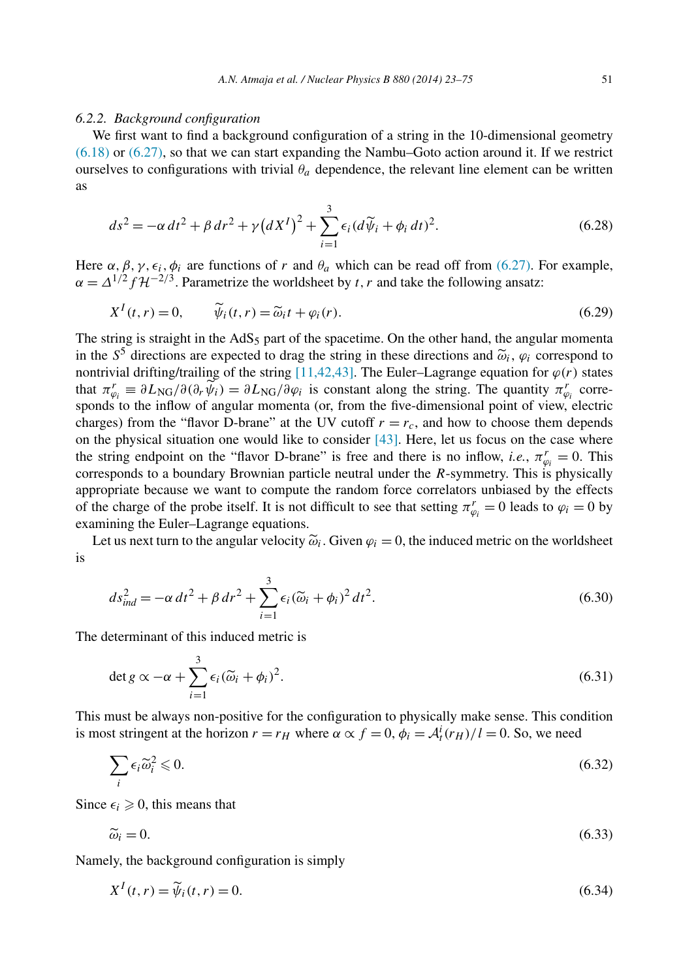#### <span id="page-29-0"></span>*6.2.2. Background configuration*

We first want to find a background configuration of a string in the 10-dimensional geometry [\(6.18\)](#page-28-0) or [\(6.27\),](#page-28-0) so that we can start expanding the Nambu–Goto action around it. If we restrict ourselves to configurations with trivial  $\theta_a$  dependence, the relevant line element can be written as

$$
ds^{2} = -\alpha dt^{2} + \beta dr^{2} + \gamma (dX^{I})^{2} + \sum_{i=1}^{3} \epsilon_{i} (d\widetilde{\psi}_{i} + \phi_{i} dt)^{2}.
$$
 (6.28)

Here  $\alpha$ ,  $\beta$ ,  $\gamma$ ,  $\epsilon_i$ ,  $\phi_i$  are functions of *r* and  $\theta_a$  which can be read off from [\(6.27\).](#page-28-0) For example,  $\alpha = \Delta^{1/2} f \mathcal{H}^{-2/3}$ . Parametrize the worldsheet by *t, r* and take the following ansatz:

$$
X^{I}(t,r) = 0, \qquad \widetilde{\psi}_{i}(t,r) = \widetilde{\omega}_{i}t + \varphi_{i}(r). \qquad (6.29)
$$

The string is straight in the  $AdS_5$  part of the spacetime. On the other hand, the angular momenta in the  $S^5$  directions are expected to drag the string in these directions and  $\tilde{\omega}_i$ ,  $\varphi_i$  correspond to nontrivial drifting/trailing of the string [\[11,42,43\].](#page-51-0) The Euler–Lagrange equation for  $\varphi(r)$  states that  $\pi^r_{\varphi_i} \equiv \partial L_{\text{NG}}/\partial(\partial_r \widetilde{\psi}_i) = \partial L_{\text{NG}}/\partial \varphi_i$  is constant along the string. The quantity  $\pi^r_{\varphi_i}$  corresponds to the inflow of angular momenta (or, from the five-dimensional point of view, electric charges) from the "flavor D-brane" at the UV cutoff  $r = r_c$ , and how to choose them depends on the physical situation one would like to consider  $[43]$ . Here, let us focus on the case where the string endpoint on the "flavor D-brane" is free and there is no inflow, *i.e.*,  $\pi^r_{\varphi_i} = 0$ . This corresponds to a boundary Brownian particle neutral under the *R*-symmetry. This is physically appropriate because we want to compute the random force correlators unbiased by the effects of the charge of the probe itself. It is not difficult to see that setting  $\pi_{\varphi_i}^r = 0$  leads to  $\varphi_i = 0$  by examining the Euler–Lagrange equations.

Let us next turn to the angular velocity  $\tilde{\omega}_i$ . Given  $\varphi_i = 0$ , the induced metric on the worldsheet is

$$
ds_{ind}^2 = -\alpha dt^2 + \beta dr^2 + \sum_{i=1}^3 \epsilon_i (\widetilde{\omega}_i + \phi_i)^2 dt^2.
$$
 (6.30)

The determinant of this induced metric is

$$
\det g \propto -\alpha + \sum_{i=1}^{3} \epsilon_i (\widetilde{\omega}_i + \phi_i)^2.
$$
\n(6.31)

This must be always non-positive for the configuration to physically make sense. This condition is most stringent at the horizon  $r = r_H$  where  $\alpha \propto f = 0$ ,  $\phi_i = \mathcal{A}_t^i(r_H)/l = 0$ . So, we need

$$
\sum_{i} \epsilon_i \widetilde{\omega}_i^2 \leqslant 0. \tag{6.32}
$$

Since  $\epsilon_i \geqslant 0$ , this means that

$$
\widetilde{\omega}_i = 0. \tag{6.33}
$$

Namely, the background configuration is simply

$$
X^{I}(t,r) = \tilde{\psi}_{i}(t,r) = 0.
$$
\n
$$
(6.34)
$$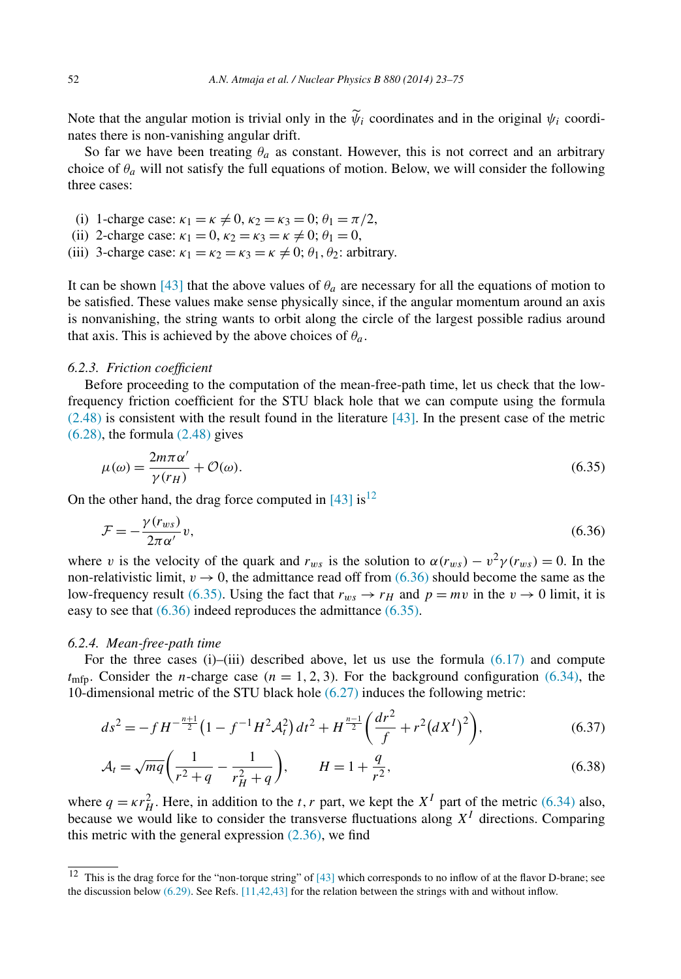Note that the angular motion is trivial only in the  $\psi_i$  coordinates and in the original  $\psi_i$  coordinates there is non-vanishing angular drift.

So far we have been treating  $\theta_a$  as constant. However, this is not correct and an arbitrary choice of  $\theta_a$  will not satisfy the full equations of motion. Below, we will consider the following three cases:

- (i) 1-charge case:  $\kappa_1 = \kappa \neq 0$ ,  $\kappa_2 = \kappa_3 = 0$ ;  $\theta_1 = \pi/2$ ,
- (ii) 2-charge case:  $\kappa_1 = 0$ ,  $\kappa_2 = \kappa_3 = \kappa \neq 0$ ;  $\theta_1 = 0$ ,
- (iii) 3-charge case:  $\kappa_1 = \kappa_2 = \kappa_3 = \kappa \neq 0$ ;  $\theta_1$ ,  $\theta_2$ : arbitrary.

It can be shown [\[43\]](#page-52-0) that the above values of  $\theta_a$  are necessary for all the equations of motion to be satisfied. These values make sense physically since, if the angular momentum around an axis is nonvanishing, the string wants to orbit along the circle of the largest possible radius around that axis. This is achieved by the above choices of  $\theta_a$ .

#### *6.2.3. Friction coefficient*

Before proceeding to the computation of the mean-free-path time, let us check that the lowfrequency friction coefficient for the STU black hole that we can compute using the formula  $(2.48)$  is consistent with the result found in the literature [\[43\].](#page-52-0) In the present case of the metric  $(6.28)$ , the formula  $(2.48)$  gives

$$
\mu(\omega) = \frac{2m\pi\alpha'}{\gamma(r_H)} + \mathcal{O}(\omega). \tag{6.35}
$$

On the other hand, the drag force computed in  $[43]$  is<sup>12</sup>

$$
\mathcal{F} = -\frac{\gamma(r_{ws})}{2\pi\alpha'}v,\tag{6.36}
$$

where *v* is the velocity of the quark and  $r_{ws}$  is the solution to  $\alpha(r_{ws}) - v^2 \gamma(r_{ws}) = 0$ . In the non-relativistic limit,  $v \rightarrow 0$ , the admittance read off from (6.36) should become the same as the low-frequency result (6.35). Using the fact that  $r_{ws} \rightarrow r_H$  and  $p = mv$  in the  $v \rightarrow 0$  limit, it is easy to see that (6.36) indeed reproduces the admittance (6.35).

#### *6.2.4. Mean-free-path time*

For the three cases  $(i)$ – $(iii)$  described above, let us use the formula  $(6.17)$  and compute  $t_{\text{mfp}}$ . Consider the *n*-charge case ( $n = 1, 2, 3$ ). For the background configuration [\(6.34\),](#page-29-0) the 10-dimensional metric of the STU black hole [\(6.27\)](#page-28-0) induces the following metric:

$$
ds^{2} = -fH^{-\frac{n+1}{2}}\left(1 - f^{-1}H^{2}\mathcal{A}_{t}^{2}\right)dt^{2} + H^{\frac{n-1}{2}}\left(\frac{dr^{2}}{f} + r^{2}\left(dX^{I}\right)^{2}\right),\tag{6.37}
$$

$$
\mathcal{A}_t = \sqrt{mq} \left( \frac{1}{r^2 + q} - \frac{1}{r_H^2 + q} \right), \qquad H = 1 + \frac{q}{r^2},\tag{6.38}
$$

where  $q = \kappa r_H^2$ . Here, in addition to the *t*, *r* part, we kept the *X<sup>I</sup>* part of the metric [\(6.34\)](#page-29-0) also, because we would like to consider the transverse fluctuations along  $X<sup>I</sup>$  directions. Comparing this metric with the general expression  $(2.36)$ , we find

<sup>&</sup>lt;sup>12</sup> This is the drag force for the "non-torque string" of  $[43]$  which corresponds to no inflow of at the flavor D-brane; see the discussion below [\(6.29\).](#page-29-0) See Refs. [\[11,42,43\]](#page-51-0) for the relation between the strings with and without inflow.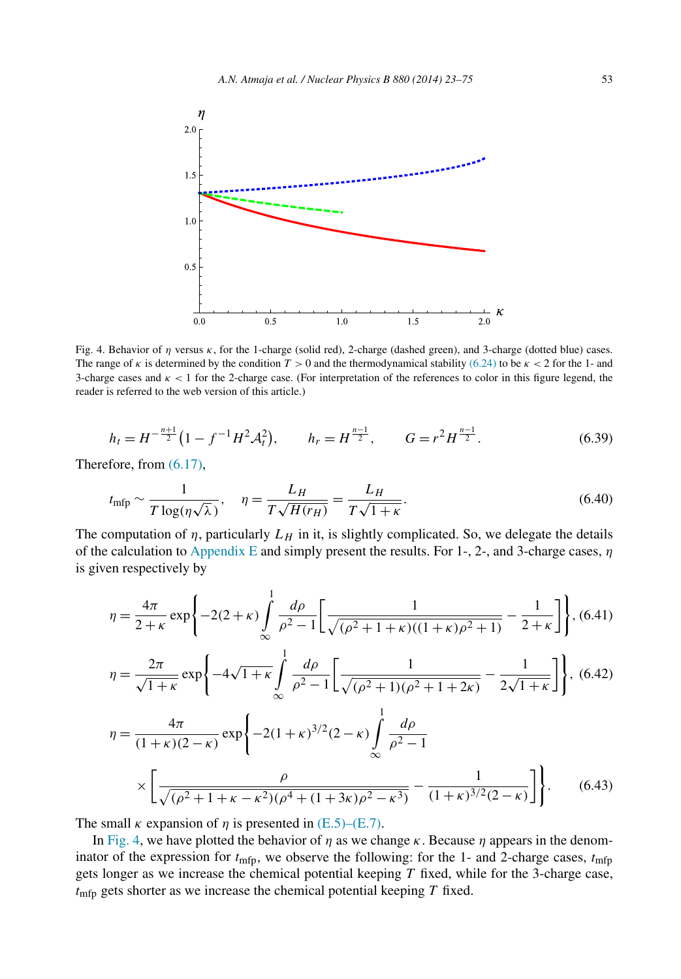<span id="page-31-0"></span>

Fig. 4. Behavior of *η* versus *κ*, for the 1-charge (solid red), 2-charge (dashed green), and 3-charge (dotted blue) cases. The range of *κ* is determined by the condition  $T > 0$  and the thermodynamical stability [\(6.24\)](#page-28-0) to be  $\kappa < 2$  for the 1- and 3-charge cases and  $\kappa$  < 1 for the 2-charge case. (For interpretation of the references to color in this figure legend, the reader is referred to the web version of this article.)

$$
h_t = H^{-\frac{n+1}{2}} \left( 1 - f^{-1} H^2 \mathcal{A}_t^2 \right), \qquad h_r = H^{\frac{n-1}{2}}, \qquad G = r^2 H^{\frac{n-1}{2}}.
$$
 (6.39)

Therefore, from [\(6.17\),](#page-27-0)

$$
t_{\rm mfp} \sim \frac{1}{T \log(\eta \sqrt{\lambda})}, \quad \eta = \frac{L_H}{T \sqrt{H(r_H)}} = \frac{L_H}{T \sqrt{1 + \kappa}}.
$$
\n(6.40)

The computation of  $\eta$ , particularly  $L_H$  in it, is slightly complicated. So, we delegate the details of the calculation to [Appendix E](#page-50-0) and simply present the results. For 1-, 2-, and 3-charge cases, *η* is given respectively by

$$
\eta = \frac{4\pi}{2+\kappa} \exp\left\{-2(2+\kappa) \int_{\infty}^{1} \frac{d\rho}{\rho^2 - 1} \left[ \frac{1}{\sqrt{(\rho^2 + 1 + \kappa)((1+\kappa)\rho^2 + 1)}} - \frac{1}{2+\kappa} \right] \right\}, (6.41)
$$

$$
\eta = \frac{2\pi}{\sqrt{1+\kappa}} \exp\left\{-4\sqrt{1+\kappa} \int_{-\infty}^{1} \frac{d\rho}{\rho^2 - 1} \left[ \frac{1}{\sqrt{(\rho^2 + 1)(\rho^2 + 1 + 2\kappa)}} - \frac{1}{2\sqrt{1+\kappa}} \right] \right\}, (6.42)
$$

$$
\eta = \frac{4\pi}{(1+\kappa)(2-\kappa)} \exp\left\{-2(1+\kappa)^{3/2}(2-\kappa)\int_{\infty}^{1} \frac{d\rho}{\rho^2 - 1} \times \left[\frac{\rho}{\sqrt{(\rho^2 + 1 + \kappa - \kappa^2)(\rho^4 + (1+3\kappa)\rho^2 - \kappa^3)}} - \frac{1}{(1+\kappa)^{3/2}(2-\kappa)}\right]\right\}.
$$
 (6.43)

The small  $\kappa$  expansion of  $\eta$  is presented in [\(E.5\)–\(E.7\).](#page-51-0)

In Fig. 4, we have plotted the behavior of  $\eta$  as we change  $\kappa$ . Because  $\eta$  appears in the denominator of the expression for  $t_{\text{mfp}}$ , we observe the following: for the 1- and 2-charge cases,  $t_{\text{mfp}}$ gets longer as we increase the chemical potential keeping *T* fixed, while for the 3-charge case, *t*mfp gets shorter as we increase the chemical potential keeping *T* fixed.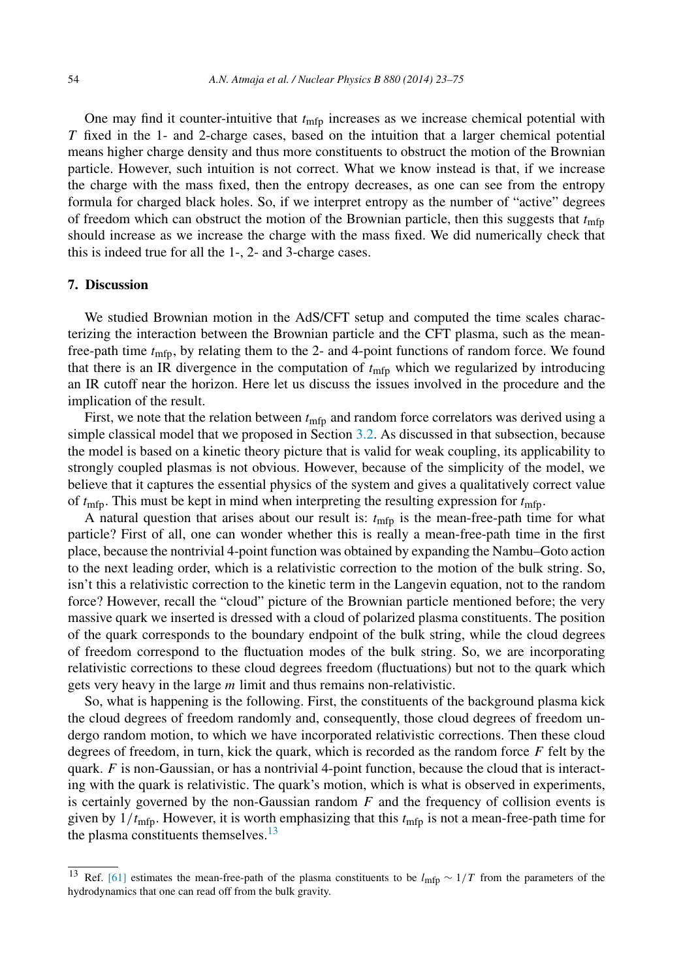<span id="page-32-0"></span>One may find it counter-intuitive that  $t_{\text{mfp}}$  increases as we increase chemical potential with *T* fixed in the 1- and 2-charge cases, based on the intuition that a larger chemical potential means higher charge density and thus more constituents to obstruct the motion of the Brownian particle. However, such intuition is not correct. What we know instead is that, if we increase the charge with the mass fixed, then the entropy decreases, as one can see from the entropy formula for charged black holes. So, if we interpret entropy as the number of "active" degrees of freedom which can obstruct the motion of the Brownian particle, then this suggests that  $t_{\text{mfp}}$ should increase as we increase the charge with the mass fixed. We did numerically check that this is indeed true for all the 1-, 2- and 3-charge cases.

# **7. Discussion**

We studied Brownian motion in the AdS/CFT setup and computed the time scales characterizing the interaction between the Brownian particle and the CFT plasma, such as the meanfree-path time *t*mfp, by relating them to the 2- and 4-point functions of random force. We found that there is an IR divergence in the computation of *t*mfp which we regularized by introducing an IR cutoff near the horizon. Here let us discuss the issues involved in the procedure and the implication of the result.

First, we note that the relation between  $t_{\text{mfp}}$  and random force correlators was derived using a simple classical model that we proposed in Section [3.2.](#page-13-0) As discussed in that subsection, because the model is based on a kinetic theory picture that is valid for weak coupling, its applicability to strongly coupled plasmas is not obvious. However, because of the simplicity of the model, we believe that it captures the essential physics of the system and gives a qualitatively correct value of  $t_{\text{mfp}}$ . This must be kept in mind when interpreting the resulting expression for  $t_{\text{mfp}}$ .

A natural question that arises about our result is: *t*mfp is the mean-free-path time for what particle? First of all, one can wonder whether this is really a mean-free-path time in the first place, because the nontrivial 4-point function was obtained by expanding the Nambu–Goto action to the next leading order, which is a relativistic correction to the motion of the bulk string. So, isn't this a relativistic correction to the kinetic term in the Langevin equation, not to the random force? However, recall the "cloud" picture of the Brownian particle mentioned before; the very massive quark we inserted is dressed with a cloud of polarized plasma constituents. The position of the quark corresponds to the boundary endpoint of the bulk string, while the cloud degrees of freedom correspond to the fluctuation modes of the bulk string. So, we are incorporating relativistic corrections to these cloud degrees freedom (fluctuations) but not to the quark which gets very heavy in the large *m* limit and thus remains non-relativistic.

So, what is happening is the following. First, the constituents of the background plasma kick the cloud degrees of freedom randomly and, consequently, those cloud degrees of freedom undergo random motion, to which we have incorporated relativistic corrections. Then these cloud degrees of freedom, in turn, kick the quark, which is recorded as the random force *F* felt by the quark. *F* is non-Gaussian, or has a nontrivial 4-point function, because the cloud that is interacting with the quark is relativistic. The quark's motion, which is what is observed in experiments, is certainly governed by the non-Gaussian random *F* and the frequency of collision events is given by  $1/t_{\text{mfp}}$ . However, it is worth emphasizing that this  $t_{\text{mfp}}$  is not a mean-free-path time for the plasma constituents themselves. $13$ 

<sup>13</sup> Ref. [\[61\]](#page-53-0) estimates the mean-free-path of the plasma constituents to be *l*mfp ∼ 1*/T* from the parameters of the hydrodynamics that one can read off from the bulk gravity.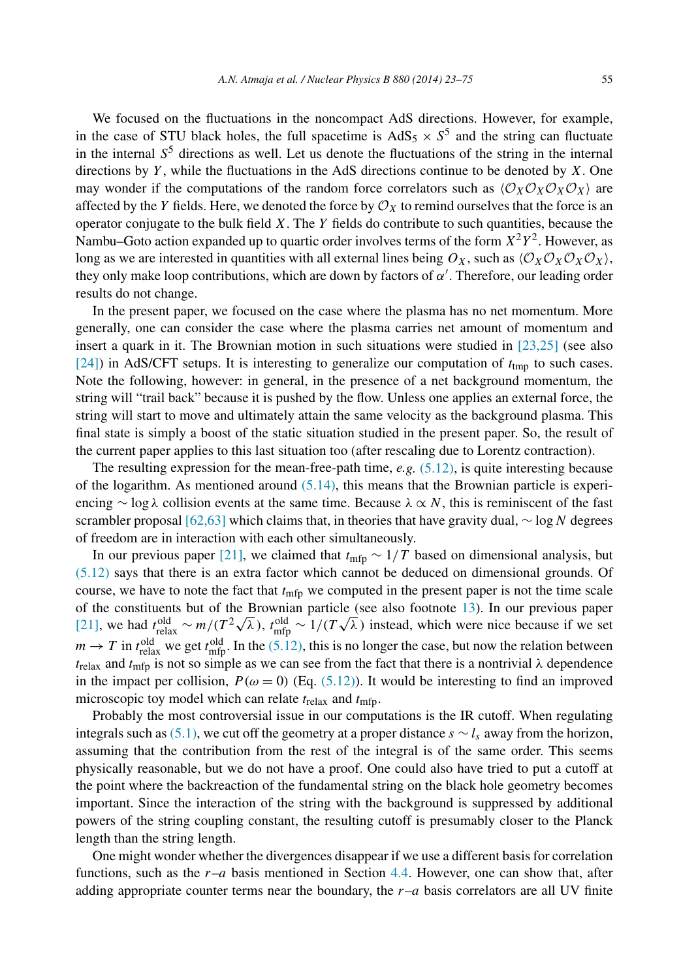We focused on the fluctuations in the noncompact AdS directions. However, for example, in the case of STU black holes, the full spacetime is  $AdS_5 \times S^5$  and the string can fluctuate in the internal  $S<sup>5</sup>$  directions as well. Let us denote the fluctuations of the string in the internal directions by *Y* , while the fluctuations in the AdS directions continue to be denoted by *X*. One may wonder if the computations of the random force correlators such as  $\langle \mathcal{O}_X \mathcal{O}_X \mathcal{O}_X \mathcal{O}_X \rangle$  are affected by the *Y* fields. Here, we denoted the force by  $\mathcal{O}_X$  to remind ourselves that the force is an operator conjugate to the bulk field *X*. The *Y* fields do contribute to such quantities, because the Nambu–Goto action expanded up to quartic order involves terms of the form  $X^2Y^2$ . However, as long as we are interested in quantities with all external lines being  $O_X$ , such as  $\langle O_X O_X O_X O_X \rangle$ , they only make loop contributions, which are down by factors of *α* . Therefore, our leading order results do not change.

In the present paper, we focused on the case where the plasma has no net momentum. More generally, one can consider the case where the plasma carries net amount of momentum and insert a quark in it. The Brownian motion in such situations were studied in [\[23,25\]](#page-52-0) (see also [\[24\]\)](#page-52-0) in AdS/CFT setups. It is interesting to generalize our computation of  $t_{\text{tmp}}$  to such cases. Note the following, however: in general, in the presence of a net background momentum, the string will "trail back" because it is pushed by the flow. Unless one applies an external force, the string will start to move and ultimately attain the same velocity as the background plasma. This final state is simply a boost of the static situation studied in the present paper. So, the result of the current paper applies to this last situation too (after rescaling due to Lorentz contraction).

The resulting expression for the mean-free-path time, *e.g.* [\(5.12\),](#page-24-0) is quite interesting because of the logarithm. As mentioned around  $(5.14)$ , this means that the Brownian particle is experiencing ∼ log *λ* collision events at the same time. Because *λ* ∝ *N*, this is reminiscent of the fast scrambler proposal [\[62,63\]](#page-53-0) which claims that, in theories that have gravity dual, ∼ log*N* degrees of freedom are in interaction with each other simultaneously.

In our previous paper [\[21\],](#page-52-0) we claimed that  $t_{\text{mfp}} \sim 1/T$  based on dimensional analysis, but [\(5.12\)](#page-24-0) says that there is an extra factor which cannot be deduced on dimensional grounds. Of course, we have to note the fact that  $t_{\text{mfp}}$  we computed in the present paper is not the time scale of the constituents but of the Brownian particle (see also footnote [13\)](#page-32-0). In our previous paper of the constituents out of the Browman particle (see also foothole 15). In our previous paper [\[21\],](#page-52-0) we had  $t_{relax}^{old} \sim m/(T^2\sqrt{\lambda})$ ,  $t_{mfp}^{old} \sim 1/(T\sqrt{\lambda})$  instead, which were nice because if we set  $m \to T$  in  $t_{\text{relax}}^{\text{old}}$  we get  $t_{\text{mfp}}^{\text{old}}$ . In the [\(5.12\),](#page-24-0) this is no longer the case, but now the relation between  $t_{\text{relax}}$  and  $t_{\text{mfp}}$  is not so simple as we can see from the fact that there is a nontrivial  $\lambda$  dependence in the impact per collision,  $P(\omega = 0)$  (Eq. [\(5.12\)\)](#page-24-0). It would be interesting to find an improved microscopic toy model which can relate *t*relax and *t*mfp.

Probably the most controversial issue in our computations is the IR cutoff. When regulating integrals such as [\(5.1\),](#page-22-0) we cut off the geometry at a proper distance  $s \sim l_s$  away from the horizon, assuming that the contribution from the rest of the integral is of the same order. This seems physically reasonable, but we do not have a proof. One could also have tried to put a cutoff at the point where the backreaction of the fundamental string on the black hole geometry becomes important. Since the interaction of the string with the background is suppressed by additional powers of the string coupling constant, the resulting cutoff is presumably closer to the Planck length than the string length.

One might wonder whether the divergences disappear if we use a different basis for correlation functions, such as the *r*–*a* basis mentioned in Section [4.4.](#page-22-0) However, one can show that, after adding appropriate counter terms near the boundary, the  $r-a$  basis correlators are all UV finite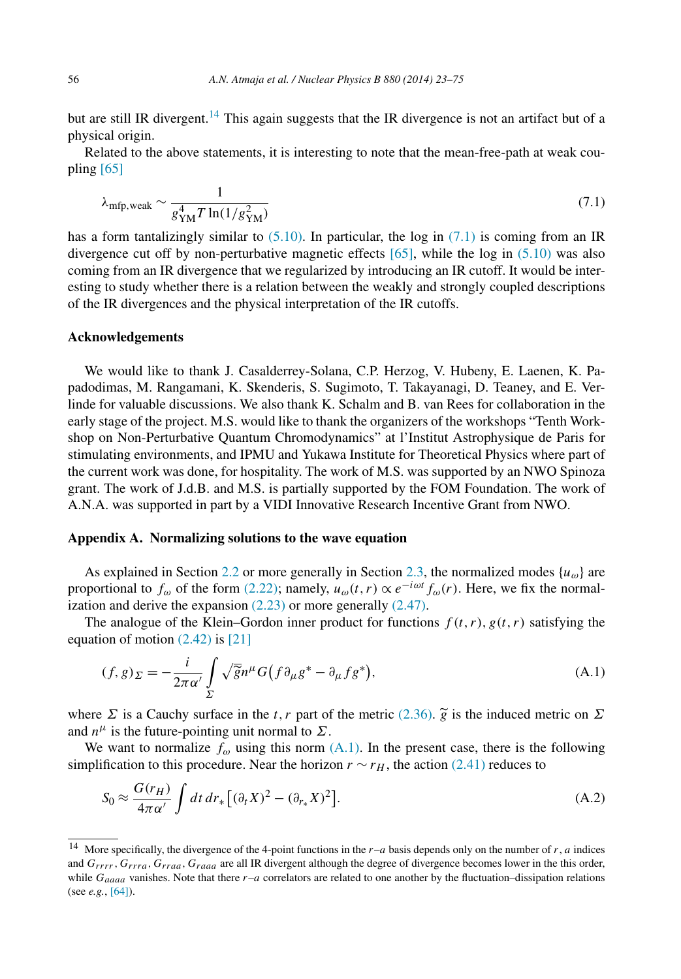<span id="page-34-0"></span>but are still IR divergent.<sup>14</sup> This again suggests that the IR divergence is not an artifact but of a physical origin.

Related to the above statements, it is interesting to note that the mean-free-path at weak coupling  $[65]$ 

$$
\lambda_{\rm mfp, weak} \sim \frac{1}{g_{\rm YM}^4 T \ln(1/g_{\rm YM}^2)}\tag{7.1}
$$

has a form tantalizingly similar to  $(5.10)$ . In particular, the log in  $(7.1)$  is coming from an IR divergence cut off by non-perturbative magnetic effects  $[65]$ , while the log in  $(5.10)$  was also coming from an IR divergence that we regularized by introducing an IR cutoff. It would be interesting to study whether there is a relation between the weakly and strongly coupled descriptions of the IR divergences and the physical interpretation of the IR cutoffs.

# **Acknowledgements**

We would like to thank J. Casalderrey-Solana, C.P. Herzog, V. Hubeny, E. Laenen, K. Papadodimas, M. Rangamani, K. Skenderis, S. Sugimoto, T. Takayanagi, D. Teaney, and E. Verlinde for valuable discussions. We also thank K. Schalm and B. van Rees for collaboration in the early stage of the project. M.S. would like to thank the organizers of the workshops "Tenth Workshop on Non-Perturbative Quantum Chromodynamics" at l'Institut Astrophysique de Paris for stimulating environments, and IPMU and Yukawa Institute for Theoretical Physics where part of the current work was done, for hospitality. The work of M.S. was supported by an NWO Spinoza grant. The work of J.d.B. and M.S. is partially supported by the FOM Foundation. The work of A.N.A. was supported in part by a VIDI Innovative Research Incentive Grant from NWO.

# **Appendix A. Normalizing solutions to the wave equation**

As explained in Section [2.2](#page-5-0) or more generally in Section [2.3,](#page-9-0) the normalized modes  $\{u_{\omega}\}\$ are proportional to  $f_{\omega}$  of the form [\(2.22\);](#page-8-0) namely,  $u_{\omega}(t, r) \propto e^{-i\omega t} f_{\omega}(r)$ . Here, we fix the normalization and derive the expansion  $(2.23)$  or more generally  $(2.47)$ .

The analogue of the Klein–Gordon inner product for functions  $f(t, r)$ ,  $g(t, r)$  satisfying the equation of motion  $(2.42)$  is [\[21\]](#page-52-0)

$$
(f,g)_{\Sigma} = -\frac{i}{2\pi\alpha'} \int\limits_{\Sigma} \sqrt{\tilde{g}} n^{\mu} G(f \partial_{\mu} g^* - \partial_{\mu} f g^*), \tag{A.1}
$$

where  $\Sigma$  is a Cauchy surface in the *t*, *r* part of the metric [\(2.36\).](#page-10-0)  $\widetilde{g}$  is the induced metric on  $\Sigma$ and  $n^{\mu}$  is the future-pointing unit normal to  $\Sigma$ .

We want to normalize  $f_{\omega}$  using this norm  $(A.1)$ . In the present case, there is the following simplification to this procedure. Near the horizon  $r \sim r_H$ , the action [\(2.41\)](#page-11-0) reduces to

$$
S_0 \approx \frac{G(r_H)}{4\pi\alpha'} \int dt dr_* \left[ (\partial_t X)^2 - (\partial_{r_*} X)^2 \right].
$$
 (A.2)

<sup>&</sup>lt;sup>14</sup> More specifically, the divergence of the 4-point functions in the  $r-a$  basis depends only on the number of  $r$ ,  $a$  indices and *Grrrr,Grrra,Grraa,Graaa* are all IR divergent although the degree of divergence becomes lower in the this order, while  $G_{aaaa}$  vanishes. Note that there  $r-a$  correlators are related to one another by the fluctuation–dissipation relations (see *e.g.*, [\[64\]\)](#page-53-0).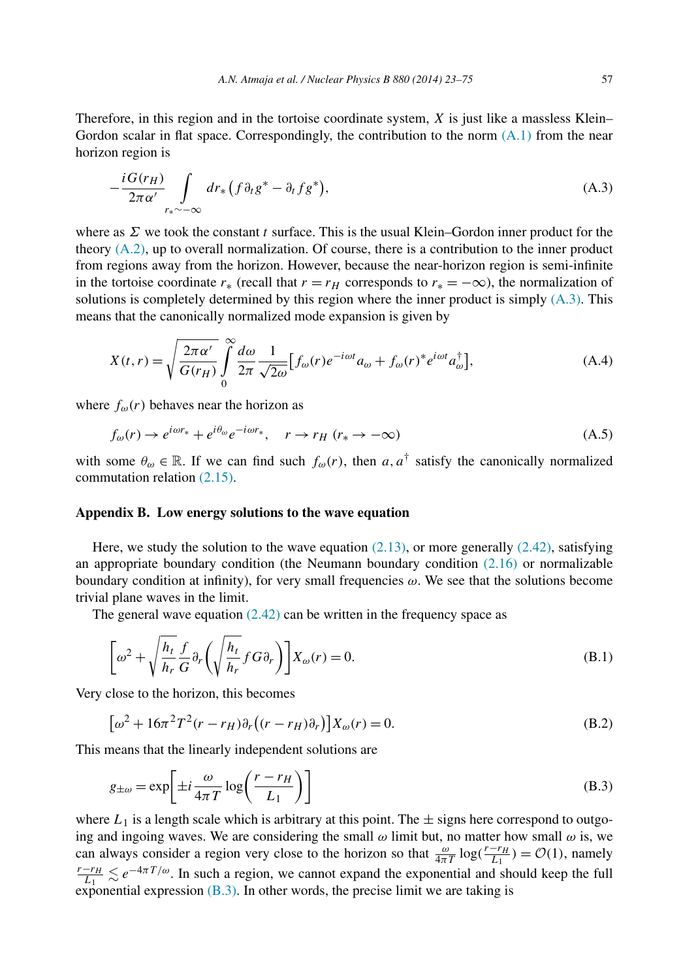<span id="page-35-0"></span>Therefore, in this region and in the tortoise coordinate system, *X* is just like a massless Klein– Gordon scalar in flat space. Correspondingly, the contribution to the norm  $(A.1)$  from the near horizon region is

$$
-\frac{iG(r_H)}{2\pi\alpha'}\int\limits_{r_*\sim-\infty}dr_*\left(f\partial_t g^*-\partial_t fg^*\right),\tag{A.3}
$$

where as *Σ* we took the constant *t* surface. This is the usual Klein–Gordon inner product for the theory [\(A.2\),](#page-34-0) up to overall normalization. Of course, there is a contribution to the inner product from regions away from the horizon. However, because the near-horizon region is semi-infinite in the tortoise coordinate  $r_*$  (recall that  $r = r_H$  corresponds to  $r_* = -\infty$ ), the normalization of solutions is completely determined by this region where the inner product is simply  $(A.3)$ . This means that the canonically normalized mode expansion is given by

$$
X(t,r) = \sqrt{\frac{2\pi\alpha'}{G(r_H)}} \int_{0}^{\infty} \frac{d\omega}{2\pi} \frac{1}{\sqrt{2\omega}} \Big[ f_{\omega}(r) e^{-i\omega t} a_{\omega} + f_{\omega}(r)^* e^{i\omega t} a_{\omega}^{\dagger} \Big], \tag{A.4}
$$

where  $f_{\omega}(r)$  behaves near the horizon as

$$
f_{\omega}(r) \to e^{i\omega r_*} + e^{i\theta_{\omega}} e^{-i\omega r_*}, \quad r \to r_H \ (r_* \to -\infty)
$$
 (A.5)

with some  $\theta_{\omega} \in \mathbb{R}$ . If we can find such  $f_{\omega}(r)$ , then  $a, a^{\dagger}$  satisfy the canonically normalized commutation relation [\(2.15\).](#page-7-0)

# **Appendix B. Low energy solutions to the wave equation**

Here, we study the solution to the wave equation  $(2.13)$ , or more generally  $(2.42)$ , satisfying an appropriate boundary condition (the Neumann boundary condition  $(2.16)$  or normalizable boundary condition at infinity), for very small frequencies *ω*. We see that the solutions become trivial plane waves in the limit.

The general wave equation  $(2.42)$  can be written in the frequency space as

$$
\left[\omega^2 + \sqrt{\frac{h_t}{h_r}} \frac{f}{G} \partial_r \left(\sqrt{\frac{h_t}{h_r}} f G \partial_r\right)\right] X_\omega(r) = 0.
$$
\n(B.1)

Very close to the horizon, this becomes

$$
\left[\omega^2 + 16\pi^2 T^2 (r - r_H) \partial_r \left( (r - r_H) \partial_r \right) \right] X_\omega(r) = 0. \tag{B.2}
$$

This means that the linearly independent solutions are

$$
g_{\pm\omega} = \exp\left[\pm i \frac{\omega}{4\pi T} \log\left(\frac{r - r_H}{L_1}\right)\right]
$$
(B.3)

where  $L_1$  is a length scale which is arbitrary at this point. The  $\pm$  signs here correspond to outgoing and ingoing waves. We are considering the small  $\omega$  limit but, no matter how small  $\omega$  is, we can always consider a region very close to the horizon so that  $\frac{\omega}{4\pi T} \log(\frac{r-r_H}{L_1}) = \mathcal{O}(1)$ , namely  $\frac{r-r_H}{L_1} \lesssim e^{-4\pi T/\omega}$ . In such a region, we cannot expand the exponential and should keep the full exponential expression  $(B.3)$ . In other words, the precise limit we are taking is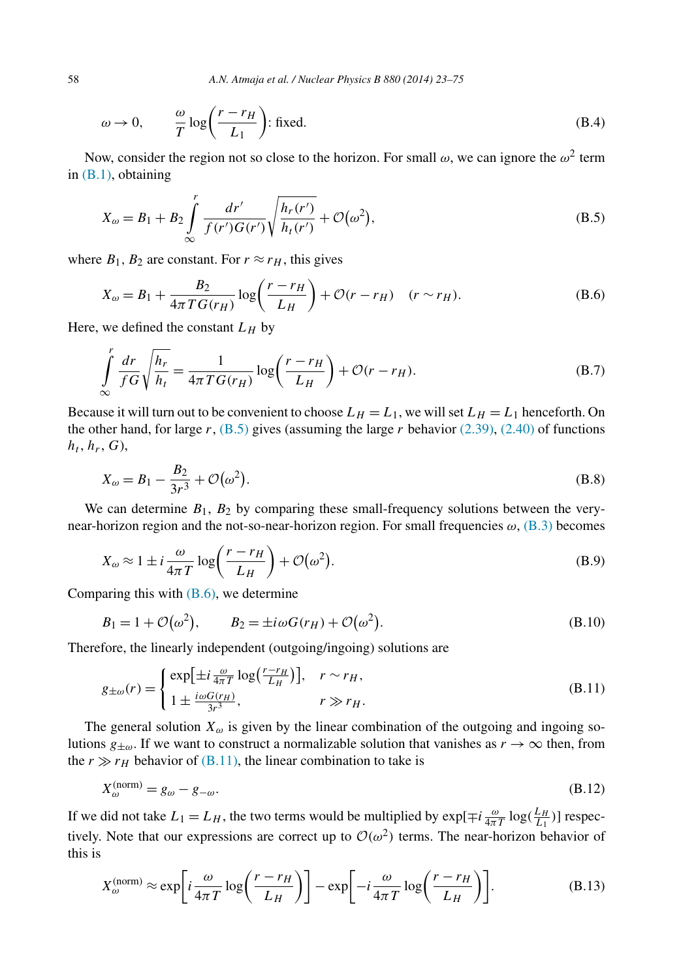$$
\omega \to 0,
$$
\n $\frac{\omega}{T} \log \left( \frac{r - r_H}{L_1} \right)$ : fixed. (B.4)

Now, consider the region not so close to the horizon. For small  $\omega$ , we can ignore the  $\omega^2$  term in [\(B.1\),](#page-35-0) obtaining

$$
X_{\omega} = B_1 + B_2 \int_{\infty}^{r} \frac{dr'}{f(r')G(r')} \sqrt{\frac{h_r(r')}{h_t(r')}} + \mathcal{O}(\omega^2), \tag{B.5}
$$

where  $B_1, B_2$  are constant. For  $r \approx r_H$ , this gives

$$
X_{\omega} = B_1 + \frac{B_2}{4\pi T G(r_H)} \log\left(\frac{r - r_H}{L_H}\right) + \mathcal{O}(r - r_H) \quad (r \sim r_H). \tag{B.6}
$$

Here, we defined the constant  $L_H$  by

$$
\int_{\infty}^{r} \frac{dr}{fG} \sqrt{\frac{h_r}{h_t}} = \frac{1}{4\pi T G(r_H)} \log \left( \frac{r - r_H}{L_H} \right) + \mathcal{O}(r - r_H). \tag{B.7}
$$

Because it will turn out to be convenient to choose  $L_H = L_1$ , we will set  $L_H = L_1$  henceforth. On the other hand, for large *r*, (B.5) gives (assuming the large *r* behavior [\(2.39\),](#page-11-0) [\(2.40\)](#page-11-0) of functions  $h_t$ ,  $h_r$ ,  $G$ ),

$$
X_{\omega} = B_1 - \frac{B_2}{3r^3} + \mathcal{O}(\omega^2).
$$
 (B.8)

We can determine  $B_1$ ,  $B_2$  by comparing these small-frequency solutions between the verynear-horizon region and the not-so-near-horizon region. For small frequencies *ω*, [\(B.3\)](#page-35-0) becomes

$$
X_{\omega} \approx 1 \pm i \frac{\omega}{4\pi T} \log \left( \frac{r - r_H}{L_H} \right) + \mathcal{O}(\omega^2). \tag{B.9}
$$

Comparing this with (B.6), we determine

$$
B_1 = 1 + \mathcal{O}(\omega^2), \qquad B_2 = \pm i\omega G(r_H) + \mathcal{O}(\omega^2). \tag{B.10}
$$

Therefore, the linearly independent (outgoing/ingoing) solutions are

$$
g_{\pm\omega}(r) = \begin{cases} \exp\left[\pm i \frac{\omega}{4\pi T} \log\left(\frac{r - r_H}{L_H}\right)\right], & r \sim r_H, \\ 1 \pm \frac{i \omega G(r_H)}{3r^3}, & r \gg r_H. \end{cases}
$$
(B.11)

The general solution  $X_{\omega}$  is given by the linear combination of the outgoing and ingoing solutions  $g_{\pm\omega}$ . If we want to construct a normalizable solution that vanishes as  $r \to \infty$  then, from the  $r \gg r_H$  behavior of (B.11), the linear combination to take is

$$
X_{\omega}^{(\text{norm})} = g_{\omega} - g_{-\omega}.
$$
\n(B.12)

If we did not take  $L_1 = L_H$ , the two terms would be multiplied by  $\exp[\mp i \frac{\omega}{4\pi T} \log(\frac{L_H}{L_1})]$  respectively. Note that our expressions are correct up to  $\mathcal{O}(\omega^2)$  terms. The near-horizon behavior of this is

$$
X_{\omega}^{(\text{norm})} \approx \exp\left[i\frac{\omega}{4\pi T}\log\left(\frac{r-r_H}{L_H}\right)\right] - \exp\left[-i\frac{\omega}{4\pi T}\log\left(\frac{r-r_H}{L_H}\right)\right].\tag{B.13}
$$

<span id="page-36-0"></span>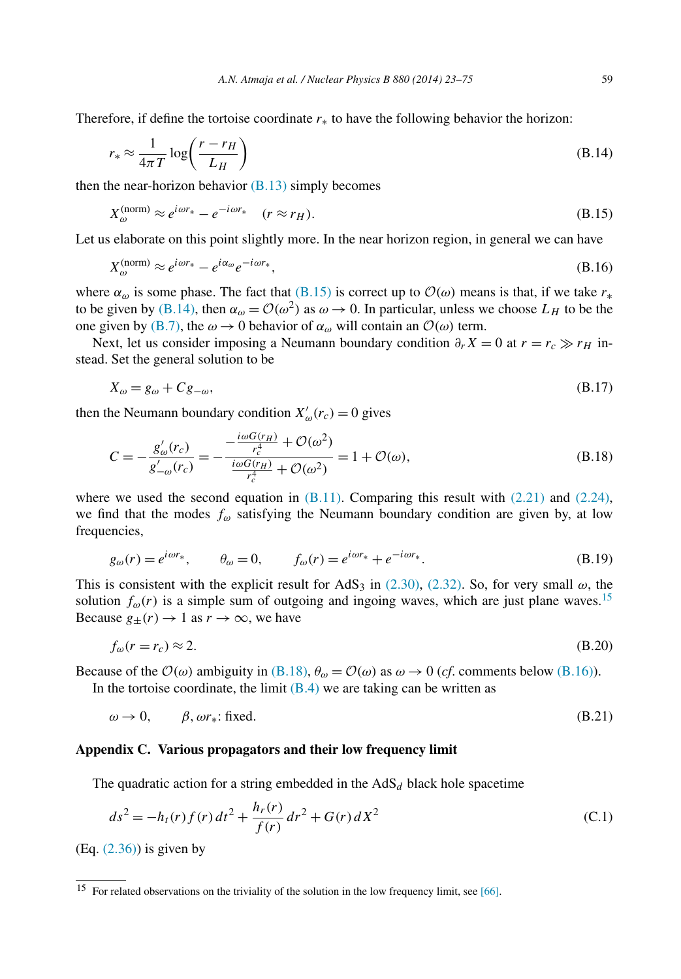<span id="page-37-0"></span>Therefore, if define the tortoise coordinate *r*∗ to have the following behavior the horizon:

$$
r_* \approx \frac{1}{4\pi T} \log \left( \frac{r - r_H}{L_H} \right) \tag{B.14}
$$

then the near-horizon behavior  $(B.13)$  simply becomes

$$
X_{\omega}^{(\text{norm})} \approx e^{i\omega r_*} - e^{-i\omega r_*} \quad (r \approx r_H). \tag{B.15}
$$

Let us elaborate on this point slightly more. In the near horizon region, in general we can have

$$
X_{\omega}^{(\text{norm})} \approx e^{i\omega r_*} - e^{i\alpha_{\omega}} e^{-i\omega r_*},\tag{B.16}
$$

where  $\alpha_{\omega}$  is some phase. The fact that (B.15) is correct up to  $\mathcal{O}(\omega)$  means is that, if we take  $r_*$ to be given by (B.14), then  $\alpha_{\omega} = \mathcal{O}(\omega^2)$  as  $\omega \to 0$ . In particular, unless we choose  $L_H$  to be the one given by [\(B.7\),](#page-36-0) the  $\omega \to 0$  behavior of  $\alpha_{\omega}$  will contain an  $\mathcal{O}(\omega)$  term.

Next, let us consider imposing a Neumann boundary condition  $\partial_r X = 0$  at  $r = r_c \gg r_H$  instead. Set the general solution to be

$$
X_{\omega} = g_{\omega} + C g_{-\omega},\tag{B.17}
$$

then the Neumann boundary condition  $X'_{\omega}(r_c) = 0$  gives

$$
C = -\frac{g'_{\omega}(r_c)}{g'_{-\omega}(r_c)} = -\frac{-\frac{i\omega G(r_H)}{r_c^4} + \mathcal{O}(\omega^2)}{\frac{i\omega G(r_H)}{r_c^4} + \mathcal{O}(\omega^2)} = 1 + \mathcal{O}(\omega),
$$
 (B.18)

where we used the second equation in  $(B.11)$ . Comparing this result with  $(2.21)$  and  $(2.24)$ , we find that the modes *fω* satisfying the Neumann boundary condition are given by, at low frequencies,

$$
g_{\omega}(r) = e^{i\omega r_*}, \qquad \theta_{\omega} = 0, \qquad f_{\omega}(r) = e^{i\omega r_*} + e^{-i\omega r_*}.
$$
 (B.19)

This is consistent with the explicit result for AdS<sub>3</sub> in [\(2.30\),](#page-9-0) [\(2.32\).](#page-9-0) So, for very small  $\omega$ , the solution  $f_{\omega}(r)$  is a simple sum of outgoing and ingoing waves, which are just plane waves.<sup>15</sup> Because  $g_{+}(r) \rightarrow 1$  as  $r \rightarrow \infty$ , we have

$$
f_{\omega}(r = r_c) \approx 2. \tag{B.20}
$$

Because of the  $\mathcal{O}(\omega)$  ambiguity in (B.18),  $\theta_{\omega} = \mathcal{O}(\omega)$  as  $\omega \to 0$  (*cf*. comments below (B.16)). In the tortoise coordinate, the limit  $(B.4)$  we are taking can be written as

$$
\omega \to 0, \qquad \beta, \omega r_* \text{: fixed.} \tag{B.21}
$$

## **Appendix C. Various propagators and their low frequency limit**

The quadratic action for a string embedded in the  $AdS_d$  black hole spacetime

$$
ds^{2} = -h_{t}(r)f(r) dt^{2} + \frac{h_{r}(r)}{f(r)} dr^{2} + G(r) dX^{2}
$$
 (C.1)

 $(Eq. (2.36))$  $(Eq. (2.36))$  is given by

 $15$  For related observations on the triviality of the solution in the low frequency limit, see [\[66\].](#page-53-0)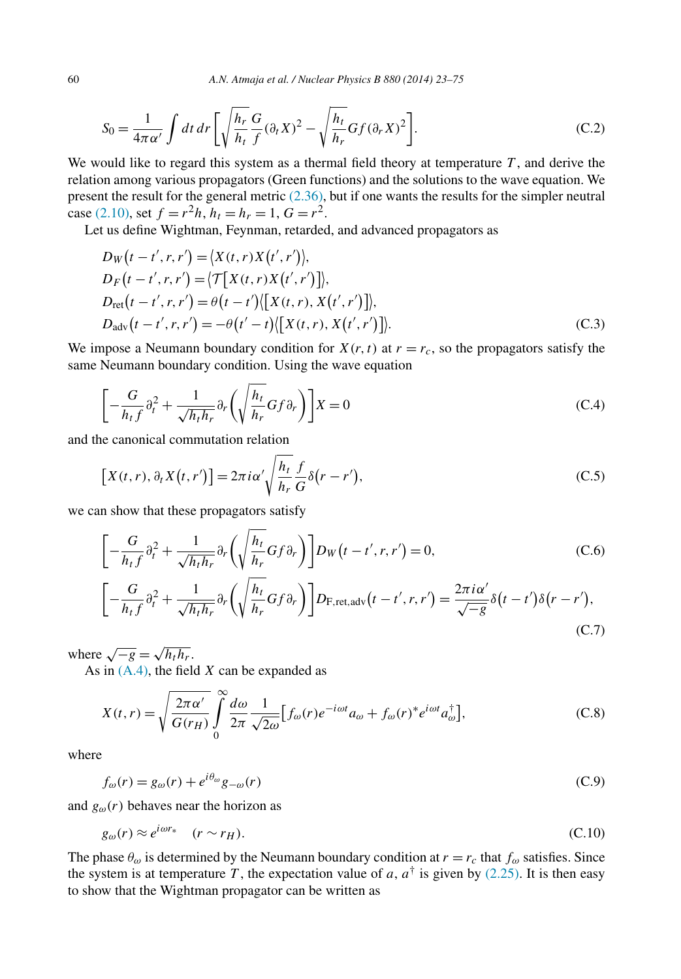$$
S_0 = \frac{1}{4\pi\alpha'} \int dt \, dr \left[ \sqrt{\frac{h_r}{h_t}} \frac{G}{f} (\partial_t X)^2 - \sqrt{\frac{h_t}{h_r}} G f (\partial_r X)^2 \right]. \tag{C.2}
$$

We would like to regard this system as a thermal field theory at temperature  $T$ , and derive the relation among various propagators (Green functions) and the solutions to the wave equation. We present the result for the general metric [\(2.36\),](#page-10-0) but if one wants the results for the simpler neutral case [\(2.10\),](#page-5-0) set  $f = r^2h$ ,  $h_t = h_r = 1$ ,  $G = r^2$ .

Let us define Wightman, Feynman, retarded, and advanced propagators as

$$
D_{W}(t - t', r, r') = \langle X(t, r)X(t', r') \rangle,
$$
  
\n
$$
D_{F}(t - t', r, r') = \langle \mathcal{T}[X(t, r)X(t', r')] \rangle,
$$
  
\n
$$
D_{\text{ret}}(t - t', r, r') = \theta(t - t') \langle [X(t, r), X(t', r')] \rangle,
$$
  
\n
$$
D_{\text{adv}}(t - t', r, r') = -\theta(t' - t) \langle [X(t, r), X(t', r')] \rangle.
$$
 (C.3)

We impose a Neumann boundary condition for  $X(r, t)$  at  $r = r_c$ , so the propagators satisfy the same Neumann boundary condition. Using the wave equation

$$
\left[-\frac{G}{h_t f}\partial_t^2 + \frac{1}{\sqrt{h_t h_r}}\partial_r \left(\sqrt{\frac{h_t}{h_r}} G f \partial_r\right)\right] X = 0
$$
\n(C.4)

and the canonical commutation relation

$$
\[X(t,r),\partial_t X(t,r')\] = 2\pi i \alpha' \sqrt{\frac{h_t}{h_r}} \frac{f}{G} \delta(r-r'),\tag{C.5}
$$

we can show that these propagators satisfy

$$
\left[-\frac{G}{h_t f}\partial_t^2 + \frac{1}{\sqrt{h_t h_r}}\partial_r \left(\sqrt{\frac{h_t}{h_r}} G f \partial_r\right)\right] D_W\left(t - t', r, r'\right) = 0,\tag{C.6}
$$

$$
\left[-\frac{G}{h_t f}\partial_t^2 + \frac{1}{\sqrt{h_t h_r}}\partial_r \left(\sqrt{\frac{h_t}{h_r}} G f \partial_r\right)\right] D_{\text{F,ret,adv}}(t - t', r, r') = \frac{2\pi i \alpha'}{\sqrt{-g}} \delta(t - t') \delta(r - r'),\tag{C.7}
$$

where  $\sqrt{-g} = \sqrt{h_t h_r}$ .

As in [\(A.4\),](#page-35-0) the field *X* can be expanded as

$$
X(t,r) = \sqrt{\frac{2\pi\alpha'}{G(r_H)}} \int_{0}^{\infty} \frac{d\omega}{2\pi} \frac{1}{\sqrt{2\omega}} \Big[ f_{\omega}(r) e^{-i\omega t} a_{\omega} + f_{\omega}(r)^* e^{i\omega t} a_{\omega}^{\dagger} \Big],
$$
 (C.8)

where

$$
f_{\omega}(r) = g_{\omega}(r) + e^{i\theta_{\omega}}g_{-\omega}(r)
$$
\n(C.9)

and  $g_{\omega}(r)$  behaves near the horizon as

$$
g_{\omega}(r) \approx e^{i\omega r_*} \quad (r \sim r_H). \tag{C.10}
$$

The phase  $\theta_{\omega}$  is determined by the Neumann boundary condition at  $r = r_c$  that  $f_{\omega}$  satisfies. Since the system is at temperature *T*, the expectation value of *a*,  $a^{\dagger}$  is given by [\(2.25\).](#page-8-0) It is then easy to show that the Wightman propagator can be written as

<span id="page-38-0"></span>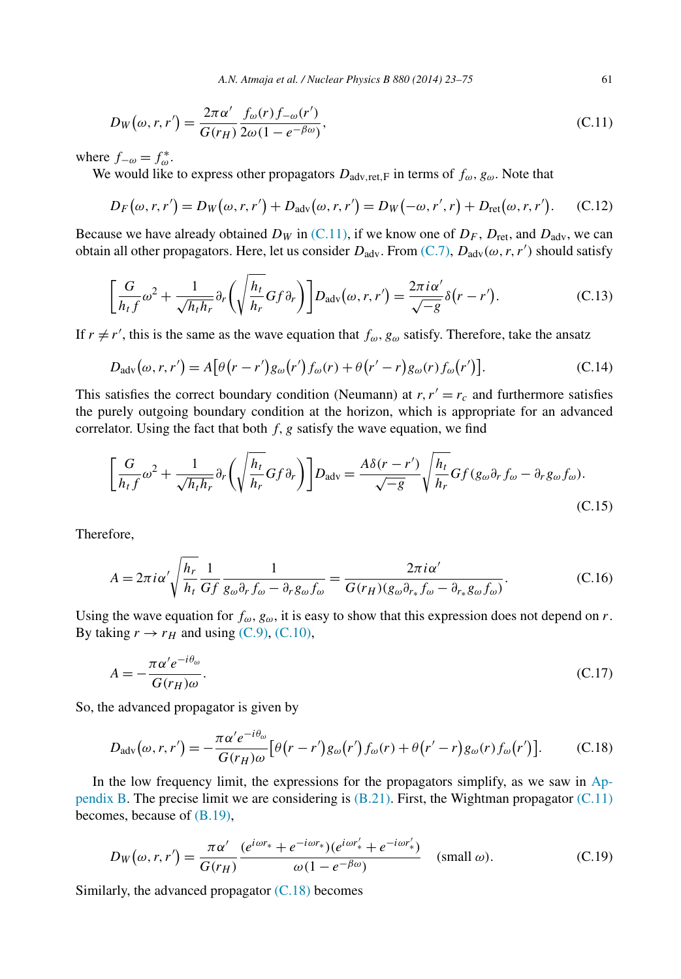<span id="page-39-0"></span>
$$
D_W(\omega, r, r') = \frac{2\pi\alpha'}{G(r_H)} \frac{f_{\omega}(r)f_{-\omega}(r')}{2\omega(1 - e^{-\beta\omega})},
$$
\n(C.11)

where  $f_{-\omega} = f_{\omega}^*$ .

We would like to express other propagators  $D_{\text{adv, ret, F}}$  in terms of  $f_{\omega}$ ,  $g_{\omega}$ . Note that

$$
D_F(\omega, r, r') = D_W(\omega, r, r') + D_{adv}(\omega, r, r') = D_W(-\omega, r', r) + D_{ret}(\omega, r, r'). \tag{C.12}
$$

Because we have already obtained  $D_W$  in (C.11), if we know one of  $D_F$ ,  $D_{\text{ret}}$ , and  $D_{\text{adv}}$ , we can obtain all other propagators. Here, let us consider *D*adv. From [\(C.7\),](#page-38-0) *D*adv*(ω,r,r )* should satisfy

$$
\left[\frac{G}{h_t f}\omega^2 + \frac{1}{\sqrt{h_t h_r}}\partial_r\left(\sqrt{\frac{h_t}{h_r}} G f \partial_r\right)\right] D_{\text{adv}}(\omega, r, r') = \frac{2\pi i \alpha'}{\sqrt{-g}} \delta(r - r'). \tag{C.13}
$$

If  $r \neq r'$ , this is the same as the wave equation that  $f_{\omega}$ ,  $g_{\omega}$  satisfy. Therefore, take the ansatz

$$
D_{\text{adv}}(\omega, r, r') = A \big[ \theta \big( r - r' \big) g_{\omega} \big( r' \big) f_{\omega} \big( r \big) + \theta \big( r' - r \big) g_{\omega} \big( r \big) f_{\omega} \big( r' \big) \big]. \tag{C.14}
$$

This satisfies the correct boundary condition (Neumann) at  $r, r' = r_c$  and furthermore satisfies the purely outgoing boundary condition at the horizon, which is appropriate for an advanced correlator. Using the fact that both  $f, g$  satisfy the wave equation, we find

$$
\left[\frac{G}{h_{t}f}\omega^{2} + \frac{1}{\sqrt{h_{t}h_{r}}}\partial_{r}\left(\sqrt{\frac{h_{t}}{h_{r}}}Gf\partial_{r}\right)\right]D_{\text{adv}} = \frac{A\delta(r-r')}{\sqrt{-g}}\sqrt{\frac{h_{t}}{h_{r}}}Gf(g_{\omega}\partial_{r}f_{\omega} - \partial_{r}g_{\omega}f_{\omega}).
$$
\n(C.15)

Therefore,

$$
A = 2\pi i \alpha' \sqrt{\frac{h_r}{h_t}} \frac{1}{Gf} \frac{1}{g_\omega \partial_r f_\omega - \partial_r g_\omega f_\omega} = \frac{2\pi i \alpha'}{G(r_H)(g_\omega \partial_{r_*} f_\omega - \partial_{r_*} g_\omega f_\omega)}.
$$
(C.16)

Using the wave equation for  $f_{\omega}$ ,  $g_{\omega}$ , it is easy to show that this expression does not depend on *r*. By taking  $r \rightarrow r_H$  and using [\(C.9\),](#page-38-0) [\(C.10\),](#page-38-0)

$$
A = -\frac{\pi \alpha' e^{-i\theta_{\omega}}}{G(r_H)\omega}.
$$
\n(C.17)

So, the advanced propagator is given by

$$
D_{\text{adv}}(\omega, r, r') = -\frac{\pi \alpha' e^{-i\theta_{\omega}}}{G(r_H)\omega} \left[ \theta(r - r') g_{\omega}(r') f_{\omega}(r) + \theta(r' - r) g_{\omega}(r) f_{\omega}(r') \right]. \tag{C.18}
$$

In the low frequency limit, the expressions for the propagators simplify, as we saw in [Ap](#page-35-0)[pendix B.](#page-35-0) The precise limit we are considering is  $(B.21)$ . First, the Wightman propagator  $(C.11)$ becomes, because of [\(B.19\),](#page-37-0)

$$
D_W(\omega, r, r') = \frac{\pi \alpha'}{G(r_H)} \frac{(e^{i\omega r_*} + e^{-i\omega r_*})(e^{i\omega r_*'} + e^{-i\omega r_*'})}{\omega (1 - e^{-\beta \omega})} \quad \text{(small } \omega\text{)}.
$$

Similarly, the advanced propagator  $(C.18)$  becomes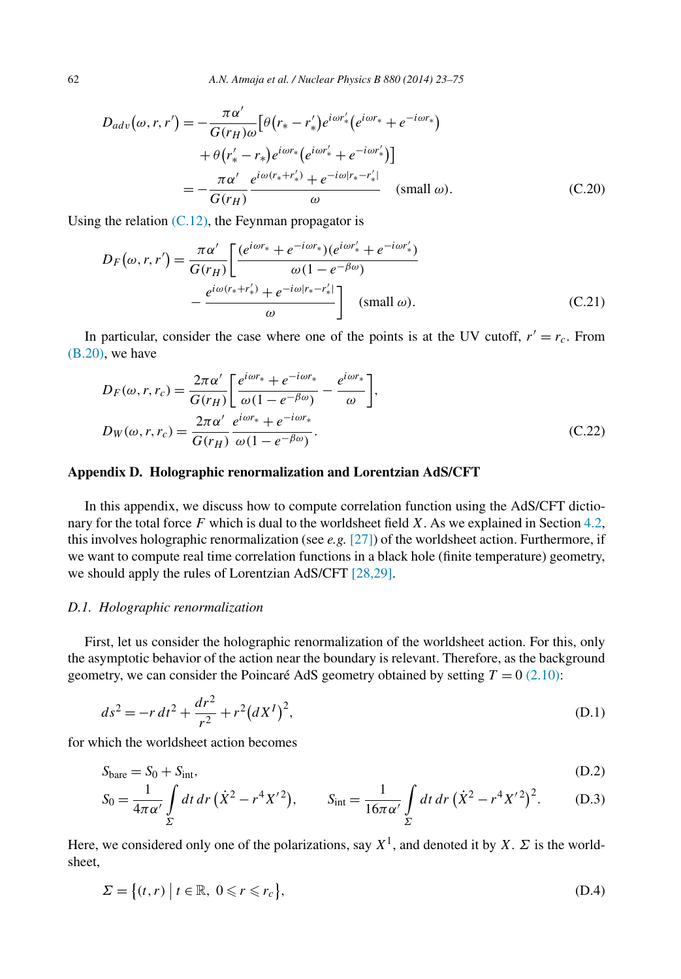<span id="page-40-0"></span>
$$
D_{adv}(\omega, r, r') = -\frac{\pi \alpha'}{G(r_H)\omega} \left[ \theta(r_* - r'_*) e^{i\omega r'_*} (e^{i\omega r_*} + e^{-i\omega r_*}) + \theta(r'_* - r_*) e^{i\omega r_*} (e^{i\omega r'_*} + e^{-i\omega r'_*}) \right]
$$
  

$$
= -\frac{\pi \alpha'}{G(r_H)} \frac{e^{i\omega(r_* + r'_*)} + e^{-i\omega|r_* - r'_*|}}{\omega} \text{ (small } \omega). \tag{C.20}
$$

Using the relation  $(C.12)$ , the Feynman propagator is

$$
D_F(\omega, r, r') = \frac{\pi \alpha'}{G(r_H)} \left[ \frac{(e^{i\omega r_*} + e^{-i\omega r_*})(e^{i\omega r'_*} + e^{-i\omega r'_*)}}{\omega (1 - e^{-\beta \omega})} - \frac{e^{i\omega (r_* + r'_*)} + e^{-i\omega |r_* - r'_*|}}{\omega} \right] \quad (\text{small } \omega). \tag{C.21}
$$

In particular, consider the case where one of the points is at the UV cutoff,  $r' = r_c$ . From [\(B.20\),](#page-37-0) we have

$$
D_F(\omega, r, r_c) = \frac{2\pi\alpha'}{G(r_H)} \left[ \frac{e^{i\omega r_*} + e^{-i\omega r_*}}{\omega(1 - e^{-\beta\omega})} - \frac{e^{i\omega r_*}}{\omega} \right],
$$
  
\n
$$
D_W(\omega, r, r_c) = \frac{2\pi\alpha'}{G(r_H)} \frac{e^{i\omega r_*} + e^{-i\omega r_*}}{\omega(1 - e^{-\beta\omega})}.
$$
\n(C.22)

# **Appendix D. Holographic renormalization and Lorentzian AdS/CFT**

In this appendix, we discuss how to compute correlation function using the AdS/CFT dictionary for the total force *F* which is dual to the worldsheet field *X*. As we explained in Section [4.2,](#page-20-0) this involves holographic renormalization (see *e.g.* [\[27\]\)](#page-52-0) of the worldsheet action. Furthermore, if we want to compute real time correlation functions in a black hole (finite temperature) geometry, we should apply the rules of Lorentzian AdS/CFT [\[28,29\].](#page-52-0)

## *D.1. Holographic renormalization*

First, let us consider the holographic renormalization of the worldsheet action. For this, only the asymptotic behavior of the action near the boundary is relevant. Therefore, as the background geometry, we can consider the Poincaré AdS geometry obtained by setting  $T = 0$  [\(2.10\):](#page-5-0)

$$
ds^{2} = -r dt^{2} + \frac{dr^{2}}{r^{2}} + r^{2} (dX^{I})^{2},
$$
\n(D.1)

for which the worldsheet action becomes

$$
S_{\text{bare}} = S_0 + S_{\text{int}},\tag{D.2}
$$

$$
S_0 = \frac{1}{4\pi\alpha'} \int\limits_{\Sigma} dt \, dr \, (\dot{X}^2 - r^4 X'^2), \qquad S_{\text{int}} = \frac{1}{16\pi\alpha'} \int\limits_{\Sigma} dt \, dr \, (\dot{X}^2 - r^4 X'^2)^2. \tag{D.3}
$$

Here, we considered only one of the polarizations, say  $X^1$ , and denoted it by *X*. *Σ* is the worldsheet,

$$
\Sigma = \{(t, r) \mid t \in \mathbb{R}, 0 \leqslant r \leqslant r_c\},\tag{D.4}
$$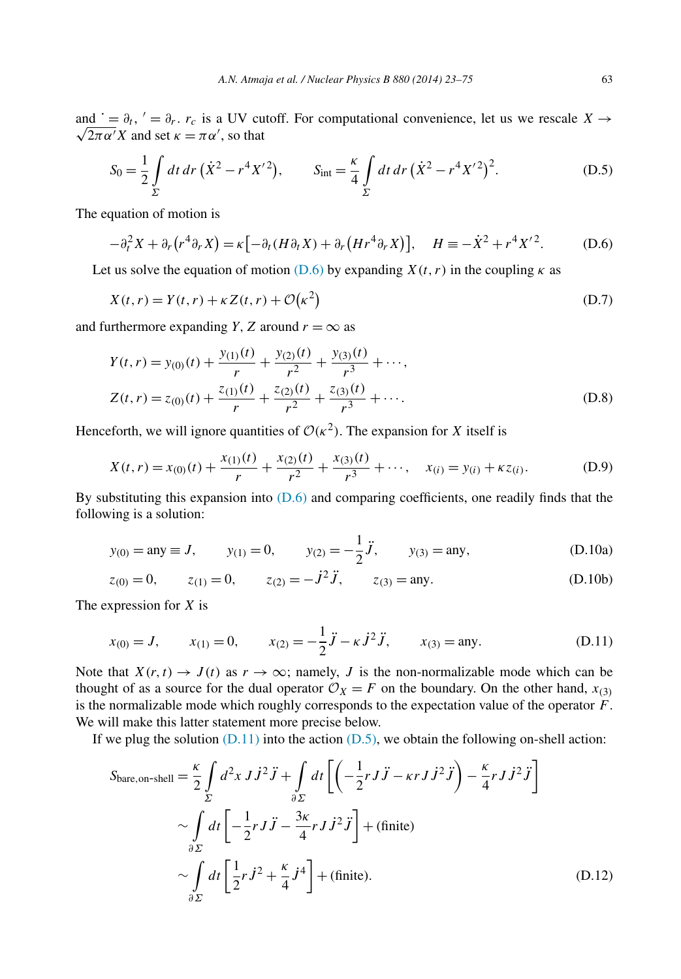<span id="page-41-0"></span>and  $\dot{\theta} = \partial_t$ ,  $\dot{\theta} = \partial_r$ .  $r_c$  is a UV cutoff. For computational convenience, let us we rescale *X*  $\rightarrow$  $\overline{2\pi\alpha'}X$  and set  $\kappa = \pi\alpha'$ , so that

$$
S_0 = \frac{1}{2} \int\limits_{\Sigma} dt \, dr \, (\dot{X}^2 - r^4 X'^2), \qquad S_{\text{int}} = \frac{\kappa}{4} \int\limits_{\Sigma} dt \, dr \, (\dot{X}^2 - r^4 X'^2)^2. \tag{D.5}
$$

The equation of motion is

$$
-\partial_t^2 X + \partial_r (r^4 \partial_r X) = \kappa \big[ -\partial_t (H \partial_t X) + \partial_r (H r^4 \partial_r X) \big], \quad H \equiv -\dot{X}^2 + r^4 X'^2. \tag{D.6}
$$

Let us solve the equation of motion (D.6) by expanding  $X(t, r)$  in the coupling  $\kappa$  as

$$
X(t, r) = Y(t, r) + \kappa Z(t, r) + \mathcal{O}(\kappa^2)
$$
 (D.7)

and furthermore expanding *Y*, *Z* around  $r = \infty$  as

$$
Y(t, r) = y_{(0)}(t) + \frac{y_{(1)}(t)}{r} + \frac{y_{(2)}(t)}{r^2} + \frac{y_{(3)}(t)}{r^3} + \cdots,
$$
  
\n
$$
Z(t, r) = z_{(0)}(t) + \frac{z_{(1)}(t)}{r} + \frac{z_{(2)}(t)}{r^2} + \frac{z_{(3)}(t)}{r^3} + \cdots.
$$
\n(D.8)

Henceforth, we will ignore quantities of  $\mathcal{O}(\kappa^2)$ . The expansion for *X* itself is

$$
X(t,r) = x_{(0)}(t) + \frac{x_{(1)}(t)}{r} + \frac{x_{(2)}(t)}{r^2} + \frac{x_{(3)}(t)}{r^3} + \cdots, \quad x_{(i)} = y_{(i)} + \kappa z_{(i)}.
$$
 (D.9)

By substituting this expansion into  $(D.6)$  and comparing coefficients, one readily finds that the following is a solution:

$$
y_{(0)} = \text{any} \equiv J, \qquad y_{(1)} = 0, \qquad y_{(2)} = -\frac{1}{2}\ddot{J}, \qquad y_{(3)} = \text{any},
$$
 (D.10a)

$$
z_{(0)} = 0,
$$
  $z_{(1)} = 0,$   $z_{(2)} = -\dot{J}^2 \ddot{J},$   $z_{(3)} = \text{any}.$  (D.10b)

The expression for *X* is

$$
x_{(0)} = J,
$$
  $x_{(1)} = 0,$   $x_{(2)} = -\frac{1}{2}\ddot{J} - \kappa \dot{J}^2 \ddot{J},$   $x_{(3)} = \text{any.}$  (D.11)

Note that  $X(r, t) \to J(t)$  as  $r \to \infty$ ; namely, *J* is the non-normalizable mode which can be thought of as a source for the dual operator  $\mathcal{O}_X = F$  on the boundary. On the other hand,  $x_{(3)}$ is the normalizable mode which roughly corresponds to the expectation value of the operator *F*. We will make this latter statement more precise below.

If we plug the solution  $(D.11)$  into the action  $(D.5)$ , we obtain the following on-shell action:

$$
S_{\text{bare,on-shell}} = \frac{\kappa}{2} \int_{\Sigma} d^2 x J \dot{J}^2 \ddot{J} + \int_{\partial \Sigma} dt \left[ \left( -\frac{1}{2} r J \ddot{J} - \kappa r J \dot{J}^2 \ddot{J} \right) - \frac{\kappa}{4} r J \dot{J}^2 \ddot{J} \right] \sim \int_{\partial \Sigma} dt \left[ -\frac{1}{2} r J \ddot{J} - \frac{3\kappa}{4} r J \dot{J}^2 \ddot{J} \right] + (\text{finite}) \sim \int_{\partial \Sigma} dt \left[ \frac{1}{2} r \dot{J}^2 + \frac{\kappa}{4} \dot{J}^4 \right] + (\text{finite}). \tag{D.12}
$$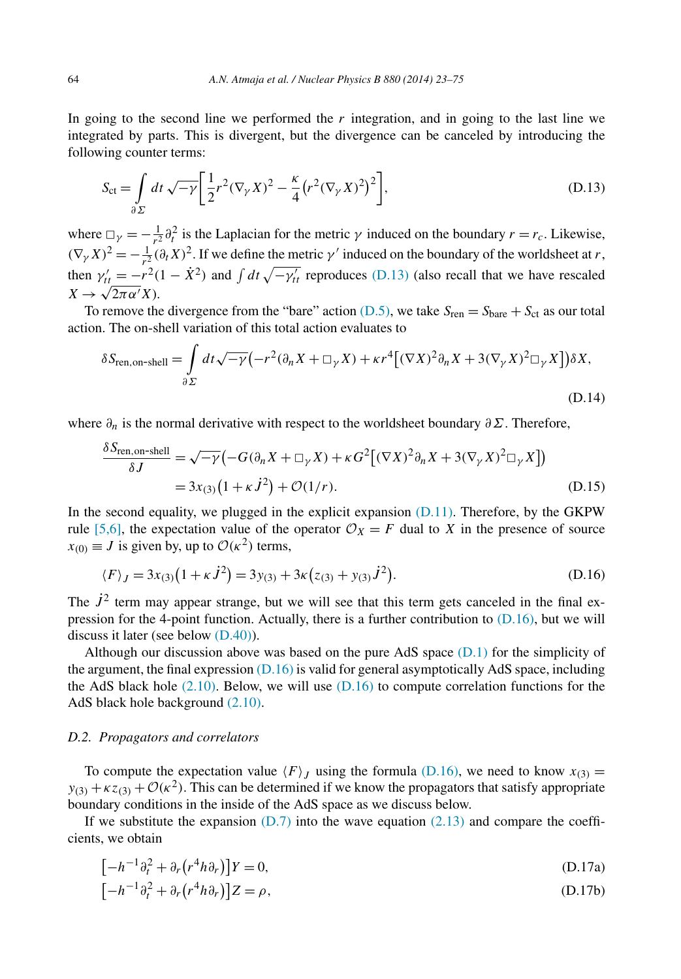<span id="page-42-0"></span>In going to the second line we performed the *r* integration, and in going to the last line we integrated by parts. This is divergent, but the divergence can be canceled by introducing the following counter terms:

$$
S_{\rm ct} = \int\limits_{\partial \Sigma} dt \sqrt{-\gamma} \left[ \frac{1}{2} r^2 (\nabla_\gamma X)^2 - \frac{\kappa}{4} \left( r^2 (\nabla_\gamma X)^2 \right)^2 \right],\tag{D.13}
$$

where  $\Box_{\gamma} = -\frac{1}{r^2} \partial_t^2$  is the Laplacian for the metric  $\gamma$  induced on the boundary  $r = r_c$ . Likewise,  $(\nabla_{\gamma} X)^2 = -\frac{1}{r^2} (\partial_t X)^2$ . If we define the metric *γ*' induced on the boundary of the worldsheet at *r*, then  $\gamma'_{tt} = -r^2(1 - \dot{X}^2)$  and  $\int dt \sqrt{-\gamma'_{tt}}$  reproduces (D.13) (also recall that we have rescaled  $X \rightarrow \sqrt{2\pi \alpha'} X$ .

To remove the divergence from the "bare" action [\(D.5\),](#page-41-0) we take  $S_{ren} = S_{bare} + S_{ct}$  as our total action. The on-shell variation of this total action evaluates to

$$
\delta S_{\text{ren,on-shell}} = \int_{\partial \Sigma} dt \sqrt{-\gamma} \left( -r^2 (\partial_n X + \Box_{\gamma} X) + \kappa r^4 \left[ (\nabla X)^2 \partial_n X + 3 (\nabla_{\gamma} X)^2 \Box_{\gamma} X \right] \right) \delta X,
$$
\n(D.14)

where *∂n* is the normal derivative with respect to the worldsheet boundary *∂Σ*. Therefore,

$$
\frac{\delta S_{\text{ren,on-shell}}}{\delta J} = \sqrt{-\gamma} \left( -G(\partial_n X + \Box_Y X) + \kappa G^2 \left[ (\nabla X)^2 \partial_n X + 3(\nabla_Y X)^2 \Box_Y X \right] \right)
$$
  
= 3x(3) (1 + \kappa \dot{J}^2) + \mathcal{O}(1/r). (D.15)

In the second equality, we plugged in the explicit expansion  $(D.11)$ . Therefore, by the GKPW rule [\[5,6\],](#page-51-0) the expectation value of the operator  $\mathcal{O}_X = F$  dual to *X* in the presence of source  $x_{(0)} \equiv J$  is given by, up to  $\mathcal{O}(\kappa^2)$  terms,

$$
\langle F \rangle_J = 3x_{(3)}(1 + \kappa \dot{J}^2) = 3y_{(3)} + 3\kappa (z_{(3)} + y_{(3)} \dot{J}^2). \tag{D.16}
$$

The  $\dot{J}^2$  term may appear strange, but we will see that this term gets canceled in the final expression for the 4-point function. Actually, there is a further contribution to (D.16), but we will discuss it later (see below [\(D.40\)\)](#page-45-0).

Although our discussion above was based on the pure AdS space  $(D.1)$  for the simplicity of the argument, the final expression  $(D.16)$  is valid for general asymptotically AdS space, including the AdS black hole  $(2.10)$ . Below, we will use  $(D.16)$  to compute correlation functions for the AdS black hole background [\(2.10\).](#page-5-0)

#### *D.2. Propagators and correlators*

To compute the expectation value  $\langle F \rangle_I$  using the formula (D.16), we need to know  $x_{(3)} =$  $y_{(3)} + \kappa z_{(3)} + \mathcal{O}(\kappa^2)$ . This can be determined if we know the propagators that satisfy appropriate boundary conditions in the inside of the AdS space as we discuss below.

If we substitute the expansion  $(D.7)$  into the wave equation  $(2.13)$  and compare the coefficients, we obtain

$$
[-h^{-1}\partial_t^2 + \partial_r (r^4 h \partial_r)]Y = 0,
$$
\n(D.17a)

$$
[-h^{-1}\partial_t^2 + \partial_r (r^4 h \partial_r)]Z = \rho, \tag{D.17b}
$$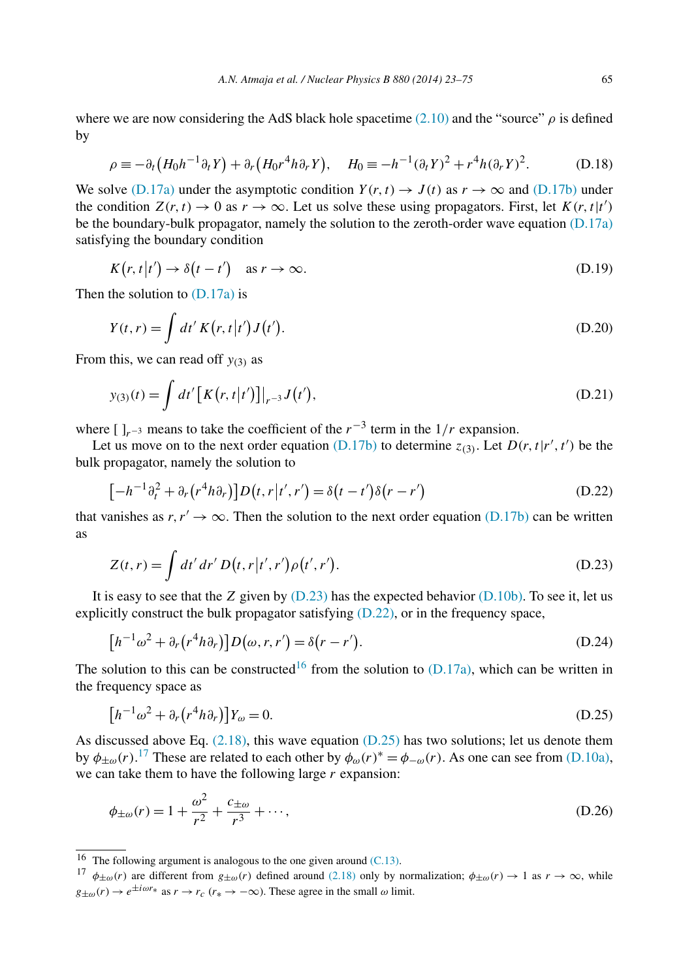<span id="page-43-0"></span>
$$
\rho \equiv -\partial_t \left( H_0 h^{-1} \partial_t Y \right) + \partial_r \left( H_0 r^4 h \partial_r Y \right), \quad H_0 \equiv -h^{-1} (\partial_t Y)^2 + r^4 h (\partial_r Y)^2. \tag{D.18}
$$

We solve [\(D.17a\)](#page-42-0) under the asymptotic condition  $Y(r, t) \rightarrow J(t)$  as  $r \rightarrow \infty$  and [\(D.17b\)](#page-42-0) under the condition  $Z(r, t) \to 0$  as  $r \to \infty$ . Let us solve these using propagators. First, let  $K(r, t|t')$ be the boundary-bulk propagator, namely the solution to the zeroth-order wave equation [\(D.17a\)](#page-42-0) satisfying the boundary condition

$$
K(r, t|t') \to \delta(t - t') \quad \text{as } r \to \infty.
$$
 (D.19)

Then the solution to [\(D.17a\)](#page-42-0) is

$$
Y(t,r) = \int dt' K(r,t|t')J(t').
$$
\n(D.20)

From this, we can read off *y(*3*)* as

$$
y_{(3)}(t) = \int dt' [K(r, t|t')]|_{r^{-3}} J(t'), \tag{D.21}
$$

where  $[\ ]_{r^{-3}}$  means to take the coefficient of the  $r^{-3}$  term in the  $1/r$  expansion.

Let us move on to the next order equation [\(D.17b\)](#page-42-0) to determine  $z_{(3)}$ . Let  $D(r, t|r', t')$  be the bulk propagator, namely the solution to

$$
[-h^{-1}\partial_t^2 + \partial_r(r^4h\partial_r)]D(t,r|t',r') = \delta(t-t')\delta(r-r')
$$
 (D.22)

that vanishes as  $r, r' \rightarrow \infty$ . Then the solution to the next order equation [\(D.17b\)](#page-42-0) can be written as

$$
Z(t,r) = \int dt' dr' D(t,r|t',r')\rho(t',r').
$$
 (D.23)

It is easy to see that the *Z* given by (D.23) has the expected behavior [\(D.10b\).](#page-41-0) To see it, let us explicitly construct the bulk propagator satisfying  $(D.22)$ , or in the frequency space,

$$
[h^{-1}\omega^2 + \partial_r (r^4 h \partial_r)]D(\omega, r, r') = \delta(r - r').
$$
 (D.24)

The solution to this can be constructed<sup>16</sup> from the solution to  $(D.17a)$ , which can be written in the frequency space as

$$
[h^{-1}\omega^2 + \partial_r (r^4 h \partial_r)]Y_{\omega} = 0. \tag{D.25}
$$

As discussed above Eq.  $(2.18)$ , this wave equation  $(D.25)$  has two solutions; let us denote them by  $\phi_{\pm\omega}(r)$ .<sup>17</sup> These are related to each other by  $\phi_{\omega}(r)^* = \phi_{-\omega}(r)$ . As one can see from [\(D.10a\),](#page-41-0) we can take them to have the following large *r* expansion:

$$
\phi_{\pm\omega}(r) = 1 + \frac{\omega^2}{r^2} + \frac{c_{\pm\omega}}{r^3} + \cdots,
$$
\n(D.26)

<sup>&</sup>lt;sup>16</sup> The following argument is analogous to the one given around  $(C.13)$ .

<sup>&</sup>lt;sup>17</sup>  $\phi_{\pm\omega}(r)$  are different from  $g_{\pm\omega}(r)$  defined around [\(2.18\)](#page-7-0) only by normalization;  $\phi_{\pm\omega}(r) \rightarrow 1$  as  $r \rightarrow \infty$ , while  $g_{\pm\omega}(r) \rightarrow e^{\pm i\omega r_*}$  as  $r \rightarrow r_c$  ( $r_* \rightarrow -\infty$ ). These agree in the small  $\omega$  limit.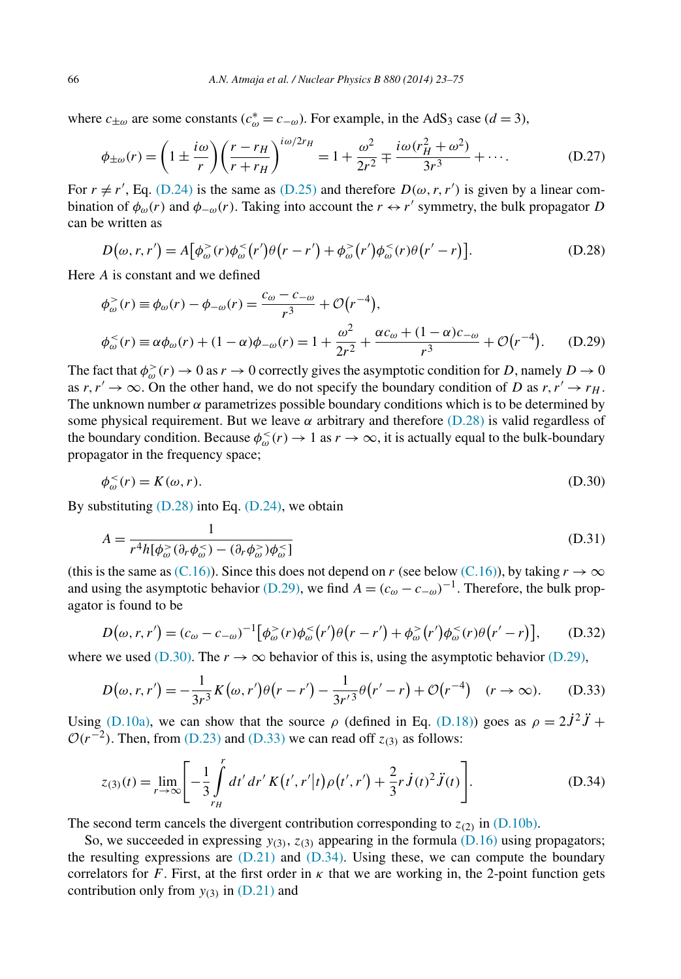<span id="page-44-0"></span>where  $c_{\pm\omega}$  are some constants ( $c_{\omega}^* = c_{-\omega}$ ). For example, in the AdS<sub>3</sub> case ( $d = 3$ ),

$$
\phi_{\pm\omega}(r) = \left(1 \pm \frac{i\omega}{r}\right) \left(\frac{r - r_H}{r + r_H}\right)^{i\omega/2r_H} = 1 + \frac{\omega^2}{2r^2} \mp \frac{i\omega(r_H^2 + \omega^2)}{3r^3} + \cdots. \tag{D.27}
$$

For  $r \neq r'$ , Eq. [\(D.24\)](#page-43-0) is the same as [\(D.25\)](#page-43-0) and therefore  $D(\omega, r, r')$  is given by a linear combination of  $\phi_{\omega}(r)$  and  $\phi_{-\omega}(r)$ . Taking into account the  $r \leftrightarrow r'$  symmetry, the bulk propagator *D* can be written as

$$
D(\omega, r, r') = A[\phi_{\omega}^{>}(r)\phi_{\omega}^{<}(r')\theta(r-r') + \phi_{\omega}^{>}(r')\phi_{\omega}^{<}(r)\theta(r'-r)].
$$
 (D.28)

Here *A* is constant and we defined

$$
\phi_{\omega}^{>}(r) \equiv \phi_{\omega}(r) - \phi_{-\omega}(r) = \frac{c_{\omega} - c_{-\omega}}{r^3} + \mathcal{O}(r^{-4}),
$$
\n
$$
\phi_{\omega}^{<}(r) \equiv \alpha \phi_{\omega}(r) + (1 - \alpha)\phi_{-\omega}(r) = 1 + \frac{\omega^2}{2r^2} + \frac{\alpha c_{\omega} + (1 - \alpha)c_{-\omega}}{r^3} + \mathcal{O}(r^{-4}).
$$
\n(D.29)

The fact that  $\phi_{\omega}^>(r) \to 0$  as  $r \to 0$  correctly gives the asymptotic condition for *D*, namely  $D \to 0$ as  $r, r' \rightarrow \infty$ . On the other hand, we do not specify the boundary condition of *D* as  $r, r' \rightarrow r_H$ . The unknown number  $\alpha$  parametrizes possible boundary conditions which is to be determined by some physical requirement. But we leave  $\alpha$  arbitrary and therefore (D.28) is valid regardless of the boundary condition. Because  $\phi_{\omega}^{\leq}(r) \to 1$  as  $r \to \infty$ , it is actually equal to the bulk-boundary propagator in the frequency space;

$$
\phi_{\omega}^{<}(r) = K(\omega, r). \tag{D.30}
$$

By substituting  $(D.28)$  into Eq.  $(D.24)$ , we obtain

$$
A = \frac{1}{r^4 h[\phi_{\omega}^>(\partial_r \phi_{\omega}^<) - (\partial_r \phi_{\omega}^>) \phi_{\omega}^<]}
$$
(D.31)

(this is the same as [\(C.16\)\)](#page-39-0). Since this does not depend on *r* (see below (C.16)), by taking  $r \to \infty$ and using the asymptotic behavior (D.29), we find  $A = (c_{\omega} - c_{-\omega})^{-1}$ . Therefore, the bulk propagator is found to be

$$
D(\omega, r, r') = (c_{\omega} - c_{-\omega})^{-1} \left[ \phi_{\omega}^{>}(r) \phi_{\omega}^{<}(r') \theta(r - r') + \phi_{\omega}^{>}(r') \phi_{\omega}^{<}(r) \theta(r' - r) \right], \quad (D.32)
$$

where we used (D.30). The  $r \to \infty$  behavior of this is, using the asymptotic behavior (D.29),

$$
D(\omega, r, r') = -\frac{1}{3r^3} K(\omega, r') \theta(r - r') - \frac{1}{3r'^3} \theta(r' - r) + \mathcal{O}(r^{-4}) \quad (r \to \infty).
$$
 (D.33)

Using [\(D.10a\),](#page-41-0) we can show that the source  $\rho$  (defined in Eq. [\(D.18\)\)](#page-43-0) goes as  $\rho = 2\dot{J}^2\ddot{J}$  +  $O(r^{-2})$ . Then, from [\(D.23\)](#page-43-0) and (D.33) we can read off  $z_{(3)}$  as follows:

$$
z_{(3)}(t) = \lim_{r \to \infty} \left[ -\frac{1}{3} \int_{r_H}^r dt' dt' K(t', r'|t) \rho(t', r') + \frac{2}{3} r J(t)^2 \ddot{J}(t) \right].
$$
 (D.34)

The second term cancels the divergent contribution corresponding to  $z_{(2)}$  in [\(D.10b\).](#page-41-0)

So, we succeeded in expressing  $y_{(3)}$ ,  $z_{(3)}$  appearing in the formula [\(D.16\)](#page-42-0) using propagators; the resulting expressions are  $(D.21)$  and  $(D.34)$ . Using these, we can compute the boundary correlators for *F*. First, at the first order in  $\kappa$  that we are working in, the 2-point function gets contribution only from  $y_{(3)}$  in [\(D.21\)](#page-43-0) and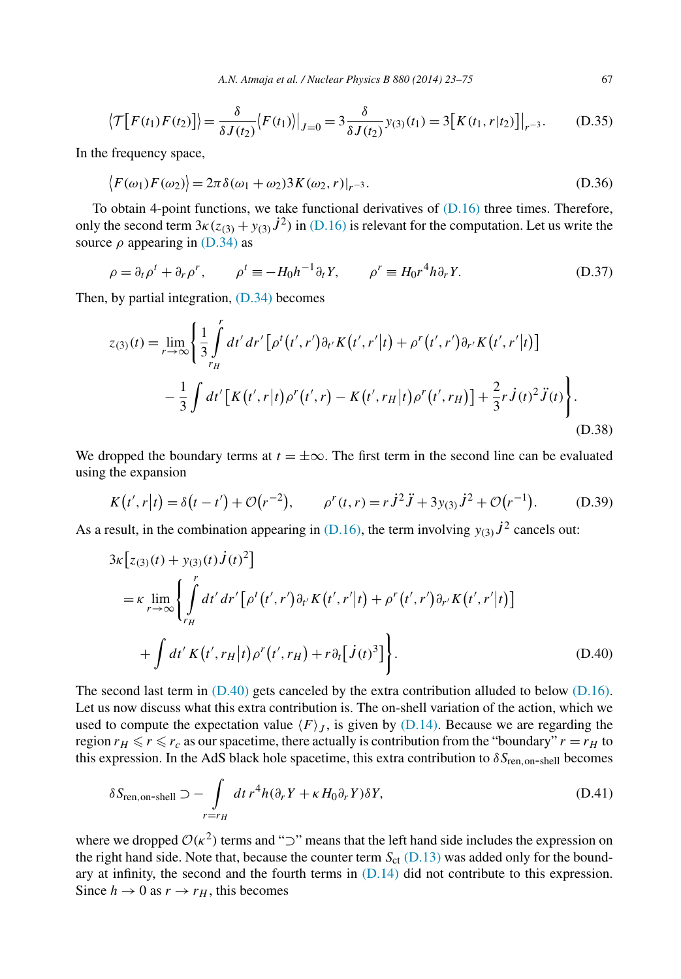<span id="page-45-0"></span>
$$
\left\langle \mathcal{T}\big[F(t_1)F(t_2)\big]\right\rangle = \frac{\delta}{\delta J(t_2)} \left\langle F(t_1)\right\rangle|_{J=0} = 3 \frac{\delta}{\delta J(t_2)} y_{(3)}(t_1) = 3 \big[K(t_1, r|t_2)\big]\big|_{r^{-3}}.\tag{D.35}
$$

In the frequency space,

$$
\langle F(\omega_1) F(\omega_2) \rangle = 2\pi \delta(\omega_1 + \omega_2) 3K(\omega_2, r)|_{r^{-3}}.
$$
\n(D.36)

To obtain 4-point functions, we take functional derivatives of  $(D.16)$  three times. Therefore, only the second term  $3\kappa(z_{(3)} + y_{(3)})\dot{J}^2$  in [\(D.16\)](#page-42-0) is relevant for the computation. Let us write the source *ρ* appearing in [\(D.34\)](#page-44-0) as

$$
\rho = \partial_t \rho^t + \partial_r \rho^r, \qquad \rho^t \equiv -H_0 h^{-1} \partial_t Y, \qquad \rho^r \equiv H_0 r^4 h \partial_r Y. \tag{D.37}
$$

Then, by partial integration, [\(D.34\)](#page-44-0) becomes

$$
z_{(3)}(t) = \lim_{r \to \infty} \left\{ \frac{1}{3} \int_{r_H}^{r} dt' dr' \left[ \rho^t(t', r') \partial_{t'} K(t', r'|t) + \rho^r(t', r') \partial_{r'} K(t', r'|t) \right] - \frac{1}{3} \int dt' \left[ K(t', r|t) \rho^r(t', r) - K(t', r_H|t) \rho^r(t', r_H) \right] + \frac{2}{3} r J(t)^2 J(t) \right\}.
$$
\n(D.38)

We dropped the boundary terms at  $t = \pm \infty$ . The first term in the second line can be evaluated using the expansion

$$
K(t',r|t) = \delta(t-t') + \mathcal{O}(r^{-2}), \qquad \rho^{r}(t,r) = r\dot{J}^{2}\ddot{J} + 3y_{(3)}\dot{J}^{2} + \mathcal{O}(r^{-1}). \tag{D.39}
$$

As a result, in the combination appearing in  $(D.16)$ , the term involving  $y_{(3)}j^2$  cancels out:

$$
3\kappa [z_{(3)}(t) + y_{(3)}(t) \dot{J}(t)^{2}]
$$
  
=  $\kappa \lim_{r \to \infty} \left\{ \int_{r_{H}}^{r} dt' dr' \left[ \rho^{t}(t', r') \partial_{t'} K(t', r'|t) + \rho^{r}(t', r') \partial_{r'} K(t', r'|t) \right] + \int dt' K(t', r_{H}|t) \rho^{r}(t', r_{H}) + r \partial_{t} [\dot{J}(t)^{3}] \right\}.$  (D.40)

The second last term in  $(D.40)$  gets canceled by the extra contribution alluded to below  $(D.16)$ . Let us now discuss what this extra contribution is. The on-shell variation of the action, which we used to compute the expectation value  $\langle F \rangle_I$ , is given by [\(D.14\).](#page-42-0) Because we are regarding the region  $r_H \le r \le r_c$  as our spacetime, there actually is contribution from the "boundary"  $r = r_H$  to this expression. In the AdS black hole spacetime, this extra contribution to  $\delta S_{\text{ren.} \text{on-shell}}$  becomes

$$
\delta S_{\text{ren,on-shell}} \supset -\int_{r=r_H} dt \, r^4 h(\partial_r Y + \kappa H_0 \partial_r Y) \delta Y,\tag{D.41}
$$

where we dropped  $O(\kappa^2)$  terms and " $\sup$ " means that the left hand side includes the expression on the right hand side. Note that, because the counter term  $S_{\text{ct}}$  [\(D.13\)](#page-42-0) was added only for the boundary at infinity, the second and the fourth terms in  $(D.14)$  did not contribute to this expression. Since  $h \to 0$  as  $r \to r_H$ , this becomes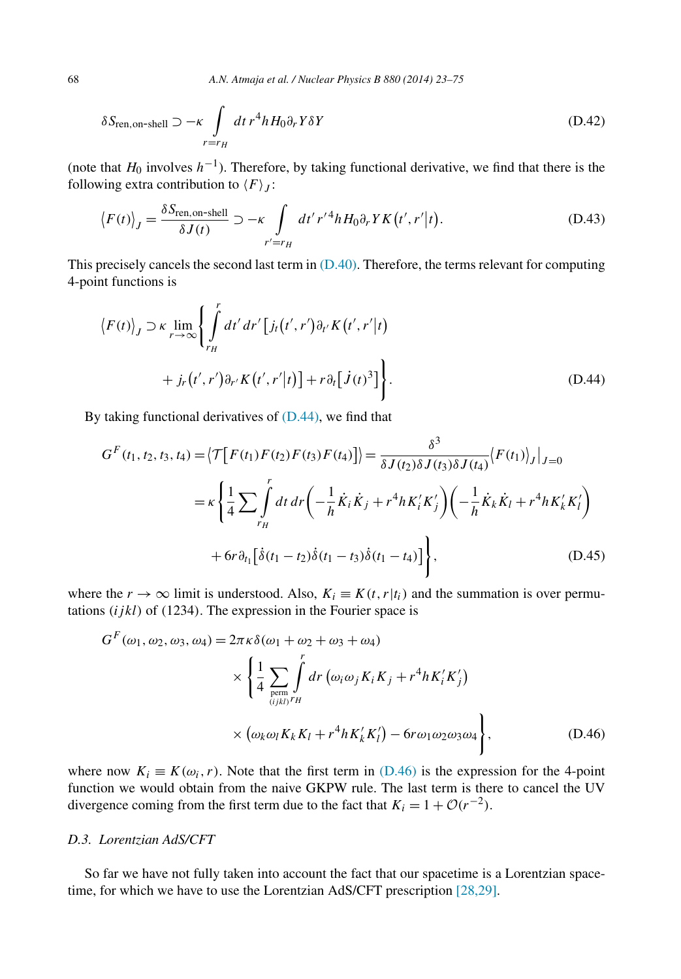$$
\delta S_{\text{ren,on-shell}} \supset -\kappa \int_{r=r_H} dt r^4 h H_0 \partial_r Y \delta Y \tag{D.42}
$$

(note that *H*<sup>0</sup> involves *h*<sup>−</sup>1). Therefore, by taking functional derivative, we find that there is the following extra contribution to  $\langle F \rangle_j$ :

$$
\langle F(t) \rangle_J = \frac{\delta S_{\text{ren,on-shell}}}{\delta J(t)} \supset -\kappa \int_{r'=r_H} dt' r'^4 h H_0 \partial_r Y K(t', r'|t). \tag{D.43}
$$

This precisely cancels the second last term in  $(D.40)$ . Therefore, the terms relevant for computing 4-point functions is

$$
\langle F(t) \rangle_{J} \supset \kappa \lim_{r \to \infty} \left\{ \int_{r_{H}}^{r} dt' dr' \left[ j_{t}(t', r') \partial_{t'} K(t', r'|t) + j_{r}(t', r') \partial_{r'} K(t', r'|t) \right] + r \partial_{t} \left[ j(t)^{3} \right] \right\}.
$$
\n(D.44)

By taking functional derivatives of  $(D.44)$ , we find that

$$
G^{F}(t_{1}, t_{2}, t_{3}, t_{4}) = \langle \mathcal{T}[F(t_{1})F(t_{2})F(t_{3})F(t_{4})] \rangle = \frac{\delta^{3}}{\delta J(t_{2})\delta J(t_{3})\delta J(t_{4})} \langle F(t_{1}) \rangle_{J}|_{J=0}
$$
  

$$
= \kappa \left\{ \frac{1}{4} \sum \int_{r_{H}}^{r} dt \, dr \left( -\frac{1}{h} \dot{K}_{i} \dot{K}_{j} + r^{4} h K'_{i} K'_{j} \right) \left( -\frac{1}{h} \dot{K}_{k} \dot{K}_{l} + r^{4} h K'_{k} K'_{l} \right) + 6r \partial_{t_{1}} \left[ \dot{\delta}(t_{1} - t_{2}) \dot{\delta}(t_{1} - t_{3}) \dot{\delta}(t_{1} - t_{4}) \right] \right\}, \tag{D.45}
$$

where the  $r \to \infty$  limit is understood. Also,  $K_i \equiv K(t, r|t_i)$  and the summation is over permutations *(ijkl)* of *(*1234*)*. The expression in the Fourier space is

$$
G^{F}(\omega_{1}, \omega_{2}, \omega_{3}, \omega_{4}) = 2\pi \kappa \delta(\omega_{1} + \omega_{2} + \omega_{3} + \omega_{4})
$$
  
\$\times \left\{ \frac{1}{4} \sum\_{\substack{\text{perm} \\ (ijkl) \, r}} \int\_{r}^{r} dr \left( \omega\_{i} \omega\_{j} K\_{i} K\_{j} + r^{4} h K'\_{i} K'\_{j} \right) \right\}\$  
\$\times (\omega\_{k} \omega\_{l} K\_{k} K\_{l} + r^{4} h K'\_{k} K'\_{l}) - 6r \omega\_{1} \omega\_{2} \omega\_{3} \omega\_{4} \right\}\$, (D.46)

where now  $K_i \equiv K(\omega_i, r)$ . Note that the first term in (D.46) is the expression for the 4-point function we would obtain from the naive GKPW rule. The last term is there to cancel the UV divergence coming from the first term due to the fact that  $K_i = 1 + \mathcal{O}(r^{-2})$ .

#### *D.3. Lorentzian AdS/CFT*

So far we have not fully taken into account the fact that our spacetime is a Lorentzian spacetime, for which we have to use the Lorentzian AdS/CFT prescription [\[28,29\].](#page-52-0)

<span id="page-46-0"></span>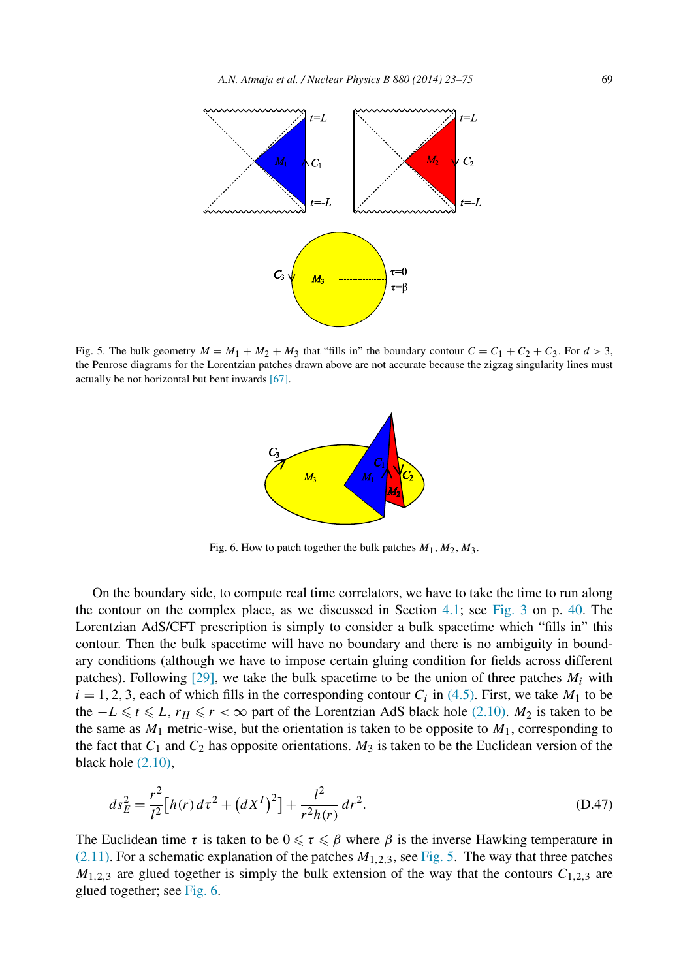

Fig. 5. The bulk geometry  $M = M_1 + M_2 + M_3$  that "fills in" the boundary contour  $C = C_1 + C_2 + C_3$ . For  $d > 3$ , the Penrose diagrams for the Lorentzian patches drawn above are not accurate because the zigzag singularity lines must actually be not horizontal but bent inwards [\[67\].](#page-53-0)



Fig. 6. How to patch together the bulk patches  $M_1, M_2, M_3$ .

On the boundary side, to compute real time correlators, we have to take the time to run along the contour on the complex place, as we discussed in Section [4.1;](#page-17-0) see [Fig. 3](#page-18-0) on p. [40.](#page-18-0) The Lorentzian AdS/CFT prescription is simply to consider a bulk spacetime which "fills in" this contour. Then the bulk spacetime will have no boundary and there is no ambiguity in boundary conditions (although we have to impose certain gluing condition for fields across different patches). Following  $[29]$ , we take the bulk spacetime to be the union of three patches  $M_i$  with  $i = 1, 2, 3$ , each of which fills in the corresponding contour  $C_i$  in [\(4.5\).](#page-18-0) First, we take  $M_1$  to be the  $-L \le t \le L$ ,  $r_H \le r < \infty$  part of the Lorentzian AdS black hole [\(2.10\).](#page-5-0)  $M_2$  is taken to be the same as  $M_1$  metric-wise, but the orientation is taken to be opposite to  $M_1$ , corresponding to the fact that  $C_1$  and  $C_2$  has opposite orientations.  $M_3$  is taken to be the Euclidean version of the black hole [\(2.10\),](#page-5-0)

$$
ds_E^2 = \frac{r^2}{l^2} \left[ h(r) \, d\tau^2 + \left( dX^I \right)^2 \right] + \frac{l^2}{r^2 h(r)} \, dr^2. \tag{D.47}
$$

The Euclidean time  $\tau$  is taken to be  $0 \leq \tau \leq \beta$  where  $\beta$  is the inverse Hawking temperature in [\(2.11\).](#page-5-0) For a schematic explanation of the patches *M*1*,*2*,*3, see Fig. 5. The way that three patches  $M_{1,2,3}$  are glued together is simply the bulk extension of the way that the contours  $C_{1,2,3}$  are glued together; see Fig. 6.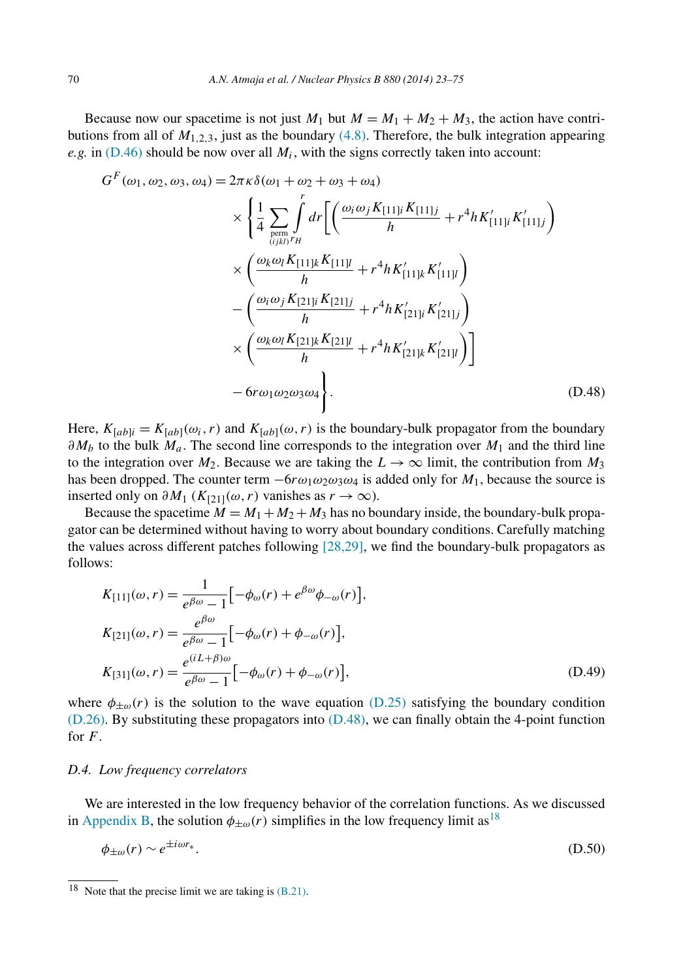<span id="page-48-0"></span>Because now our spacetime is not just  $M_1$  but  $M = M_1 + M_2 + M_3$ , the action have contributions from all of  $M_{1,2,3}$ , just as the boundary [\(4.8\).](#page-18-0) Therefore, the bulk integration appearing *e.g.* in  $(D.46)$  should be now over all  $M_i$ , with the signs correctly taken into account:

$$
G^{F}(\omega_{1}, \omega_{2}, \omega_{3}, \omega_{4}) = 2\pi \kappa \delta(\omega_{1} + \omega_{2} + \omega_{3} + \omega_{4})
$$
  
\n
$$
\times \left\{ \frac{1}{4} \sum_{\substack{\text{perm} \\ (ijk) \\ (ijk)}} \int_{H}^{r} dr \left[ \left( \frac{\omega_{i} \omega_{j} K_{[11]i} K_{[11]j}}{h} + r^{4} h K'_{[11]i} K'_{[11]j} \right) \right] \times \left( \frac{\omega_{k} \omega_{l} K_{[11]k} K_{[11]l}}{h} + r^{4} h K'_{[11]k} K'_{[11]l} \right) \right\}
$$
  
\n
$$
- \left( \frac{\omega_{i} \omega_{j} K_{[21]i} K_{[21]j}}{h} + r^{4} h K'_{[21]i} K'_{[21]j} \right)
$$
  
\n
$$
\times \left( \frac{\omega_{k} \omega_{l} K_{[21]k} K_{[21]l}}{h} + r^{4} h K'_{[21]k} K'_{[21]l} \right)
$$
  
\n
$$
- 6r \omega_{1} \omega_{2} \omega_{3} \omega_{4} \right]. \tag{D.48}
$$

Here,  $K_{[ab]i} = K_{[ab]}(\omega_i, r)$  and  $K_{[ab]}(\omega, r)$  is the boundary-bulk propagator from the boundary *∂M<sub>b</sub>* to the bulk *M<sub>a</sub>*. The second line corresponds to the integration over *M*<sub>1</sub> and the third line to the integration over  $M_2$ . Because we are taking the  $L \to \infty$  limit, the contribution from  $M_3$ has been dropped. The counter term  $-6r\omega_1\omega_2\omega_3\omega_4$  is added only for  $M_1$ , because the source is inserted only on  $\partial M_1$  ( $K_{[2]}\left(\omega, r\right)$  vanishes as  $r \to \infty$ ).

Because the spacetime  $M = M_1 + M_2 + M_3$  has no boundary inside, the boundary-bulk propagator can be determined without having to worry about boundary conditions. Carefully matching the values across different patches following  $[28,29]$ , we find the boundary-bulk propagators as follows:

$$
K_{[11]}(\omega, r) = \frac{1}{e^{\beta \omega} - 1} \left[ -\phi_{\omega}(r) + e^{\beta \omega} \phi_{-\omega}(r) \right],
$$
  
\n
$$
K_{[21]}(\omega, r) = \frac{e^{\beta \omega}}{e^{\beta \omega} - 1} \left[ -\phi_{\omega}(r) + \phi_{-\omega}(r) \right],
$$
  
\n
$$
K_{[31]}(\omega, r) = \frac{e^{(iL+\beta)\omega}}{e^{\beta \omega} - 1} \left[ -\phi_{\omega}(r) + \phi_{-\omega}(r) \right],
$$
  
\n(D.49)

where  $\phi_{\pm\omega}(r)$  is the solution to the wave equation [\(D.25\)](#page-43-0) satisfying the boundary condition [\(D.26\).](#page-43-0) By substituting these propagators into (D.48), we can finally obtain the 4-point function for *F*.

# *D.4. Low frequency correlators*

We are interested in the low frequency behavior of the correlation functions. As we discussed in [Appendix B,](#page-35-0) the solution  $\phi_{\pm\omega}(r)$  simplifies in the low frequency limit as<sup>18</sup>

$$
\phi_{\pm\omega}(r) \sim e^{\pm i\omega r_*}.\tag{D.50}
$$

<sup>&</sup>lt;sup>18</sup> Note that the precise limit we are taking is  $(B.21)$ .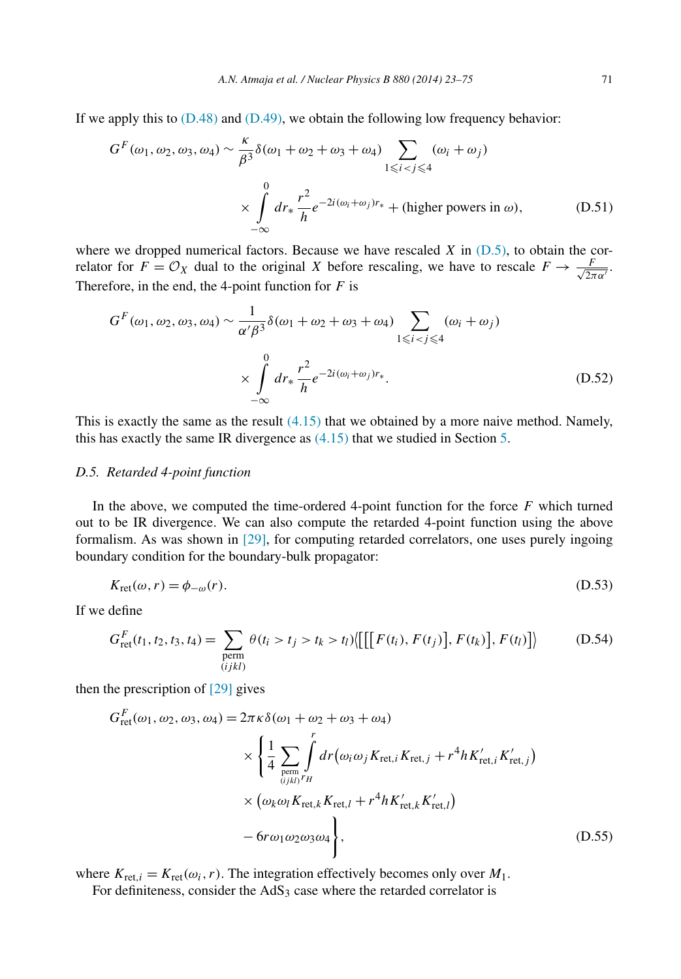<span id="page-49-0"></span>If we apply this to  $(D.48)$  and  $(D.49)$ , we obtain the following low frequency behavior:

$$
G^{F}(\omega_{1}, \omega_{2}, \omega_{3}, \omega_{4}) \sim \frac{\kappa}{\beta^{3}} \delta(\omega_{1} + \omega_{2} + \omega_{3} + \omega_{4}) \sum_{1 \leq i < j \leq 4} (\omega_{i} + \omega_{j})
$$
  

$$
\times \int_{-\infty}^{0} dr_{*} \frac{r^{2}}{h} e^{-2i(\omega_{i} + \omega_{j})r_{*}} + (\text{higher powers in } \omega), \tag{D.51}
$$

where we dropped numerical factors. Because we have rescaled  $X$  in  $(D.5)$ , to obtain the correlator for  $F = \mathcal{O}_X$  dual to the original *X* before rescaling, we have to rescale  $F \to \frac{F}{\sqrt{2\pi\alpha'}}$ . Therefore, in the end, the 4-point function for *F* is

$$
G^{F}(\omega_{1}, \omega_{2}, \omega_{3}, \omega_{4}) \sim \frac{1}{\alpha' \beta^{3}} \delta(\omega_{1} + \omega_{2} + \omega_{3} + \omega_{4}) \sum_{1 \leq i < j \leq 4} (\omega_{i} + \omega_{j})
$$
  
\$\times \int\_{-\infty}^{0} dr\_{\*} \frac{r^{2}}{h} e^{-2i(\omega\_{i} + \omega\_{j})r\_{\*}}. \tag{D.52}

This is exactly the same as the result  $(4.15)$  that we obtained by a more naive method. Namely, this has exactly the same IR divergence as [\(4.15\)](#page-20-0) that we studied in Section [5.](#page-22-0)

# *D.5. Retarded 4-point function*

In the above, we computed the time-ordered 4-point function for the force *F* which turned out to be IR divergence. We can also compute the retarded 4-point function using the above formalism. As was shown in [\[29\],](#page-52-0) for computing retarded correlators, one uses purely ingoing boundary condition for the boundary-bulk propagator:

$$
K_{\rm ret}(\omega, r) = \phi_{-\omega}(r). \tag{D.53}
$$

If we define

$$
G_{\text{ret}}^{F}(t_1, t_2, t_3, t_4) = \sum_{\substack{\text{perm} \\ (i j k l)}} \theta(t_i > t_j > t_k > t_l) \langle \left[ \left[ \left[ F(t_i), F(t_j) \right], F(t_k) \right], F(t_l) \right] \rangle \tag{D.54}
$$

then the prescription of [\[29\]](#page-52-0) gives

$$
G_{\text{ret}}^{F}(\omega_{1}, \omega_{2}, \omega_{3}, \omega_{4}) = 2\pi \kappa \delta(\omega_{1} + \omega_{2} + \omega_{3} + \omega_{4})
$$
  
\$\times \left\{ \frac{1}{4} \sum\_{\text{perm}} \int\_{(ijkl)^{r}H}^{r} dr(\omega\_{i}\omega\_{j}K\_{\text{ret},i}K\_{\text{ret},j} + r^{4}hK'\_{\text{ret},i}K'\_{\text{ret},j}) \right\}  
\$\times (\omega\_{k}\omega\_{l}K\_{\text{ret},k}K\_{\text{ret},l} + r^{4}hK'\_{\text{ret},k}K'\_{\text{ret},l})\$  
– 6r\omega\_{1}\omega\_{2}\omega\_{3}\omega\_{4} \right\}, \tag{D.55}

where  $K_{\text{ret},i} = K_{\text{ret}}(\omega_i, r)$ . The integration effectively becomes only over  $M_1$ . For definiteness, consider the  $AdS<sub>3</sub>$  case where the retarded correlator is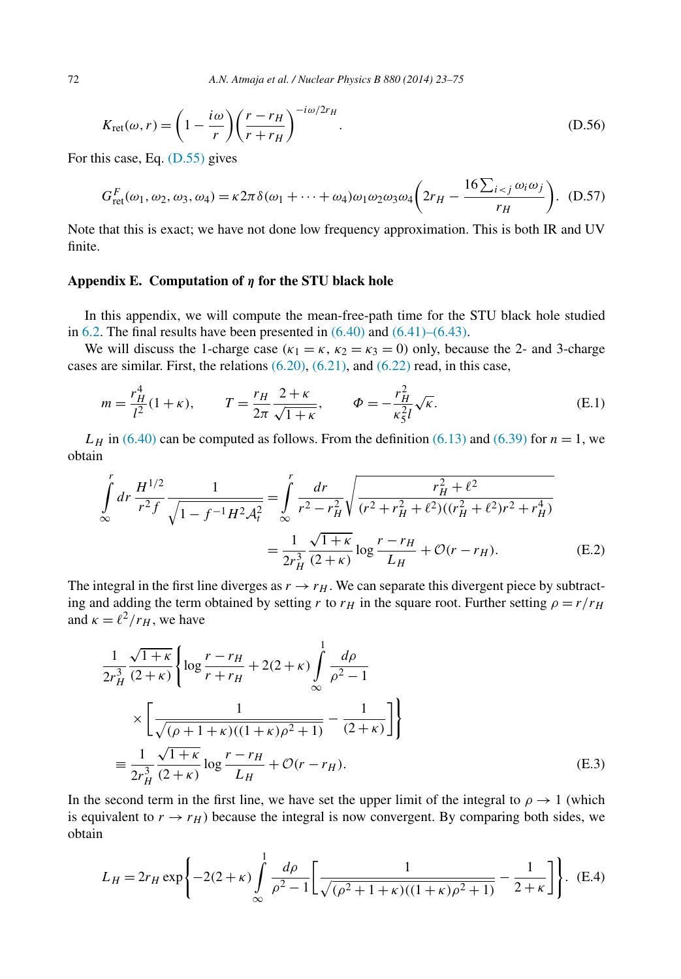$$
K_{\rm ret}(\omega, r) = \left(1 - \frac{i\omega}{r}\right) \left(\frac{r - r_H}{r + r_H}\right)^{-i\omega/2r_H}.
$$
\n(D.56)

For this case, Eq. [\(D.55\)](#page-49-0) gives

$$
G_{\rm ret}^F(\omega_1, \omega_2, \omega_3, \omega_4) = \kappa 2\pi \delta(\omega_1 + \dots + \omega_4) \omega_1 \omega_2 \omega_3 \omega_4 \left(2r_H - \frac{16\sum_{i < j} \omega_i \omega_j}{r_H}\right). \tag{D.57}
$$

Note that this is exact; we have not done low frequency approximation. This is both IR and UV finite.

# **Appendix E. Computation of** *η* **for the STU black hole**

In this appendix, we will compute the mean-free-path time for the STU black hole studied in [6.2.](#page-27-0) The final results have been presented in  $(6.40)$  and  $(6.41)$ – $(6.43)$ .

We will discuss the 1-charge case ( $\kappa_1 = \kappa$ ,  $\kappa_2 = \kappa_3 = 0$ ) only, because the 2- and 3-charge cases are similar. First, the relations [\(6.20\),](#page-28-0) [\(6.21\),](#page-28-0) and [\(6.22\)](#page-28-0) read, in this case,

$$
m = \frac{r_H^4}{l^2} (1 + \kappa), \qquad T = \frac{r_H}{2\pi} \frac{2 + \kappa}{\sqrt{1 + \kappa}}, \qquad \Phi = -\frac{r_H^2}{\kappa_5^2 l} \sqrt{\kappa}.
$$
 (E.1)

 $L_H$  in [\(6.40\)](#page-31-0) can be computed as follows. From the definition [\(6.13\)](#page-26-0) and [\(6.39\)](#page-31-0) for  $n = 1$ , we obtain

$$
\int_{\infty}^{r} dr \frac{H^{1/2}}{r^2 f} \frac{1}{\sqrt{1 - f^{-1} H^2 \mathcal{A}_t^2}} = \int_{\infty}^{r} \frac{dr}{r^2 - r_H^2} \sqrt{\frac{r_H^2 + \ell^2}{(r^2 + r_H^2 + \ell^2)((r_H^2 + \ell^2)r^2 + r_H^4)}}
$$
\n
$$
= \frac{1}{2r_H^3} \frac{\sqrt{1 + \kappa}}{(2 + \kappa)} \log \frac{r - r_H}{L_H} + \mathcal{O}(r - r_H). \tag{E.2}
$$

The integral in the first line diverges as  $r \rightarrow r_H$ . We can separate this divergent piece by subtracting and adding the term obtained by setting *r* to  $r_H$  in the square root. Further setting  $\rho = r/r_H$ and  $\kappa = \ell^2/r_H$ , we have

$$
\frac{1}{2r_H^3} \frac{\sqrt{1+\kappa}}{(2+\kappa)} \left\{ \log \frac{r-r_H}{r+r_H} + 2(2+\kappa) \int_{-\infty}^1 \frac{d\rho}{\rho^2 - 1} \right\}
$$

$$
\times \left[ \frac{1}{\sqrt{(\rho+1+\kappa)((1+\kappa)\rho^2+1)}} - \frac{1}{(2+\kappa)} \right] \right\}
$$

$$
\equiv \frac{1}{2r_H^3} \frac{\sqrt{1+\kappa}}{(2+\kappa)} \log \frac{r-r_H}{L_H} + \mathcal{O}(r-r_H). \tag{E.3}
$$

In the second term in the first line, we have set the upper limit of the integral to  $\rho \rightarrow 1$  (which is equivalent to  $r \rightarrow r_H$ ) because the integral is now convergent. By comparing both sides, we obtain

$$
L_H = 2r_H \exp\left\{-2(2+\kappa)\int_{\infty}^1 \frac{d\rho}{\rho^2 - 1} \left[\frac{1}{\sqrt{(\rho^2 + 1 + \kappa)((1+\kappa)\rho^2 + 1)}} - \frac{1}{2+\kappa}\right]\right\}.
$$
 (E.4)

<span id="page-50-0"></span>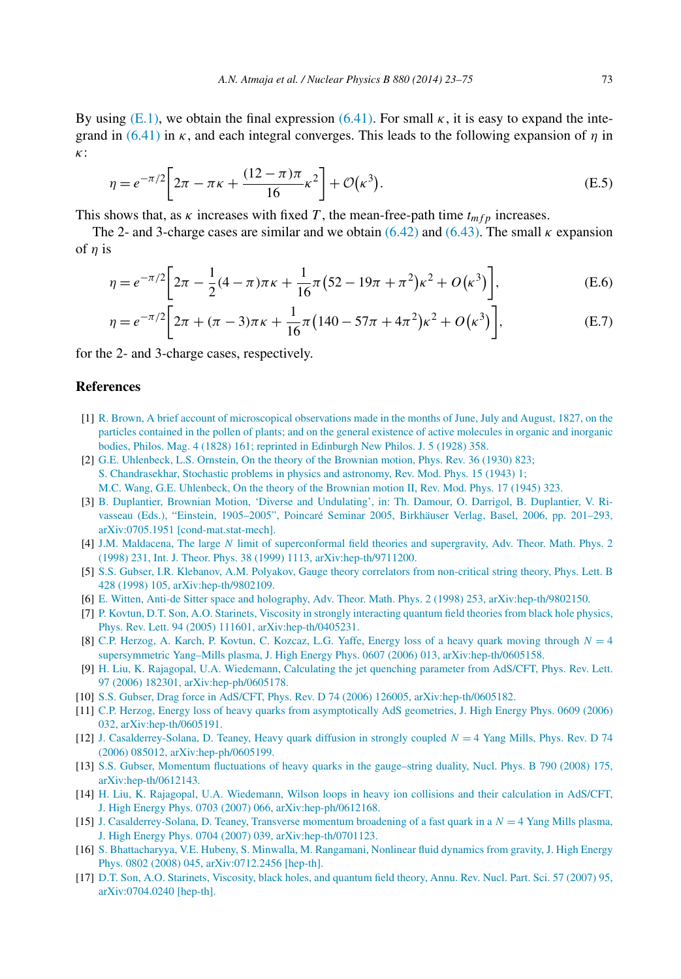<span id="page-51-0"></span>By using  $(E.1)$ , we obtain the final expression  $(6.41)$ . For small  $\kappa$ , it is easy to expand the integrand in [\(6.41\)](#page-31-0) in *κ*, and each integral converges. This leads to the following expansion of *η* in *κ*:

$$
\eta = e^{-\pi/2} \left[ 2\pi - \pi \kappa + \frac{(12 - \pi)\pi}{16} \kappa^2 \right] + \mathcal{O}(\kappa^3). \tag{E.5}
$$

This shows that, as  $\kappa$  increases with fixed *T*, the mean-free-path time  $t_{mfp}$  increases.

The 2- and 3-charge cases are similar and we obtain  $(6.42)$  and  $(6.43)$ . The small  $\kappa$  expansion of *η* is

$$
\eta = e^{-\pi/2} \bigg[ 2\pi - \frac{1}{2} (4 - \pi) \pi \kappa + \frac{1}{16} \pi (52 - 19\pi + \pi^2) \kappa^2 + O(\kappa^3) \bigg],
$$
 (E.6)

$$
\eta = e^{-\pi/2} \left[ 2\pi + (\pi - 3)\pi \kappa + \frac{1}{16}\pi \left( 140 - 57\pi + 4\pi^2 \right) \kappa^2 + O\left(\kappa^3\right) \right],\tag{E.7}
$$

for the 2- and 3-charge cases, respectively.

# **References**

- [1] [R. Brown, A brief account of microscopical observations made in the months of June, July and August, 1827, on the](http://refhub.elsevier.com/S0550-3213(13)00607-X/bib42726F776Es1) [particles contained in the pollen of plants; and on the general existence of active molecules in organic and inorganic](http://refhub.elsevier.com/S0550-3213(13)00607-X/bib42726F776Es1) [bodies, Philos. Mag. 4 \(1828\) 161; reprinted in Edinburgh New Philos. J. 5 \(1928\) 358.](http://refhub.elsevier.com/S0550-3213(13)00607-X/bib42726F776Es1)
- [2] [G.E. Uhlenbeck, L.S. Ornstein, On the theory of the Brownian motion, Phys. Rev. 36 \(1930\) 823;](http://refhub.elsevier.com/S0550-3213(13)00607-X/bib55686C656E6265636B3A313933307A7As1) S. Chandrasekhar, [Stochastic problems in physics and astronomy, Rev. Mod. Phys. 15 \(1943\) 1;](http://refhub.elsevier.com/S0550-3213(13)00607-X/bib55686C656E6265636B3A313933307A7As2) [M.C. Wang, G.E. Uhlenbeck, On the theory of the Brownian motion II, Rev. Mod. Phys. 17 \(1945\) 323.](http://refhub.elsevier.com/S0550-3213(13)00607-X/bib55686C656E6265636B3A313933307A7As3)
- [3] [B. Duplantier, Brownian Motion, 'Diverse and Undulating', in: Th. Damour, O. Darrigol, B. Duplantier, V. Ri](http://refhub.elsevier.com/S0550-3213(13)00607-X/bib4475706C616E74696572s1)vasseau [\(Eds.\), "Einstein, 1905–2005", Poincaré Seminar 2005, Birkhäuser Verlag, Basel, 2006, pp. 201–293,](http://refhub.elsevier.com/S0550-3213(13)00607-X/bib4475706C616E74696572s1) [arXiv:0705.1951 \[cond-mat.stat-mech\].](http://refhub.elsevier.com/S0550-3213(13)00607-X/bib4475706C616E74696572s1)
- [4] J.M. Maldacena, The large *N* limit of superconformal [field theories and supergravity, Adv. Theor. Math. Phys. 2](http://refhub.elsevier.com/S0550-3213(13)00607-X/bib4D616C646163656E613A313939377265s1) [\(1998\) 231, Int. J. Theor. Phys. 38 \(1999\) 1113, arXiv:hep-th/9711200.](http://refhub.elsevier.com/S0550-3213(13)00607-X/bib4D616C646163656E613A313939377265s1)
- [5] [S.S. Gubser, I.R. Klebanov, A.M. Polyakov, Gauge theory correlators from non-critical string theory, Phys. Lett. B](http://refhub.elsevier.com/S0550-3213(13)00607-X/bib4775627365723A313939386263s1) 428 (1998) 105, [arXiv:hep-th/9802109.](http://refhub.elsevier.com/S0550-3213(13)00607-X/bib4775627365723A313939386263s1)
- [6] [E. Witten, Anti-de Sitter space and holography, Adv. Theor. Math. Phys. 2 \(1998\) 253, arXiv:hep-th/9802150.](http://refhub.elsevier.com/S0550-3213(13)00607-X/bib57697474656E3A31393938716As1)
- [7] [P. Kovtun, D.T. Son, A.O. Starinets, Viscosity in strongly interacting quantum field theories from black hole physics,](http://refhub.elsevier.com/S0550-3213(13)00607-X/bib4B6F7674756E3A323030346465s1) Phys. [Rev. Lett. 94 \(2005\) 111601, arXiv:hep-th/0405231.](http://refhub.elsevier.com/S0550-3213(13)00607-X/bib4B6F7674756E3A323030346465s1)
- [8] [C.P. Herzog, A. Karch, P. Kovtun, C. Kozcaz, L.G. Yaffe, Energy loss of a heavy quark moving through](http://refhub.elsevier.com/S0550-3213(13)00607-X/bib4865727A6F673A323030366768s1) *N* = 4 [supersymmetric Yang–Mills plasma, J. High Energy Phys. 0607 \(2006\) 013, arXiv:hep-th/0605158.](http://refhub.elsevier.com/S0550-3213(13)00607-X/bib4865727A6F673A323030366768s1)
- [9] [H. Liu, K. Rajagopal, U.A. Wiedemann, Calculating the jet quenching parameter from AdS/CFT, Phys. Rev. Lett.](http://refhub.elsevier.com/S0550-3213(13)00607-X/bib4C69753A323030367567s1) 97 (2006) 182301, [arXiv:hep-ph/0605178.](http://refhub.elsevier.com/S0550-3213(13)00607-X/bib4C69753A323030367567s1)
- [10] [S.S. Gubser, Drag force in AdS/CFT, Phys. Rev. D 74 \(2006\) 126005, arXiv:hep-th/0605182.](http://refhub.elsevier.com/S0550-3213(13)00607-X/bib4775627365723A32303036627As1)
- [11] [C.P. Herzog, Energy loss of heavy quarks from asymptotically AdS geometries, J. High Energy Phys. 0609 \(2006\)](http://refhub.elsevier.com/S0550-3213(13)00607-X/bib4865727A6F673A323030367365s1) 032, [arXiv:hep-th/0605191.](http://refhub.elsevier.com/S0550-3213(13)00607-X/bib4865727A6F673A323030367365s1)
- [12] J. [Casalderrey-Solana, D. Teaney, Heavy quark diffusion in strongly coupled](http://refhub.elsevier.com/S0550-3213(13)00607-X/bib436173616C646572726579536F6C616E613A323030367271s1) *N* = 4 Yang Mills, Phys. Rev. D 74 [\(2006\) 085012, arXiv:hep-ph/0605199.](http://refhub.elsevier.com/S0550-3213(13)00607-X/bib436173616C646572726579536F6C616E613A323030367271s1)
- [13] [S.S. Gubser, Momentum fluctuations of heavy quarks in the gauge–string duality, Nucl. Phys. B 790 \(2008\) 175,](http://refhub.elsevier.com/S0550-3213(13)00607-X/bib4775627365723A323030366E7As1) [arXiv:hep-th/0612143.](http://refhub.elsevier.com/S0550-3213(13)00607-X/bib4775627365723A323030366E7As1)
- [14] H. Liu, K. [Rajagopal, U.A. Wiedemann, Wilson loops in heavy ion collisions and their calculation in AdS/CFT,](http://refhub.elsevier.com/S0550-3213(13)00607-X/bib4C69753A323030366865s1) J. High [Energy Phys. 0703 \(2007\) 066, arXiv:hep-ph/0612168.](http://refhub.elsevier.com/S0550-3213(13)00607-X/bib4C69753A323030366865s1)
- [15] [J. Casalderrey-Solana, D. Teaney, Transverse momentum broadening of a fast quark in a](http://refhub.elsevier.com/S0550-3213(13)00607-X/bib436173616C646572726579536F6C616E613A323030377177s1) *N* = 4 Yang Mills plasma, [J. High Energy Phys. 0704 \(2007\) 039, arXiv:hep-th/0701123.](http://refhub.elsevier.com/S0550-3213(13)00607-X/bib436173616C646572726579536F6C616E613A323030377177s1)
- [16] [S. Bhattacharyya, V.E. Hubeny, S. Minwalla, M. Rangamani, Nonlinear fluid dynamics from gravity, J. High Energy](http://refhub.elsevier.com/S0550-3213(13)00607-X/bib426861747461636861727979613A323030386A63s1) Phys. 0802 (2008) [045, arXiv:0712.2456 \[hep-th\].](http://refhub.elsevier.com/S0550-3213(13)00607-X/bib426861747461636861727979613A323030386A63s1)
- [17] [D.T. Son, A.O. Starinets, Viscosity, black holes, and quantum field theory, Annu. Rev. Nucl. Part. Sci. 57 \(2007\) 95,](http://refhub.elsevier.com/S0550-3213(13)00607-X/bib536F6E3A32303037766Bs1) [arXiv:0704.0240](http://refhub.elsevier.com/S0550-3213(13)00607-X/bib536F6E3A32303037766Bs1) [hep-th].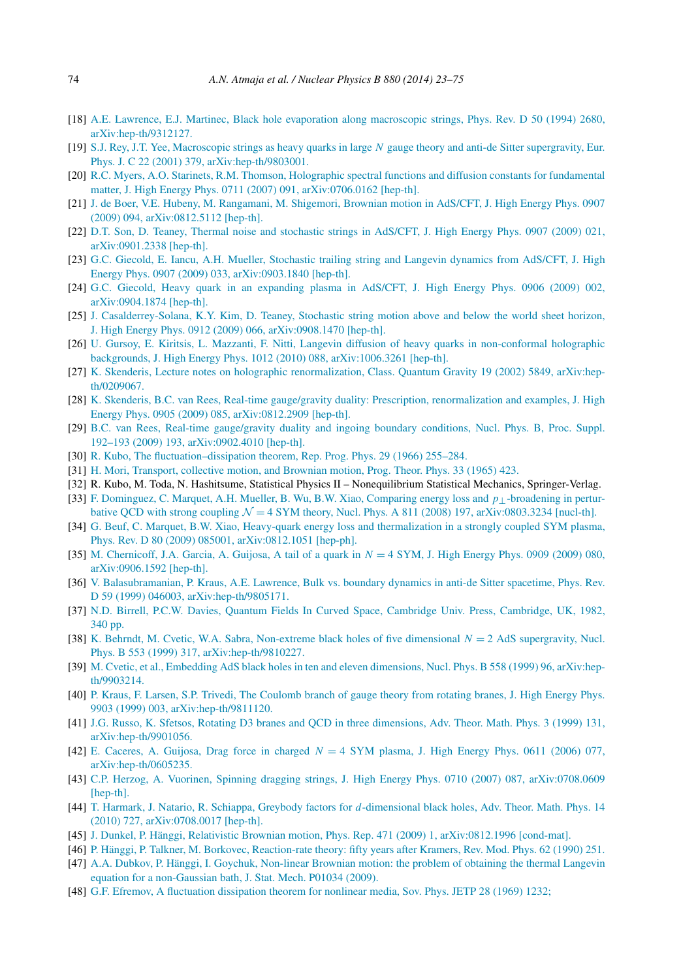- <span id="page-52-0"></span>[18] [A.E. Lawrence, E.J. Martinec, Black hole evaporation along macroscopic strings, Phys. Rev. D 50 \(1994\) 2680,](http://refhub.elsevier.com/S0550-3213(13)00607-X/bib4C617772656E63653A313939337367s1) [arXiv:hep-th/9312127.](http://refhub.elsevier.com/S0550-3213(13)00607-X/bib4C617772656E63653A313939337367s1)
- [19] [S.J. Rey, J.T. Yee, Macroscopic strings as heavy quarks in large](http://refhub.elsevier.com/S0550-3213(13)00607-X/bib5265793A31393938696Bs1) *N* gauge theory and anti-de Sitter supergravity, Eur. [Phys. J. C 22 \(2001\) 379, arXiv:hep-th/9803001.](http://refhub.elsevier.com/S0550-3213(13)00607-X/bib5265793A31393938696Bs1)
- [20] [R.C. Myers, A.O. Starinets, R.M. Thomson, Holographic spectral functions and diffusion constants for fundamental](http://refhub.elsevier.com/S0550-3213(13)00607-X/bib4D796572733A323030377765s1) matter, J. [High Energy Phys. 0711 \(2007\) 091, arXiv:0706.0162 \[hep-th\].](http://refhub.elsevier.com/S0550-3213(13)00607-X/bib4D796572733A323030377765s1)
- [21] [J. de Boer, V.E. Hubeny, M. Rangamani, M. Shigemori, Brownian motion in AdS/CFT, J. High Energy Phys. 0907](http://refhub.elsevier.com/S0550-3213(13)00607-X/bib6465426F65723A323030386775s1) (2009) 094, [arXiv:0812.5112 \[hep-th\].](http://refhub.elsevier.com/S0550-3213(13)00607-X/bib6465426F65723A323030386775s1)
- [22] [D.T. Son, D. Teaney, Thermal noise and stochastic strings in AdS/CFT, J. High Energy Phys. 0907 \(2009\) 021,](http://refhub.elsevier.com/S0550-3213(13)00607-X/bib536F6E3A323030397675s1) [arXiv:0901.2338](http://refhub.elsevier.com/S0550-3213(13)00607-X/bib536F6E3A323030397675s1) [hep-th].
- [23] G.C. [Giecold, E. Iancu, A.H. Mueller, Stochastic trailing string and Langevin dynamics from AdS/CFT, J. High](http://refhub.elsevier.com/S0550-3213(13)00607-X/bib476965636F6C643A323030396367s1) Energy Phys. [0907 \(2009\) 033, arXiv:0903.1840 \[hep-th\].](http://refhub.elsevier.com/S0550-3213(13)00607-X/bib476965636F6C643A323030396367s1)
- [24] [G.C. Giecold, Heavy quark in an expanding plasma in AdS/CFT, J. High Energy Phys. 0906 \(2009\) 002,](http://refhub.elsevier.com/S0550-3213(13)00607-X/bib476965636F6C643A323030397769s1) [arXiv:0904.1874](http://refhub.elsevier.com/S0550-3213(13)00607-X/bib476965636F6C643A323030397769s1) [hep-th].
- [25] J. [Casalderrey-Solana, K.Y. Kim, D. Teaney, Stochastic string motion above and below the world sheet horizon,](http://refhub.elsevier.com/S0550-3213(13)00607-X/bib436173616C646572726579536F6C616E613A32303039726Ds1) J. High [Energy Phys. 0912 \(2009\) 066, arXiv:0908.1470 \[hep-th\].](http://refhub.elsevier.com/S0550-3213(13)00607-X/bib436173616C646572726579536F6C616E613A32303039726Ds1)
- [26] [U. Gursoy, E. Kiritsis, L. Mazzanti, F. Nitti, Langevin diffusion of heavy quarks in non-conformal holographic](http://refhub.elsevier.com/S0550-3213(13)00607-X/bib477572736F793A323031306161s1) backgrounds, J. [High Energy Phys. 1012 \(2010\) 088, arXiv:1006.3261 \[hep-th\].](http://refhub.elsevier.com/S0550-3213(13)00607-X/bib477572736F793A323031306161s1)
- [27] [K. Skenderis, Lecture notes on holographic renormalization, Class. Quantum Gravity 19 \(2002\) 5849, arXiv:hep](http://refhub.elsevier.com/S0550-3213(13)00607-X/bib536B656E64657269733A323030327770s1)[th/0209067.](http://refhub.elsevier.com/S0550-3213(13)00607-X/bib536B656E64657269733A323030327770s1)
- [28] [K. Skenderis, B.C. van Rees, Real-time gauge/gravity duality: Prescription, renormalization and examples, J. High](http://refhub.elsevier.com/S0550-3213(13)00607-X/bib536B656E64657269733A323030386467s1) Energy Phys. [0905 \(2009\) 085, arXiv:0812.2909 \[hep-th\].](http://refhub.elsevier.com/S0550-3213(13)00607-X/bib536B656E64657269733A323030386467s1)
- [29] [B.C. van Rees, Real-time gauge/gravity duality and ingoing boundary conditions, Nucl. Phys. B, Proc. Suppl.](http://refhub.elsevier.com/S0550-3213(13)00607-X/bib76616E526565733A323030397277s1) 192–193 (2009) 193, [arXiv:0902.4010 \[hep-th\].](http://refhub.elsevier.com/S0550-3213(13)00607-X/bib76616E526565733A323030397277s1)
- [30] [R. Kubo, The fluctuation–dissipation theorem, Rep. Prog. Phys. 29 \(1966\) 255–284.](http://refhub.elsevier.com/S0550-3213(13)00607-X/bib4B75626F3A662D645F74686Ds1)
- [31] [H. Mori, Transport, collective motion, and Brownian motion, Prog. Theor. Phys. 33 \(1965\) 423.](http://refhub.elsevier.com/S0550-3213(13)00607-X/bib4D6F72693A67656E4C45s1)
- [32] R. Kubo, M. Toda, N. Hashitsume, Statistical Physics II Nonequilibrium Statistical Mechanics, Springer-Verlag.
- [33] [F. Dominguez, C. Marquet, A.H. Mueller, B. Wu, B.W. Xiao, Comparing energy loss and](http://refhub.elsevier.com/S0550-3213(13)00607-X/bib446F6D696E6775657A3A323030387664s1) *p*⊥-broadening in perturbative QCD with strong coupling  $\mathcal{N} = 4$  SYM theory, Nucl. Phys. A 811 (2008) 197, arXiv:0803.3234 [nucl-th].
- [34] [G. Beuf, C. Marquet, B.W. Xiao, Heavy-quark energy loss and thermalization in a strongly coupled SYM plasma,](http://refhub.elsevier.com/S0550-3213(13)00607-X/bib426575663A323030386570s1) [Phys. Rev. D 80 \(2009\) 085001, arXiv:0812.1051 \[hep-ph\].](http://refhub.elsevier.com/S0550-3213(13)00607-X/bib426575663A323030386570s1)
- [35] [M. Chernicoff, J.A. Garcia, A. Guijosa, A tail of a quark in](http://refhub.elsevier.com/S0550-3213(13)00607-X/bib436865726E69636F66663A323030396666s1) *N* = 4 SYM, J. High Energy Phys. 0909 (2009) 080, [arXiv:0906.1592 \[hep-th\].](http://refhub.elsevier.com/S0550-3213(13)00607-X/bib436865726E69636F66663A323030396666s1)
- [36] [V. Balasubramanian, P. Kraus, A.E. Lawrence, Bulk vs. boundary dynamics in anti-de Sitter spacetime, Phys. Rev.](http://refhub.elsevier.com/S0550-3213(13)00607-X/bib42616C6173756272616D616E69616E3A31393938736Es1) D 59 (1999) [046003, arXiv:hep-th/9805171.](http://refhub.elsevier.com/S0550-3213(13)00607-X/bib42616C6173756272616D616E69616E3A31393938736Es1)
- [37] [N.D. Birrell, P.C.W. Davies, Quantum Fields In Curved Space, Cambridge Univ. Press, Cambridge, UK, 1982,](http://refhub.elsevier.com/S0550-3213(13)00607-X/bib42697272656C6C3A313938326978s1) [340 pp.](http://refhub.elsevier.com/S0550-3213(13)00607-X/bib42697272656C6C3A313938326978s1)
- [38] K. Behrndt, [M. Cvetic, W.A. Sabra, Non-extreme black holes of five dimensional](http://refhub.elsevier.com/S0550-3213(13)00607-X/bib426568726E64743A313939386A64s1) *N* = 2 AdS supergravity, Nucl. [Phys. B 553 \(1999\) 317, arXiv:hep-th/9810227.](http://refhub.elsevier.com/S0550-3213(13)00607-X/bib426568726E64743A313939386A64s1)
- [39] [M. Cvetic, et al., Embedding AdS black holes in ten and eleven dimensions, Nucl. Phys. B 558 \(1999\) 96, arXiv:hep](http://refhub.elsevier.com/S0550-3213(13)00607-X/bib4376657469633A313939397870s1)[th/9903214.](http://refhub.elsevier.com/S0550-3213(13)00607-X/bib4376657469633A313939397870s1)
- [40] [P. Kraus, F. Larsen, S.P. Trivedi, The Coulomb branch of gauge theory from rotating branes, J. High Energy Phys.](http://refhub.elsevier.com/S0550-3213(13)00607-X/bib4B726175733A313939386876s1) 9903 (1999) 003, [arXiv:hep-th/9811120.](http://refhub.elsevier.com/S0550-3213(13)00607-X/bib4B726175733A313939386876s1)
- [41] [J.G. Russo, K. Sfetsos, Rotating D3 branes and QCD in three dimensions, Adv. Theor. Math. Phys. 3 \(1999\) 131,](http://refhub.elsevier.com/S0550-3213(13)00607-X/bib527573736F3A313939386279s1) [arXiv:hep-th/9901056.](http://refhub.elsevier.com/S0550-3213(13)00607-X/bib527573736F3A313939386279s1)
- [42] E. Caceres, A. Guijosa, Drag force in charged  $N = 4$  SYM plasma, [J. High Energy Phys. 0611 \(2006\) 077,](http://refhub.elsevier.com/S0550-3213(13)00607-X/bib436163657265733A32303036646As1) [arXiv:hep-th/0605235.](http://refhub.elsevier.com/S0550-3213(13)00607-X/bib436163657265733A32303036646As1)
- [43] [C.P. Herzog, A. Vuorinen, Spinning dragging strings, J. High Energy Phys. 0710 \(2007\) 087, arXiv:0708.0609](http://refhub.elsevier.com/S0550-3213(13)00607-X/bib4865727A6F673A323030376B68s1) [\[hep-th\].](http://refhub.elsevier.com/S0550-3213(13)00607-X/bib4865727A6F673A323030376B68s1)
- [44] [T. Harmark, J. Natario, R. Schiappa, Greybody factors for](http://refhub.elsevier.com/S0550-3213(13)00607-X/bib4861726D61726B3A323030376A79s1) *d*-dimensional black holes, Adv. Theor. Math. Phys. 14 [\(2010\) 727, arXiv:0708.0017 \[hep-th\].](http://refhub.elsevier.com/S0550-3213(13)00607-X/bib4861726D61726B3A323030376A79s1)
- [45] [J. Dunkel, P. Hänggi, Relativistic Brownian motion, Phys. Rep. 471 \(2009\) 1, arXiv:0812.1996 \[cond-mat\].](http://refhub.elsevier.com/S0550-3213(13)00607-X/bib44756E6B656C3A32303038s1)
- [46] [P. Hänggi, P. Talkner, M. Borkovec, Reaction-rate theory: fifty years after Kramers, Rev. Mod. Phys. 62 \(1990\) 251.](http://refhub.elsevier.com/S0550-3213(13)00607-X/bib48616E6767693A313939307A7As1)
- [47] [A.A. Dubkov, P. Hänggi, I. Goychuk, Non-linear Brownian motion: the problem of obtaining the thermal Langevin](http://refhub.elsevier.com/S0550-3213(13)00607-X/bib444847s1) equation for [a non-Gaussian bath, J. Stat. Mech. P01034 \(2009\).](http://refhub.elsevier.com/S0550-3213(13)00607-X/bib444847s1)
- [48] [G.F. Efremov, A fluctuation dissipation theorem for nonlinear media, Sov. Phys. JETP 28 \(1969\) 1232;](http://refhub.elsevier.com/S0550-3213(13)00607-X/bib4E4C4644s1)